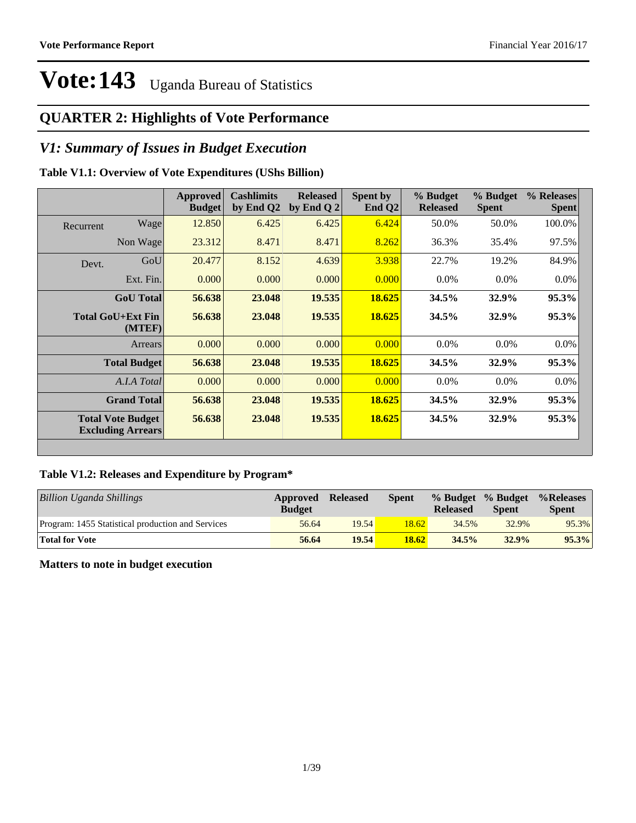## **QUARTER 2: Highlights of Vote Performance**

## *V1: Summary of Issues in Budget Execution*

## **Table V1.1: Overview of Vote Expenditures (UShs Billion)**

|           |                                                      | <b>Approved</b><br><b>Budget</b> | <b>Cashlimits</b><br>by End Q2 | <b>Released</b><br>by End Q $2$ | Spent by<br>End $Q2$ | % Budget<br><b>Released</b> | % Budget<br><b>Spent</b> | % Releases<br><b>Spent</b> |
|-----------|------------------------------------------------------|----------------------------------|--------------------------------|---------------------------------|----------------------|-----------------------------|--------------------------|----------------------------|
| Recurrent | Wage                                                 | 12.850                           | 6.425                          | 6.425                           | 6.424                | 50.0%                       | 50.0%                    | 100.0%                     |
|           | Non Wage                                             | 23.312                           | 8.471                          | 8.471                           | 8.262                | 36.3%                       | 35.4%                    | 97.5%                      |
| Devt.     | GoU                                                  | 20.477                           | 8.152                          | 4.639                           | 3.938                | 22.7%                       | 19.2%                    | 84.9%                      |
|           | Ext. Fin.                                            | 0.000                            | 0.000                          | 0.000                           | 0.000                | $0.0\%$                     | $0.0\%$                  | $0.0\%$                    |
|           | <b>GoU</b> Total                                     | 56.638                           | 23.048                         | 19.535                          | 18.625               | 34.5%                       | 32.9%                    | 95.3%                      |
|           | <b>Total GoU+Ext Fin</b><br>(MTEF)                   | 56.638                           | 23.048                         | 19.535                          | 18.625               | 34.5%                       | 32.9%                    | $95.3\%$                   |
|           | Arrears                                              | 0.000                            | 0.000                          | 0.000                           | 0.000                | $0.0\%$                     | 0.0%                     | $0.0\%$                    |
|           | <b>Total Budget</b>                                  | 56.638                           | 23.048                         | 19.535                          | 18.625               | 34.5%                       | 32.9%                    | 95.3%                      |
|           | A.I.A Total                                          | 0.000                            | 0.000                          | 0.000                           | 0.000                | $0.0\%$                     | $0.0\%$                  | $0.0\%$                    |
|           | <b>Grand Total</b>                                   | 56.638                           | 23.048                         | 19.535                          | 18.625               | 34.5%                       | 32.9%                    | 95.3%                      |
|           | <b>Total Vote Budget</b><br><b>Excluding Arrears</b> | 56.638                           | 23.048                         | 19.535                          | 18.625               | 34.5%                       | 32.9%                    | 95.3%                      |

## **Table V1.2: Releases and Expenditure by Program\***

| <b>Billion Uganda Shillings</b>                   | Approved<br><b>Budget</b> | <b>Released</b> | Spent | % Budget % Budget<br><b>Released</b> | <b>Spent</b> | $%$ Releases<br><b>Spent</b> |
|---------------------------------------------------|---------------------------|-----------------|-------|--------------------------------------|--------------|------------------------------|
| Program: 1455 Statistical production and Services | 56.64                     | 19.54           | 18.62 | 34.5%                                | 32.9%        | 95.3%                        |
| <b>Total for Vote</b>                             | 56.64                     | 19.54           | 18.62 | 34.5%                                | 32.9%        | 95.3%                        |

**Matters to note in budget execution**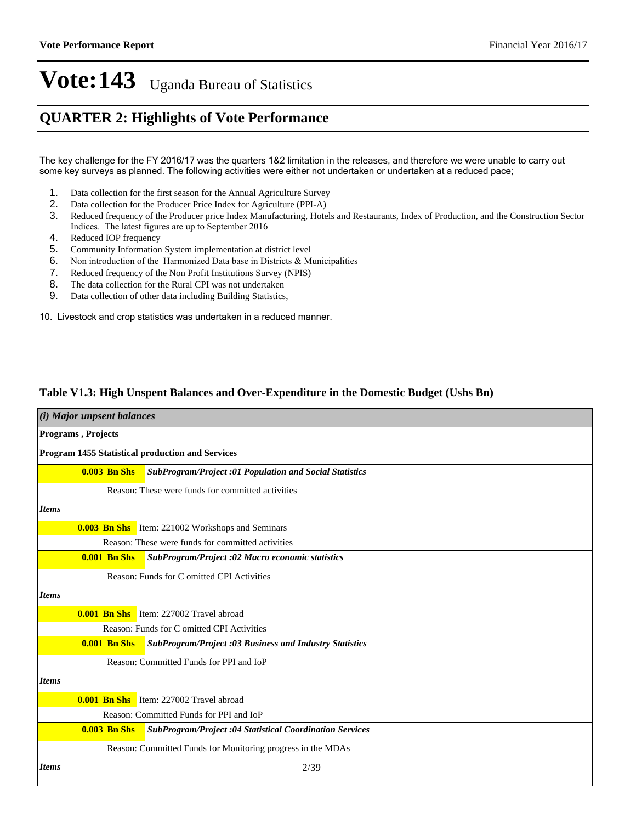## **QUARTER 2: Highlights of Vote Performance**

The key challenge for the FY 2016/17 was the quarters 1&2 limitation in the releases, and therefore we were unable to carry out some key surveys as planned. The following activities were either not undertaken or undertaken at a reduced pace;

- 1. Data collection for the first season for the Annual Agriculture Survey
- 2. Data collection for the Producer Price Index for Agriculture (PPI-A)
- 3. Reduced frequency of the Producer price Index Manufacturing, Hotels and Restaurants, Index of Production, and the Construction Sector Indices. The latest figures are up to September 2016
- 4. Reduced IOP frequency
- 5. Community Information System implementation at district level
- 6. Non introduction of the Harmonized Data base in Districts  $\&$  Municipalities
- 7. Reduced frequency of the Non Profit Institutions Survey (NPIS)
- 8. The data collection for the Rural CPI was not undertaken
- 9. Data collection of other data including Building Statistics,

10. Livestock and crop statistics was undertaken in a reduced manner.

### **Table V1.3: High Unspent Balances and Over-Expenditure in the Domestic Budget (Ushs Bn)**

|              | (i) Major unpsent balances |                                                                |  |  |  |
|--------------|----------------------------|----------------------------------------------------------------|--|--|--|
|              | <b>Programs</b> , Projects |                                                                |  |  |  |
|              |                            | <b>Program 1455 Statistical production and Services</b>        |  |  |  |
|              | $0.003$ Bn Shs             | <b>SubProgram/Project :01 Population and Social Statistics</b> |  |  |  |
|              |                            | Reason: These were funds for committed activities              |  |  |  |
| <b>Items</b> |                            |                                                                |  |  |  |
|              |                            | <b>0.003 Bn Shs</b> Item: 221002 Workshops and Seminars        |  |  |  |
|              |                            | Reason: These were funds for committed activities              |  |  |  |
|              | <b>0.001 Bn Shs</b>        | SubProgram/Project :02 Macro economic statistics               |  |  |  |
|              |                            | Reason: Funds for C omitted CPI Activities                     |  |  |  |
| <b>Items</b> |                            |                                                                |  |  |  |
|              |                            | <b>0.001 Bn Shs</b> Item: 227002 Travel abroad                 |  |  |  |
|              |                            | Reason: Funds for C omitted CPI Activities                     |  |  |  |
|              | <b>0.001 Bn Shs</b>        | <b>SubProgram/Project :03 Business and Industry Statistics</b> |  |  |  |
|              |                            | Reason: Committed Funds for PPI and IoP                        |  |  |  |
| <b>Items</b> |                            |                                                                |  |  |  |
|              |                            | <b>0.001 Bn Shs</b> Item: 227002 Travel abroad                 |  |  |  |
|              |                            | Reason: Committed Funds for PPI and IoP                        |  |  |  |
|              | <b>0.003 Bn Shs</b>        | SubProgram/Project :04 Statistical Coordination Services       |  |  |  |
|              |                            | Reason: Committed Funds for Monitoring progress in the MDAs    |  |  |  |
| <b>Items</b> |                            | 2/39                                                           |  |  |  |
|              |                            |                                                                |  |  |  |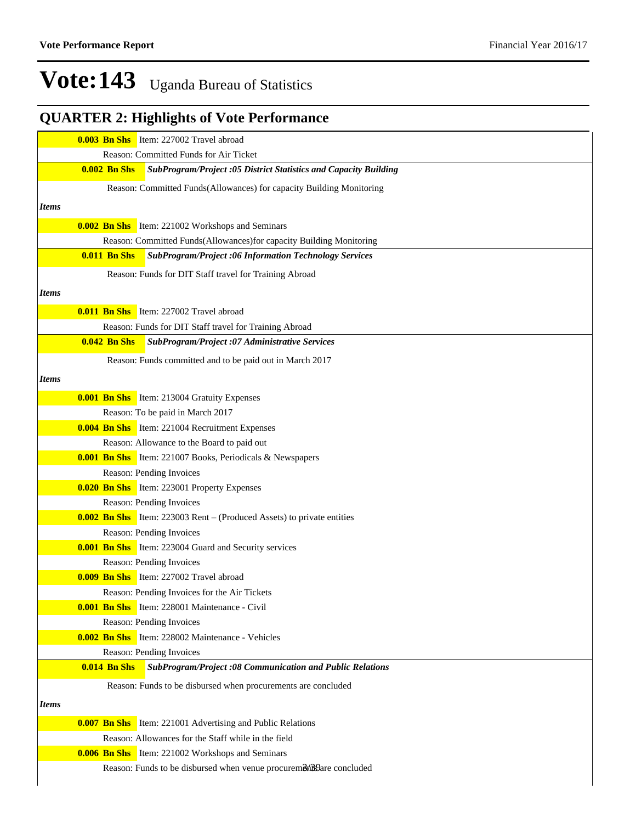## **QUARTER 2: Highlights of Vote Performance**

|              |                     | <b>0.003 Bn Shs</b> Item: 227002 Travel abroad                                |
|--------------|---------------------|-------------------------------------------------------------------------------|
|              |                     | Reason: Committed Funds for Air Ticket                                        |
|              | <b>0.002 Bn Shs</b> | SubProgram/Project :05 District Statistics and Capacity Building              |
|              |                     | Reason: Committed Funds(Allowances) for capacity Building Monitoring          |
| <b>Items</b> |                     |                                                                               |
|              |                     | <b>0.002 Bn Shs</b> Item: 221002 Workshops and Seminars                       |
|              |                     | Reason: Committed Funds(Allowances) for capacity Building Monitoring          |
|              | <b>0.011 Bn Shs</b> | <b>SubProgram/Project :06 Information Technology Services</b>                 |
|              |                     | Reason: Funds for DIT Staff travel for Training Abroad                        |
| <i>Items</i> |                     |                                                                               |
|              |                     | <b>0.011 Bn Shs</b> Item: 227002 Travel abroad                                |
|              |                     |                                                                               |
|              |                     | Reason: Funds for DIT Staff travel for Training Abroad                        |
|              | $0.042$ Bn Shs      | SubProgram/Project :07 Administrative Services                                |
|              |                     | Reason: Funds committed and to be paid out in March 2017                      |
| <i>Items</i> |                     |                                                                               |
|              |                     | <b>0.001 Bn Shs</b> Item: 213004 Gratuity Expenses                            |
|              |                     | Reason: To be paid in March 2017                                              |
|              |                     | <b>0.004 Bn Shs</b> Item: 221004 Recruitment Expenses                         |
|              |                     | Reason: Allowance to the Board to paid out                                    |
|              |                     | <b>0.001 Bn Shs</b> Item: 221007 Books, Periodicals & Newspapers              |
|              |                     | Reason: Pending Invoices                                                      |
|              |                     | <b>0.020 Bn Shs</b> Item: 223001 Property Expenses                            |
|              |                     | Reason: Pending Invoices                                                      |
|              |                     | <b>0.002 Bn Shs</b> Item: 223003 Rent – (Produced Assets) to private entities |
|              |                     | Reason: Pending Invoices                                                      |
|              |                     | <b>0.001 Bn Shs</b> Item: 223004 Guard and Security services                  |
|              |                     | Reason: Pending Invoices                                                      |
|              |                     | <b>0.009 Bn Shs</b> Item: 227002 Travel abroad                                |
|              |                     | Reason: Pending Invoices for the Air Tickets                                  |
|              |                     | <b>0.001 Bn Shs</b> Item: 228001 Maintenance - Civil                          |
|              |                     | Reason: Pending Invoices                                                      |
|              |                     | <b>0.002 Bn Shs</b> Item: 228002 Maintenance - Vehicles                       |
|              |                     | Reason: Pending Invoices                                                      |
|              | $0.014$ Bn Shs      | <b>SubProgram/Project :08 Communication and Public Relations</b>              |
|              |                     | Reason: Funds to be disbursed when procurements are concluded                 |
| <i>Items</i> |                     |                                                                               |
|              |                     | <b>0.007 Bn Shs</b> Item: 221001 Advertising and Public Relations             |
|              |                     | Reason: Allowances for the Staff while in the field                           |
|              |                     | <b>0.006 Bn Shs</b> Item: 221002 Workshops and Seminars                       |
|              |                     | Reason: Funds to be disbursed when venue procuremonts are concluded           |
|              |                     |                                                                               |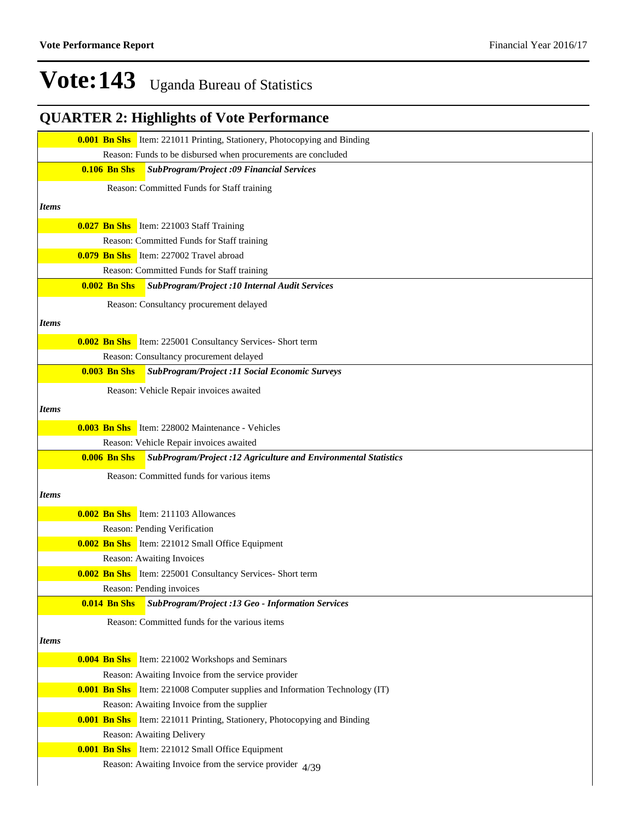## **QUARTER 2: Highlights of Vote Performance**

|              | <b>0.001 Bn Shs</b> Item: 221011 Printing, Stationery, Photocopying and Binding        |
|--------------|----------------------------------------------------------------------------------------|
|              | Reason: Funds to be disbursed when procurements are concluded                          |
|              | <b>0.106 Bn Shs</b><br><b>SubProgram/Project :09 Financial Services</b>                |
|              | Reason: Committed Funds for Staff training                                             |
| <i>Items</i> |                                                                                        |
|              |                                                                                        |
|              | <b>0.027 Bn Shs</b> Item: 221003 Staff Training                                        |
|              | Reason: Committed Funds for Staff training                                             |
|              | <b>0.079 Bn Shs</b> Item: 227002 Travel abroad                                         |
|              | Reason: Committed Funds for Staff training                                             |
|              | $0.002$ Bn Shs<br>SubProgram/Project : 10 Internal Audit Services                      |
|              | Reason: Consultancy procurement delayed                                                |
| <i>Items</i> |                                                                                        |
|              | <b>0.002 Bn Shs</b> Item: 225001 Consultancy Services- Short term                      |
|              | Reason: Consultancy procurement delayed                                                |
|              | <b>0.003 Bn Shs</b><br>SubProgram/Project :11 Social Economic Surveys                  |
|              | Reason: Vehicle Repair invoices awaited                                                |
| <i>Items</i> |                                                                                        |
|              |                                                                                        |
|              | <b>0.003 Bn Shs</b> Item: 228002 Maintenance - Vehicles                                |
|              | Reason: Vehicle Repair invoices awaited                                                |
|              | <b>0.006 Bn Shs</b><br>SubProgram/Project :12 Agriculture and Environmental Statistics |
|              | Reason: Committed funds for various items                                              |
| <i>Items</i> |                                                                                        |
|              | <b>0.002 Bn Shs</b> Item: 211103 Allowances                                            |
|              | Reason: Pending Verification                                                           |
|              | <b>0.002 Bn Shs</b> Item: 221012 Small Office Equipment                                |
|              | Reason: Awaiting Invoices                                                              |
|              | <b>0.002 Bn Shs</b> Item: 225001 Consultancy Services- Short term                      |
|              | Reason: Pending invoices                                                               |
|              | SubProgram/Project :13 Geo - Information Services<br>$0.014$ Bn Shs                    |
|              | Reason: Committed funds for the various items                                          |
| <b>Items</b> |                                                                                        |
|              |                                                                                        |
|              | <b>0.004 Bn Shs</b> Item: 221002 Workshops and Seminars                                |
|              | Reason: Awaiting Invoice from the service provider                                     |
|              | <b>0.001 Bn Shs</b> Item: 221008 Computer supplies and Information Technology (IT)     |
|              | Reason: Awaiting Invoice from the supplier                                             |
|              | <b>0.001 Bn Shs</b> Item: 221011 Printing, Stationery, Photocopying and Binding        |
|              | Reason: Awaiting Delivery                                                              |
|              | <b>0.001 Bn Shs</b> Item: 221012 Small Office Equipment                                |
|              | Reason: Awaiting Invoice from the service provider $\frac{4}{39}$                      |
|              |                                                                                        |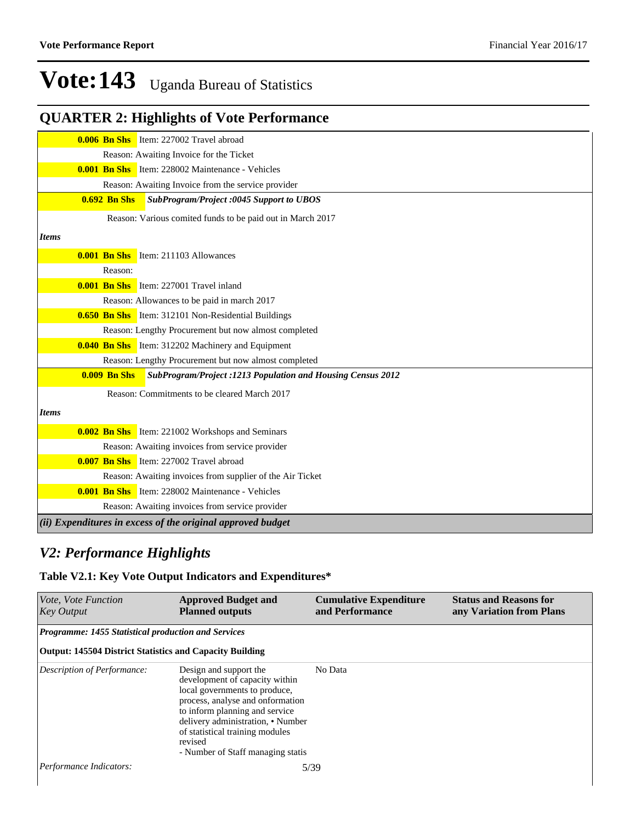## **QUARTER 2: Highlights of Vote Performance**

|                     | <b>0.006 Bn Shs</b> Item: 227002 Travel abroad                     |
|---------------------|--------------------------------------------------------------------|
|                     | Reason: Awaiting Invoice for the Ticket                            |
|                     | <b>0.001 Bn Shs</b> Item: 228002 Maintenance - Vehicles            |
|                     | Reason: Awaiting Invoice from the service provider                 |
| <b>0.692 Bn Shs</b> | <b>SubProgram/Project :0045 Support to UBOS</b>                    |
|                     | Reason: Various comited funds to be paid out in March 2017         |
| <b>Items</b>        |                                                                    |
|                     | <b>0.001 Bn Shs</b> Item: 211103 Allowances                        |
| Reason:             |                                                                    |
|                     | <b>0.001 Bn Shs</b> Item: 227001 Travel inland                     |
|                     | Reason: Allowances to be paid in march 2017                        |
|                     | <b>0.650 Bn Shs</b> Item: 312101 Non-Residential Buildings         |
|                     | Reason: Lengthy Procurement but now almost completed               |
|                     | <b>0.040 Bn Shs</b> Item: 312202 Machinery and Equipment           |
|                     | Reason: Lengthy Procurement but now almost completed               |
| $0.009$ Bn Shs      | <b>SubProgram/Project :1213 Population and Housing Census 2012</b> |
|                     | Reason: Commitments to be cleared March 2017                       |
| <b>Items</b>        |                                                                    |
|                     | <b>0.002 Bn Shs</b> Item: 221002 Workshops and Seminars            |
|                     | Reason: Awaiting invoices from service provider                    |
|                     | <b>0.007 Bn Shs</b> Item: 227002 Travel abroad                     |
|                     | Reason: Awaiting invoices from supplier of the Air Ticket          |
|                     | <b>0.001 Bn Shs</b> Item: 228002 Maintenance - Vehicles            |
|                     | Reason: Awaiting invoices from service provider                    |
|                     | (ii) Expenditures in excess of the original approved budget        |

## *V2: Performance Highlights*

## **Table V2.1: Key Vote Output Indicators and Expenditures\***

| <i>Vote, Vote Function</i><br><b>Key Output</b>                 | <b>Approved Budget and</b><br><b>Planned outputs</b>                                                                                                                                                                                                                                    | <b>Cumulative Expenditure</b><br>and Performance | <b>Status and Reasons for</b><br>any Variation from Plans |
|-----------------------------------------------------------------|-----------------------------------------------------------------------------------------------------------------------------------------------------------------------------------------------------------------------------------------------------------------------------------------|--------------------------------------------------|-----------------------------------------------------------|
| <b>Programme: 1455 Statistical production and Services</b>      |                                                                                                                                                                                                                                                                                         |                                                  |                                                           |
| <b>Output: 145504 District Statistics and Capacity Building</b> |                                                                                                                                                                                                                                                                                         |                                                  |                                                           |
| Description of Performance:                                     | Design and support the<br>development of capacity within<br>local governments to produce,<br>process, analyse and onformation<br>to inform planning and service<br>delivery administration, • Number<br>of statistical training modules<br>revised<br>- Number of Staff managing statis | No Data                                          |                                                           |
| Performance Indicators:                                         |                                                                                                                                                                                                                                                                                         | 5/39                                             |                                                           |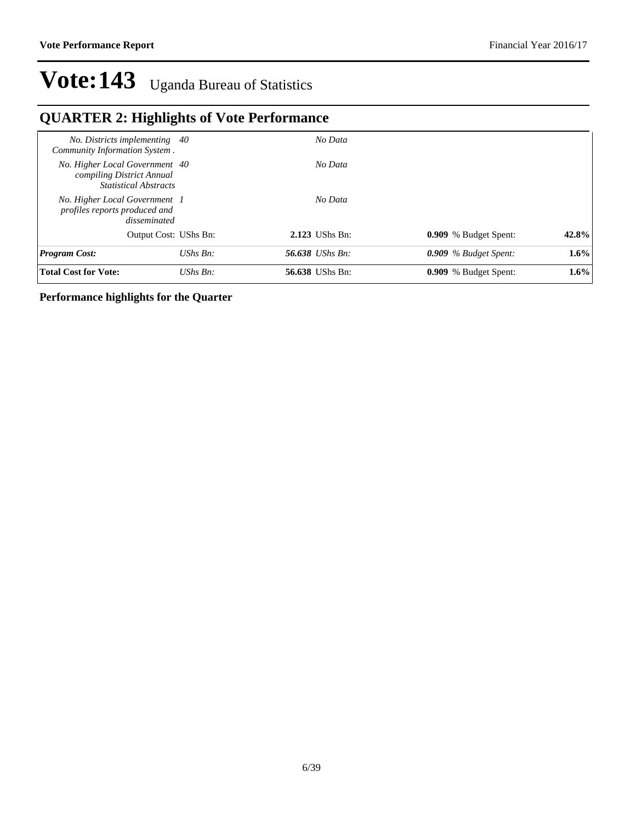## **QUARTER 2: Highlights of Vote Performance**

| Total Cost for Vote:                                                                        | UShs $Bn$ :           | <b>56.638</b> UShs Bn: | 0.909 % Budget Spent:   | $1.6\%$ |
|---------------------------------------------------------------------------------------------|-----------------------|------------------------|-------------------------|---------|
| <b>Program Cost:</b>                                                                        | $UShs Bn:$            | <b>56.638</b> UShs Bn: | $0.909\%$ Budget Spent: | 1.6%    |
|                                                                                             | Output Cost: UShs Bn: | 2.123 UShs Bn:         | 0.909 % Budget Spent:   | 42.8%   |
| No. Higher Local Government 1<br>profiles reports produced and<br>disseminated              |                       | No Data                |                         |         |
| No. Higher Local Government 40<br>compiling District Annual<br><b>Statistical Abstracts</b> |                       | No Data                |                         |         |
| No. Districts implementing 40<br>Community Information System.                              |                       | No Data                |                         |         |

## **Performance highlights for the Quarter**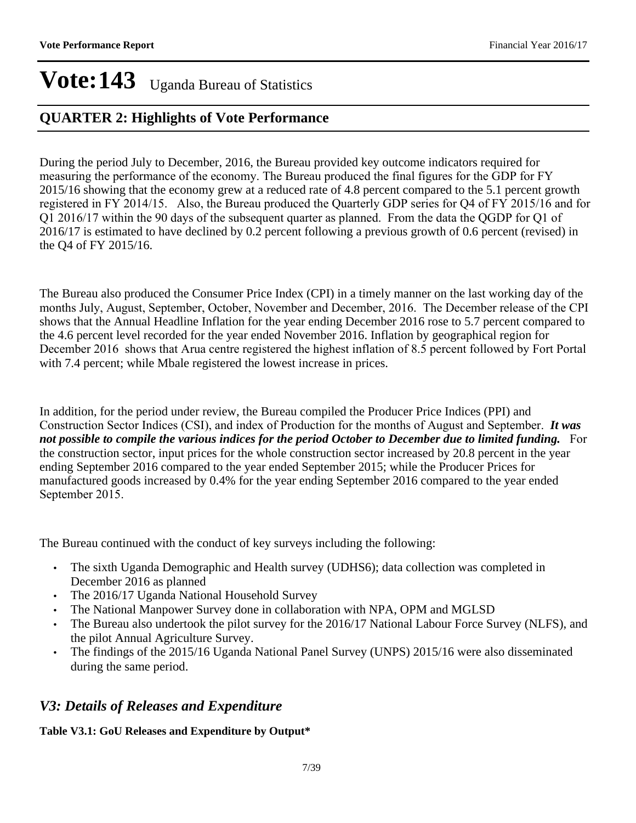## **QUARTER 2: Highlights of Vote Performance**

During the period July to December, 2016, the Bureau provided key outcome indicators required for measuring the performance of the economy. The Bureau produced the final figures for the GDP for FY 2015/16 showing that the economy grew at a reduced rate of 4.8 percent compared to the 5.1 percent growth registered in FY 2014/15. Also, the Bureau produced the Quarterly GDP series for Q4 of FY 2015/16 and for Q1 2016/17 within the 90 days of the subsequent quarter as planned. From the data the QGDP for Q1 of 2016/17 is estimated to have declined by 0.2 percent following a previous growth of 0.6 percent (revised) in the Q4 of FY 2015/16.

The Bureau also produced the Consumer Price Index (CPI) in a timely manner on the last working day of the months July, August, September, October, November and December, 2016. The December release of the CPI shows that the Annual Headline Inflation for the year ending December 2016 rose to 5.7 percent compared to the 4.6 percent level recorded for the year ended November 2016. Inflation by geographical region for December 2016 shows that Arua centre registered the highest inflation of 8.5 percent followed by Fort Portal with 7.4 percent; while Mbale registered the lowest increase in prices.

In addition, for the period under review, the Bureau compiled the Producer Price Indices (PPI) and Construction Sector Indices (CSI), and index of Production for the months of August and September. *It was not possible to compile the various indices for the period October to December due to limited funding.* For the construction sector, input prices for the whole construction sector increased by 20.8 percent in the year ending September 2016 compared to the year ended September 2015; while the Producer Prices for manufactured goods increased by 0.4% for the year ending September 2016 compared to the year ended September 2015.

The Bureau continued with the conduct of key surveys including the following:

- The sixth Uganda Demographic and Health survey (UDHS6); data collection was completed in December 2016 as planned
- The 2016/17 Uganda National Household Survey
- The National Manpower Survey done in collaboration with NPA, OPM and MGLSD
- The Bureau also undertook the pilot survey for the 2016/17 National Labour Force Survey (NLFS), and the pilot Annual Agriculture Survey.
- The findings of the 2015/16 Uganda National Panel Survey (UNPS) 2015/16 were also disseminated during the same period.

## *V3: Details of Releases and Expenditure*

## **Table V3.1: GoU Releases and Expenditure by Output\***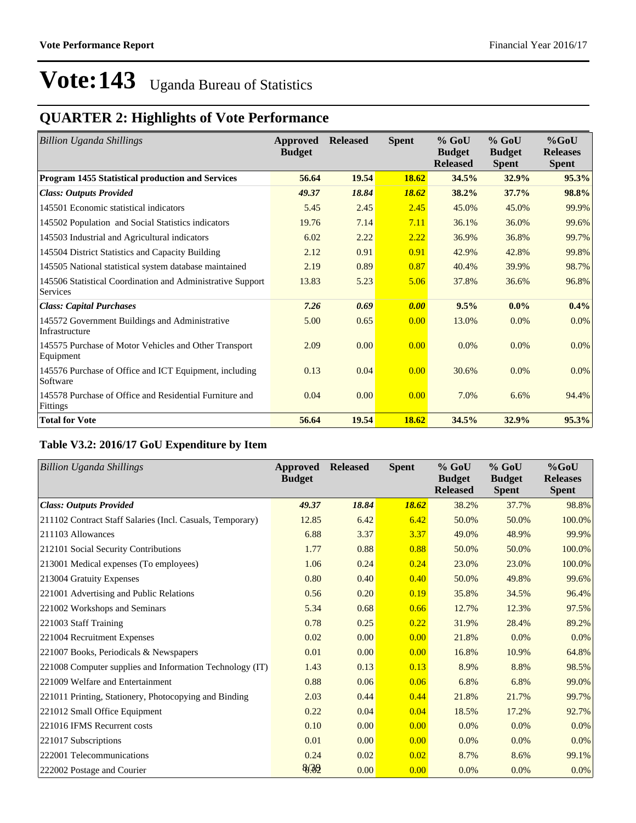## **QUARTER 2: Highlights of Vote Performance**

| <b>Billion Uganda Shillings</b>                                        | Approved<br><b>Budget</b> | <b>Released</b> | <b>Spent</b> | $%$ GoU<br><b>Budget</b><br><b>Released</b> | $%$ GoU<br><b>Budget</b><br><b>Spent</b> | $%$ GoU<br><b>Releases</b><br><b>Spent</b> |
|------------------------------------------------------------------------|---------------------------|-----------------|--------------|---------------------------------------------|------------------------------------------|--------------------------------------------|
| Program 1455 Statistical production and Services                       | 56.64                     | 19.54           | <b>18.62</b> | 34.5%                                       | 32.9%                                    | 95.3%                                      |
| <b>Class: Outputs Provided</b>                                         | 49.37                     | 18.84           | 18.62        | 38.2%                                       | 37.7%                                    | 98.8%                                      |
| 145501 Economic statistical indicators                                 | 5.45                      | 2.45            | 2.45         | 45.0%                                       | 45.0%                                    | 99.9%                                      |
| 145502 Population and Social Statistics indicators                     | 19.76                     | 7.14            | 7.11         | 36.1%                                       | 36.0%                                    | 99.6%                                      |
| 145503 Industrial and Agricultural indicators                          | 6.02                      | 2.22            | 2.22         | 36.9%                                       | 36.8%                                    | 99.7%                                      |
| 145504 District Statistics and Capacity Building                       | 2.12                      | 0.91            | 0.91         | 42.9%                                       | 42.8%                                    | 99.8%                                      |
| 145505 National statistical system database maintained                 | 2.19                      | 0.89            | 0.87         | 40.4%                                       | 39.9%                                    | 98.7%                                      |
| 145506 Statistical Coordination and Administrative Support<br>Services | 13.83                     | 5.23            | 5.06         | 37.8%                                       | 36.6%                                    | 96.8%                                      |
| <b>Class: Capital Purchases</b>                                        | 7.26                      | 0.69            | 0.00         | 9.5%                                        | $0.0\%$                                  | 0.4%                                       |
| 145572 Government Buildings and Administrative<br>Infrastructure       | 5.00                      | 0.65            | 0.00         | 13.0%                                       | 0.0%                                     | 0.0%                                       |
| 145575 Purchase of Motor Vehicles and Other Transport<br>Equipment     | 2.09                      | 0.00            | 0.00         | 0.0%                                        | 0.0%                                     | $0.0\%$                                    |
| 145576 Purchase of Office and ICT Equipment, including<br>Software     | 0.13                      | 0.04            | 0.00         | 30.6%                                       | 0.0%                                     | 0.0%                                       |
| 145578 Purchase of Office and Residential Furniture and<br>Fittings    | 0.04                      | 0.00            | 0.00         | 7.0%                                        | 6.6%                                     | 94.4%                                      |
| <b>Total for Vote</b>                                                  | 56.64                     | 19.54           | 18.62        | 34.5%                                       | 32.9%                                    | 95.3%                                      |

## **Table V3.2: 2016/17 GoU Expenditure by Item**

| Billion Uganda Shillings                                  | Approved<br><b>Budget</b> | <b>Released</b> | <b>Spent</b> | $%$ GoU<br><b>Budget</b><br><b>Released</b> | $%$ GoU<br><b>Budget</b><br><b>Spent</b> | $%$ GoU<br><b>Releases</b><br><b>Spent</b> |
|-----------------------------------------------------------|---------------------------|-----------------|--------------|---------------------------------------------|------------------------------------------|--------------------------------------------|
| <b>Class: Outputs Provided</b>                            | 49.37                     | 18.84           | 18.62        | 38.2%                                       | 37.7%                                    | 98.8%                                      |
| 211102 Contract Staff Salaries (Incl. Casuals, Temporary) | 12.85                     | 6.42            | 6.42         | 50.0%                                       | 50.0%                                    | 100.0%                                     |
| 211103 Allowances                                         | 6.88                      | 3.37            | 3.37         | 49.0%                                       | 48.9%                                    | 99.9%                                      |
| 212101 Social Security Contributions                      | 1.77                      | 0.88            | 0.88         | 50.0%                                       | 50.0%                                    | 100.0%                                     |
| 213001 Medical expenses (To employees)                    | 1.06                      | 0.24            | 0.24         | 23.0%                                       | 23.0%                                    | 100.0%                                     |
| 213004 Gratuity Expenses                                  | 0.80                      | 0.40            | 0.40         | 50.0%                                       | 49.8%                                    | 99.6%                                      |
| 221001 Advertising and Public Relations                   | 0.56                      | 0.20            | 0.19         | 35.8%                                       | 34.5%                                    | 96.4%                                      |
| 221002 Workshops and Seminars                             | 5.34                      | 0.68            | 0.66         | 12.7%                                       | 12.3%                                    | 97.5%                                      |
| 221003 Staff Training                                     | 0.78                      | 0.25            | 0.22         | 31.9%                                       | 28.4%                                    | 89.2%                                      |
| 221004 Recruitment Expenses                               | 0.02                      | 0.00            | 0.00         | 21.8%                                       | 0.0%                                     | 0.0%                                       |
| 221007 Books, Periodicals & Newspapers                    | 0.01                      | 0.00            | 0.00         | 16.8%                                       | 10.9%                                    | 64.8%                                      |
| 221008 Computer supplies and Information Technology (IT)  | 1.43                      | 0.13            | 0.13         | 8.9%                                        | 8.8%                                     | 98.5%                                      |
| 221009 Welfare and Entertainment                          | 0.88                      | 0.06            | 0.06         | 6.8%                                        | 6.8%                                     | 99.0%                                      |
| 221011 Printing, Stationery, Photocopying and Binding     | 2.03                      | 0.44            | 0.44         | 21.8%                                       | 21.7%                                    | 99.7%                                      |
| 221012 Small Office Equipment                             | 0.22                      | 0.04            | 0.04         | 18.5%                                       | 17.2%                                    | 92.7%                                      |
| 221016 IFMS Recurrent costs                               | 0.10                      | 0.00            | 0.00         | 0.0%                                        | 0.0%                                     | 0.0%                                       |
| 221017 Subscriptions                                      | 0.01                      | 0.00            | 0.00         | 0.0%                                        | 0.0%                                     | 0.0%                                       |
| 222001 Telecommunications                                 | 0.24                      | 0.02            | 0.02         | 8.7%                                        | 8.6%                                     | 99.1%                                      |
| 222002 Postage and Courier                                | 8/39                      | 0.00            | 0.00         | 0.0%                                        | 0.0%                                     | 0.0%                                       |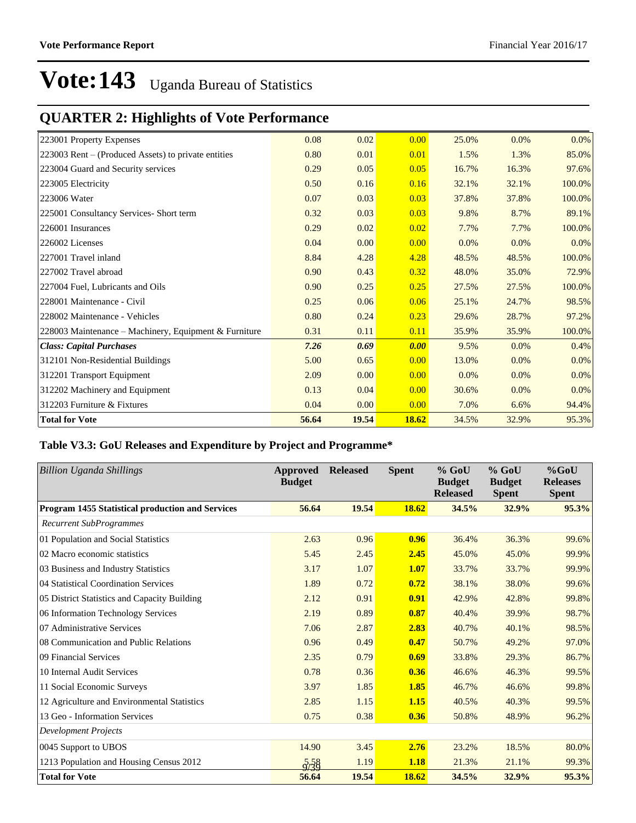## **QUARTER 2: Highlights of Vote Performance**

| 223001 Property Expenses                              | 0.08  | 0.02  | 0.00  | 25.0% | 0.0%  | $0.0\%$ |
|-------------------------------------------------------|-------|-------|-------|-------|-------|---------|
| 223003 Rent – (Produced Assets) to private entities   | 0.80  | 0.01  | 0.01  | 1.5%  | 1.3%  | 85.0%   |
| 223004 Guard and Security services                    | 0.29  | 0.05  | 0.05  | 16.7% | 16.3% | 97.6%   |
| 223005 Electricity                                    | 0.50  | 0.16  | 0.16  | 32.1% | 32.1% | 100.0%  |
| 223006 Water                                          | 0.07  | 0.03  | 0.03  | 37.8% | 37.8% | 100.0%  |
| 225001 Consultancy Services- Short term               | 0.32  | 0.03  | 0.03  | 9.8%  | 8.7%  | 89.1%   |
| 226001 Insurances                                     | 0.29  | 0.02  | 0.02  | 7.7%  | 7.7%  | 100.0%  |
| 226002 Licenses                                       | 0.04  | 0.00  | 0.00  | 0.0%  | 0.0%  | 0.0%    |
| 227001 Travel inland                                  | 8.84  | 4.28  | 4.28  | 48.5% | 48.5% | 100.0%  |
| 227002 Travel abroad                                  | 0.90  | 0.43  | 0.32  | 48.0% | 35.0% | 72.9%   |
| 227004 Fuel, Lubricants and Oils                      | 0.90  | 0.25  | 0.25  | 27.5% | 27.5% | 100.0%  |
| 228001 Maintenance - Civil                            | 0.25  | 0.06  | 0.06  | 25.1% | 24.7% | 98.5%   |
| 228002 Maintenance - Vehicles                         | 0.80  | 0.24  | 0.23  | 29.6% | 28.7% | 97.2%   |
| 228003 Maintenance – Machinery, Equipment & Furniture | 0.31  | 0.11  | 0.11  | 35.9% | 35.9% | 100.0%  |
| <b>Class: Capital Purchases</b>                       | 7.26  | 0.69  | 0.00  | 9.5%  | 0.0%  | 0.4%    |
| 312101 Non-Residential Buildings                      | 5.00  | 0.65  | 0.00  | 13.0% | 0.0%  | 0.0%    |
| 312201 Transport Equipment                            | 2.09  | 0.00  | 0.00  | 0.0%  | 0.0%  | 0.0%    |
| 312202 Machinery and Equipment                        | 0.13  | 0.04  | 0.00  | 30.6% | 0.0%  | $0.0\%$ |
| 312203 Furniture & Fixtures                           | 0.04  | 0.00  | 0.00  | 7.0%  | 6.6%  | 94.4%   |
| <b>Total for Vote</b>                                 | 56.64 | 19.54 | 18.62 | 34.5% | 32.9% | 95.3%   |

## **Table V3.3: GoU Releases and Expenditure by Project and Programme\***

| <b>Billion Uganda Shillings</b>                  | <b>Approved</b><br><b>Budget</b> | <b>Released</b> | <b>Spent</b> | $%$ GoU<br><b>Budget</b><br><b>Released</b> | $%$ GoU<br><b>Budget</b><br><b>Spent</b> | $%$ GoU<br><b>Releases</b><br><b>Spent</b> |
|--------------------------------------------------|----------------------------------|-----------------|--------------|---------------------------------------------|------------------------------------------|--------------------------------------------|
| Program 1455 Statistical production and Services | 56.64                            | 19.54           | 18.62        | 34.5%                                       | 32.9%                                    | 95.3%                                      |
| <b>Recurrent SubProgrammes</b>                   |                                  |                 |              |                                             |                                          |                                            |
| 01 Population and Social Statistics              | 2.63                             | 0.96            | 0.96         | 36.4%                                       | 36.3%                                    | 99.6%                                      |
| 02 Macro economic statistics                     | 5.45                             | 2.45            | 2.45         | 45.0%                                       | 45.0%                                    | 99.9%                                      |
| 03 Business and Industry Statistics              | 3.17                             | 1.07            | 1.07         | 33.7%                                       | 33.7%                                    | 99.9%                                      |
| 04 Statistical Coordination Services             | 1.89                             | 0.72            | 0.72         | 38.1%                                       | 38.0%                                    | 99.6%                                      |
| 05 District Statistics and Capacity Building     | 2.12                             | 0.91            | 0.91         | 42.9%                                       | 42.8%                                    | 99.8%                                      |
| 06 Information Technology Services               | 2.19                             | 0.89            | 0.87         | 40.4%                                       | 39.9%                                    | 98.7%                                      |
| 07 Administrative Services                       | 7.06                             | 2.87            | 2.83         | 40.7%                                       | 40.1%                                    | 98.5%                                      |
| 08 Communication and Public Relations            | 0.96                             | 0.49            | 0.47         | 50.7%                                       | 49.2%                                    | 97.0%                                      |
| 09 Financial Services                            | 2.35                             | 0.79            | 0.69         | 33.8%                                       | 29.3%                                    | 86.7%                                      |
| 10 Internal Audit Services                       | 0.78                             | 0.36            | 0.36         | 46.6%                                       | 46.3%                                    | 99.5%                                      |
| 11 Social Economic Surveys                       | 3.97                             | 1.85            | 1.85         | 46.7%                                       | 46.6%                                    | 99.8%                                      |
| 12 Agriculture and Environmental Statistics      | 2.85                             | 1.15            | 1.15         | 40.5%                                       | 40.3%                                    | 99.5%                                      |
| 13 Geo - Information Services                    | 0.75                             | 0.38            | 0.36         | 50.8%                                       | 48.9%                                    | 96.2%                                      |
| <b>Development Projects</b>                      |                                  |                 |              |                                             |                                          |                                            |
| 0045 Support to UBOS                             | 14.90                            | 3.45            | 2.76         | 23.2%                                       | 18.5%                                    | 80.0%                                      |
| 1213 Population and Housing Census 2012          | $\sqrt{2}/38$                    | 1.19            | 1.18         | 21.3%                                       | 21.1%                                    | 99.3%                                      |
| <b>Total for Vote</b>                            | 56.64                            | 19.54           | 18.62        | 34.5%                                       | 32.9%                                    | 95.3%                                      |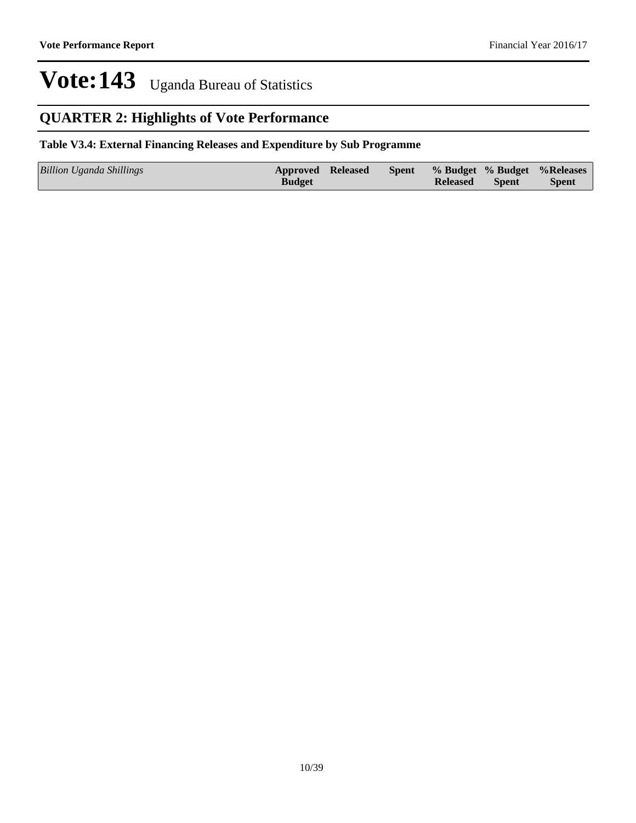## **QUARTER 2: Highlights of Vote Performance**

## **Table V3.4: External Financing Releases and Expenditure by Sub Programme**

| Billion Uganda Shillings | Approved Released |  |                 |              | Spent % Budget % Budget % Releases |
|--------------------------|-------------------|--|-----------------|--------------|------------------------------------|
|                          | <b>Budget</b>     |  | <b>Released</b> | <b>Spent</b> | <b>Spent</b>                       |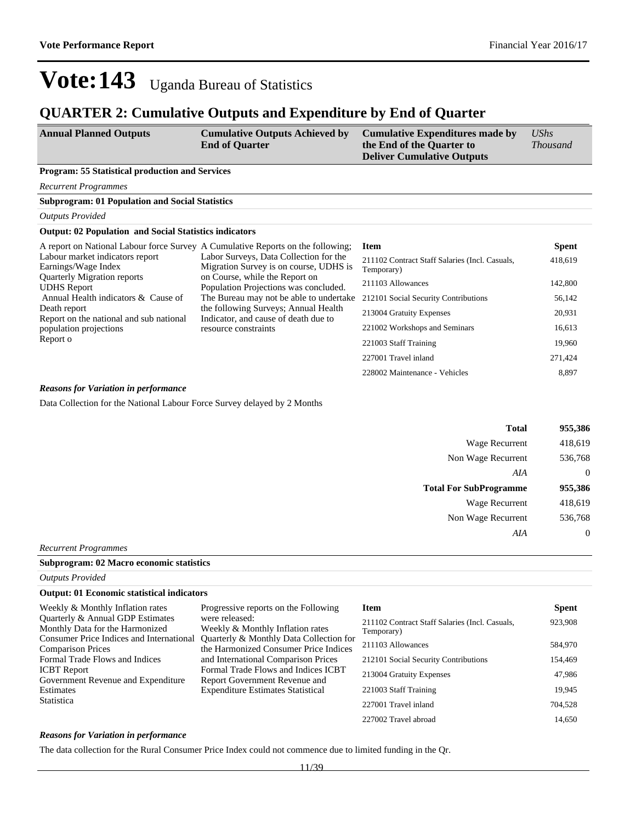## **QUARTER 2: Cumulative Outputs and Expenditure by End of Quarter**

| <b>Annual Planned Outputs</b> | <b>Cumulative Outputs Achieved by</b> | <b>Cumulative Expenditures made by</b> | UShs            |
|-------------------------------|---------------------------------------|----------------------------------------|-----------------|
|                               | <b>End of Ouarter</b>                 | the End of the Quarter to              | <i>Thousand</i> |
|                               |                                       | <b>Deliver Cumulative Outputs</b>      |                 |

## **Program: 55 Statistical production and Services**

**Subprogram: 01 Population and Social Statistics**

*Recurrent Programmes*

## *Outputs Provided*

## **Output: 02 Population and Social Statistics indicators**

| A report on National Labour force Survey A Cumulative Reports on the following; |                                                                                  | Item                                                         | <b>Spent</b> |
|---------------------------------------------------------------------------------|----------------------------------------------------------------------------------|--------------------------------------------------------------|--------------|
| Labour market indicators report<br>Earnings/Wage Index                          | Labor Surveys, Data Collection for the<br>Migration Survey is on course, UDHS is | 211102 Contract Staff Salaries (Incl. Casuals,<br>Temporary) | 418,619      |
| <b>Quarterly Migration reports</b><br><b>UDHS</b> Report                        | on Course, while the Report on<br>Population Projections was concluded.          | 211103 Allowances                                            | 142,800      |
| Annual Health indicators & Cause of                                             | The Bureau may not be able to undertake                                          | 212101 Social Security Contributions                         | 56,142       |
| Death report<br>Report on the national and sub national                         | the following Surveys; Annual Health<br>Indicator, and cause of death due to     | 213004 Gratuity Expenses                                     | 20,931       |
| population projections                                                          | resource constraints                                                             | 221002 Workshops and Seminars                                | 16,613       |
| Report o                                                                        |                                                                                  | 221003 Staff Training                                        | 19,960       |
|                                                                                 |                                                                                  | 227001 Travel inland                                         | 271,424      |
|                                                                                 |                                                                                  | 228002 Maintenance - Vehicles                                | 8.897        |

#### *Reasons for Variation in performance*

Data Collection for the National Labour Force Survey delayed by 2 Months

| 955,386          | <b>Total</b>                  |
|------------------|-------------------------------|
| 418,619          | <b>Wage Recurrent</b>         |
| 536,768          | Non Wage Recurrent            |
| $\overline{0}$   | AIA                           |
| 955,386          | <b>Total For SubProgramme</b> |
| 418,619          | <b>Wage Recurrent</b>         |
| 536,768          | Non Wage Recurrent            |
| $\boldsymbol{0}$ | AIA                           |
|                  |                               |

*Recurrent Programmes*

| Subprogram: 02 Macro economic statistics |  |
|------------------------------------------|--|
| <b>Outputs Provided</b>                  |  |

| <b>Output: 01 Economic statistical indicators</b>                    |                                                                                  |                                                              |              |
|----------------------------------------------------------------------|----------------------------------------------------------------------------------|--------------------------------------------------------------|--------------|
| Weekly & Monthly Inflation rates                                     | Progressive reports on the Following                                             | Item                                                         | <b>Spent</b> |
| Quarterly & Annual GDP Estimates<br>Monthly Data for the Harmonized  | were released:<br>Weekly & Monthly Inflation rates                               | 211102 Contract Staff Salaries (Incl. Casuals,<br>Temporary) | 923,908      |
| Consumer Price Indices and International<br><b>Comparison Prices</b> | Quarterly & Monthly Data Collection for<br>the Harmonized Consumer Price Indices | 211103 Allowances                                            | 584,970      |
| Formal Trade Flows and Indices                                       | and International Comparison Prices                                              | 212101 Social Security Contributions                         | 154,469      |
| <b>ICBT</b> Report<br>Government Revenue and Expenditure             | Formal Trade Flows and Indices ICBT<br>Report Government Revenue and             | 213004 Gratuity Expenses                                     | 47,986       |
| Estimates                                                            | <b>Expenditure Estimates Statistical</b>                                         | 221003 Staff Training                                        | 19.945       |
| Statistica                                                           |                                                                                  | 227001 Travel inland                                         | 704.528      |
|                                                                      |                                                                                  | 227002 Travel abroad                                         | 14.650       |

#### *Reasons for Variation in performance*

The data collection for the Rural Consumer Price Index could not commence due to limited funding in the Qr.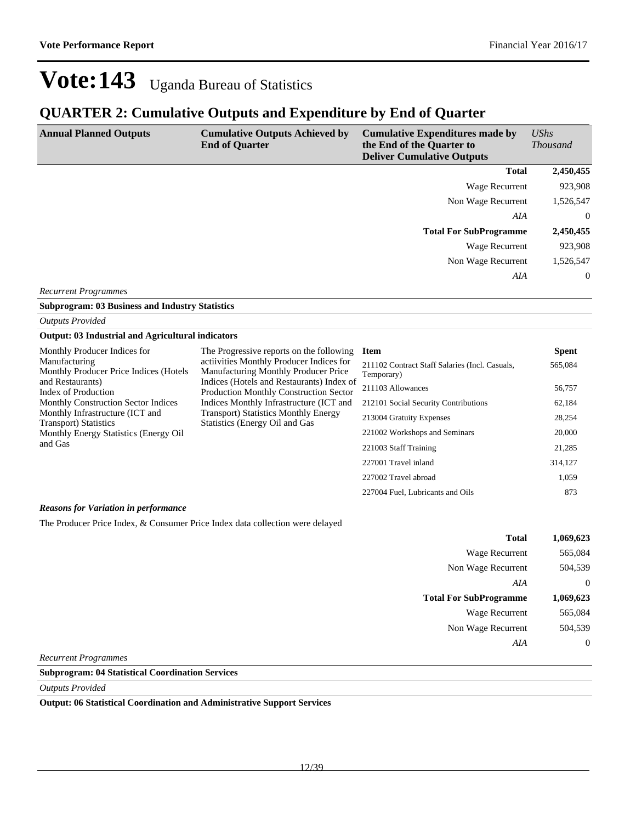227004 Fuel, Lubricants and Oils 873

## Vote: 143 Uganda Bureau of Statistics

## **QUARTER 2: Cumulative Outputs and Expenditure by End of Quarter**

| <b>Annual Planned Outputs</b> | <b>Cumulative Outputs Achieved by</b><br><b>End of Quarter</b> | <b>Cumulative Expenditures made by</b><br>the End of the Quarter to<br><b>Deliver Cumulative Outputs</b> | $\mathit{UShs}$<br><i>Thousand</i> |
|-------------------------------|----------------------------------------------------------------|----------------------------------------------------------------------------------------------------------|------------------------------------|
|                               |                                                                | <b>Total</b>                                                                                             | 2,450,455                          |
|                               |                                                                | Wage Recurrent                                                                                           | 923,908                            |
|                               |                                                                | Non Wage Recurrent                                                                                       | 1,526,547                          |
|                               |                                                                | AIA                                                                                                      | $\overline{0}$                     |
|                               |                                                                | <b>Total For SubProgramme</b>                                                                            | 2,450,455                          |
|                               |                                                                | Wage Recurrent                                                                                           | 923,908                            |
|                               |                                                                | Non Wage Recurrent                                                                                       | 1,526,547                          |
|                               |                                                                | AIA                                                                                                      | $\overline{0}$                     |

*Recurrent Programmes*

**Subprogram: 03 Business and Industry Statistics**

*Outputs Provided*

## **Output: 03 Industrial and Agricultural indicators**

| Monthly Producer Indices for                                                                                                                | The Progressive reports on the following                                                   | <b>Item</b>                          | <b>Spent</b> |
|---------------------------------------------------------------------------------------------------------------------------------------------|--------------------------------------------------------------------------------------------|--------------------------------------|--------------|
| actiivities Monthly Producer Indices for<br>Manufacturing<br>Monthly Producer Price Indices (Hotels<br>Manufacturing Monthly Producer Price | 211102 Contract Staff Salaries (Incl. Casuals,<br>Temporary)                               | 565,084                              |              |
| and Restaurants)<br>Index of Production                                                                                                     | Indices (Hotels and Restaurants) Index of<br><b>Production Monthly Construction Sector</b> | 211103 Allowances                    | 56,757       |
| <b>Monthly Construction Sector Indices</b>                                                                                                  | Indices Monthly Infrastructure (ICT and                                                    | 212101 Social Security Contributions | 62,184       |
| Monthly Infrastructure (ICT and<br>Transport) Statistics                                                                                    | <b>Transport</b> ) Statistics Monthly Energy<br>Statistics (Energy Oil and Gas             | 213004 Gratuity Expenses             | 28,254       |
| Monthly Energy Statistics (Energy Oil                                                                                                       |                                                                                            | 221002 Workshops and Seminars        | 20,000       |
| and Gas                                                                                                                                     |                                                                                            | 221003 Staff Training                | 21,285       |
|                                                                                                                                             |                                                                                            | 227001 Travel inland                 | 314.127      |
|                                                                                                                                             |                                                                                            | 227002 Travel abroad                 | 1.059        |

### *Reasons for Variation in performance*

The Producer Price Index, & Consumer Price Index data collection were delayed

| 1,069,623      | <b>Total</b>                  |
|----------------|-------------------------------|
| 565,084        | <b>Wage Recurrent</b>         |
| 504,539        | Non Wage Recurrent            |
| $\overline{0}$ | AIA                           |
| 1,069,623      | <b>Total For SubProgramme</b> |
| 565,084        | <b>Wage Recurrent</b>         |
| 504,539        | Non Wage Recurrent            |
| $\overline{0}$ | AIA                           |
|                |                               |

*Recurrent Programmes*

#### **Subprogram: 04 Statistical Coordination Services**

*Outputs Provided*

**Output: 06 Statistical Coordination and Administrative Support Services**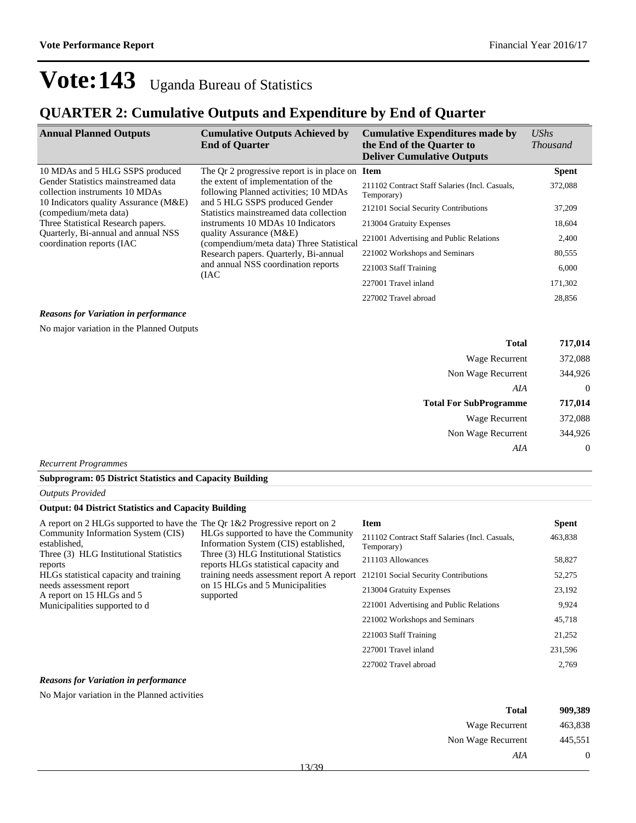## **QUARTER 2: Cumulative Outputs and Expenditure by End of Quarter**

| <b>Annual Planned Outputs</b>                                         | <b>Cumulative Outputs Achieved by</b><br><b>End of Quarter</b>                                                                                                                                                                                                        | <b>Cumulative Expenditures made by</b><br>the End of the Quarter to<br><b>Deliver Cumulative Outputs</b> | $\mathit{UShs}$<br><i>Thousand</i> |
|-----------------------------------------------------------------------|-----------------------------------------------------------------------------------------------------------------------------------------------------------------------------------------------------------------------------------------------------------------------|----------------------------------------------------------------------------------------------------------|------------------------------------|
| 10 MDAs and 5 HLG SSPS produced                                       | The Qr 2 progressive report is in place on Item                                                                                                                                                                                                                       |                                                                                                          | <b>Spent</b>                       |
| Gender Statistics mainstreamed data<br>collection instruments 10 MDAs | the extent of implementation of the<br>following Planned activities; 10 MDAs<br>and 5 HLG SSPS produced Gender<br>Statistics mainstreamed data collection<br>instruments 10 MDAs 10 Indicators<br>quality Assurance (M&E)<br>(compendium/meta data) Three Statistical | 211102 Contract Staff Salaries (Incl. Casuals,<br>Temporary)                                             | 372,088                            |
| 10 Indicators quality Assurance (M&E)<br>(compedium/meta data)        |                                                                                                                                                                                                                                                                       | 212101 Social Security Contributions                                                                     | 37,209                             |
| Three Statistical Research papers.                                    |                                                                                                                                                                                                                                                                       | 213004 Gratuity Expenses                                                                                 | 18,604                             |
| Quarterly, Bi-annual and annual NSS<br>coordination reports (IAC)     |                                                                                                                                                                                                                                                                       | 221001 Advertising and Public Relations                                                                  | 2,400                              |
| Research papers. Quarterly, Bi-annual                                 | 221002 Workshops and Seminars                                                                                                                                                                                                                                         | 80,555                                                                                                   |                                    |
|                                                                       | and annual NSS coordination reports<br>(IAC)                                                                                                                                                                                                                          | 221003 Staff Training                                                                                    | 6,000                              |
|                                                                       |                                                                                                                                                                                                                                                                       | 227001 Travel inland                                                                                     | 171,302                            |
|                                                                       |                                                                                                                                                                                                                                                                       | 227002 Travel abroad                                                                                     | 28,856                             |

#### *Reasons for Variation in performance*

No major variation in the Planned Outputs

| <b>Total</b>                  | 717,014        |
|-------------------------------|----------------|
| Wage Recurrent                | 372,088        |
| Non Wage Recurrent            | 344,926        |
| AIA                           | $\overline{0}$ |
| <b>Total For SubProgramme</b> | 717,014        |
| Wage Recurrent                | 372,088        |
| Non Wage Recurrent            | 344,926        |
| AIA                           | $\overline{0}$ |

*Recurrent Programmes*

### **Subprogram: 05 District Statistics and Capacity Building**

|  | <b>Outputs Provided</b> |
|--|-------------------------|
|--|-------------------------|

## **Output: 04 District Statistics and Capacity Building**

| A report on 2 HLGs supported to have the The Qr 1&2 Progressive report on 2                                                                                                    |                                                                                                                                                                  | <b>Item</b>                                                  | <b>Spent</b> |
|--------------------------------------------------------------------------------------------------------------------------------------------------------------------------------|------------------------------------------------------------------------------------------------------------------------------------------------------------------|--------------------------------------------------------------|--------------|
| Community Information System (CIS)<br>established.                                                                                                                             | HLGs supported to have the Community<br>Information System (CIS) established,<br>Three (3) HLG Institutional Statistics<br>reports HLGs statistical capacity and | 211102 Contract Staff Salaries (Incl. Casuals,<br>Temporary) | 463,838      |
| Three (3) HLG Institutional Statistics<br>reports                                                                                                                              |                                                                                                                                                                  | 211103 Allowances                                            | 58,827       |
| training needs assessment report A report<br>HLGs statistical capacity and training<br>on 15 HLGs and 5 Municipalities<br>needs assessment report<br>A report on 15 HLGs and 5 | 212101 Social Security Contributions                                                                                                                             | 52,275                                                       |              |
|                                                                                                                                                                                | supported                                                                                                                                                        | 213004 Gratuity Expenses                                     | 23,192       |
| Municipalities supported to d                                                                                                                                                  |                                                                                                                                                                  | 221001 Advertising and Public Relations                      | 9,924        |
|                                                                                                                                                                                |                                                                                                                                                                  | 221002 Workshops and Seminars                                | 45,718       |
|                                                                                                                                                                                |                                                                                                                                                                  | 221003 Staff Training                                        | 21,252       |
|                                                                                                                                                                                |                                                                                                                                                                  | 227001 Travel inland                                         | 231,596      |
|                                                                                                                                                                                |                                                                                                                                                                  | 227002 Travel abroad                                         | 2,769        |

## *Reasons for Variation in performance*

No Major variation in the Planned activities

| <b>Total</b>       | 909,389 |
|--------------------|---------|
| Wage Recurrent     | 463,838 |
| Non Wage Recurrent | 445,551 |
| AIA                |         |
| 13/30              |         |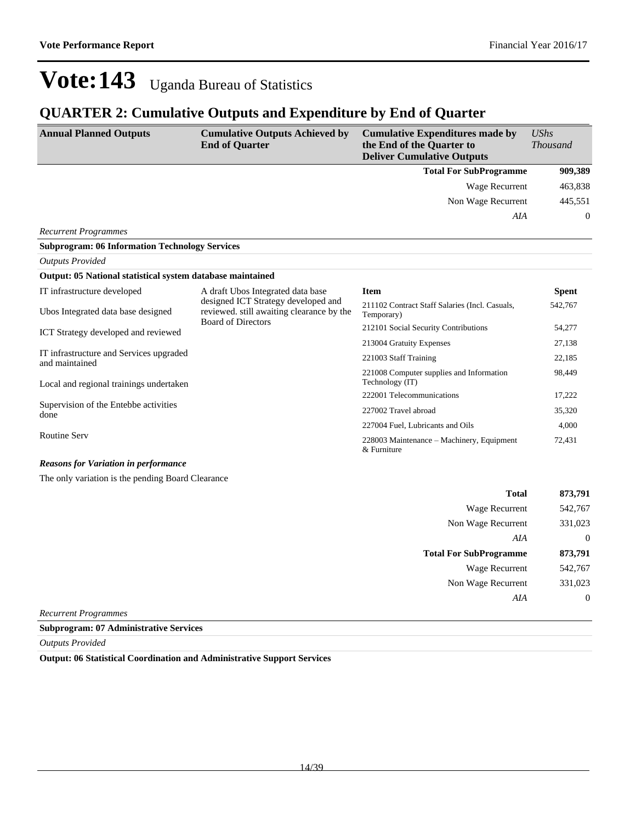## **QUARTER 2: Cumulative Outputs and Expenditure by End of Quarter**

| <b>Annual Planned Outputs</b>                              | <b>Cumulative Outputs Achieved by</b><br><b>End of Quarter</b>                                                                                     | <b>Cumulative Expenditures made by</b><br>the End of the Quarter to<br><b>Deliver Cumulative Outputs</b> | $\mathit{UShs}$<br><b>Thousand</b> |
|------------------------------------------------------------|----------------------------------------------------------------------------------------------------------------------------------------------------|----------------------------------------------------------------------------------------------------------|------------------------------------|
|                                                            |                                                                                                                                                    | <b>Total For SubProgramme</b>                                                                            | 909,389                            |
|                                                            |                                                                                                                                                    | <b>Wage Recurrent</b>                                                                                    | 463,838                            |
|                                                            |                                                                                                                                                    | Non Wage Recurrent                                                                                       | 445,551                            |
|                                                            |                                                                                                                                                    | AIA                                                                                                      | $\theta$                           |
| <b>Recurrent Programmes</b>                                |                                                                                                                                                    |                                                                                                          |                                    |
| <b>Subprogram: 06 Information Technology Services</b>      |                                                                                                                                                    |                                                                                                          |                                    |
| <b>Outputs Provided</b>                                    |                                                                                                                                                    |                                                                                                          |                                    |
| Output: 05 National statistical system database maintained |                                                                                                                                                    |                                                                                                          |                                    |
| IT infrastructure developed                                | A draft Ubos Integrated data base<br>designed ICT Strategy developed and<br>reviewed. still awaiting clearance by the<br><b>Board of Directors</b> | <b>Item</b>                                                                                              | <b>Spent</b>                       |
| Ubos Integrated data base designed                         |                                                                                                                                                    | 211102 Contract Staff Salaries (Incl. Casuals,<br>Temporary)                                             | 542,767                            |
| ICT Strategy developed and reviewed                        |                                                                                                                                                    | 212101 Social Security Contributions                                                                     | 54,277                             |
|                                                            |                                                                                                                                                    | 213004 Gratuity Expenses                                                                                 | 27,138                             |
| IT infrastructure and Services upgraded<br>and maintained  |                                                                                                                                                    | 221003 Staff Training                                                                                    | 22,185                             |
| Local and regional trainings undertaken                    |                                                                                                                                                    | 221008 Computer supplies and Information<br>Technology (IT)                                              | 98,449                             |
|                                                            |                                                                                                                                                    | 222001 Telecommunications                                                                                | 17,222                             |
| Supervision of the Entebbe activities<br>done              |                                                                                                                                                    | 227002 Travel abroad                                                                                     | 35,320                             |
|                                                            |                                                                                                                                                    | 227004 Fuel, Lubricants and Oils                                                                         | 4,000                              |
| <b>Routine Serv</b>                                        |                                                                                                                                                    | 228003 Maintenance – Machinery, Equipment<br>& Furniture                                                 | 72,431                             |
| <b>Reasons for Variation in performance</b>                |                                                                                                                                                    |                                                                                                          |                                    |
| The only variation is the pending Board Clearance          |                                                                                                                                                    |                                                                                                          |                                    |

| <b>Total</b>                  | 873,791  |
|-------------------------------|----------|
| Wage Recurrent                | 542,767  |
| Non Wage Recurrent            | 331,023  |
| AIA                           | $\theta$ |
| <b>Total For SubProgramme</b> | 873,791  |
| <b>Wage Recurrent</b>         | 542,767  |
| Non Wage Recurrent            | 331,023  |
| AIA                           | $\theta$ |
|                               |          |

*Recurrent Programmes*

**Subprogram: 07 Administrative Services**

*Outputs Provided*

**Output: 06 Statistical Coordination and Administrative Support Services**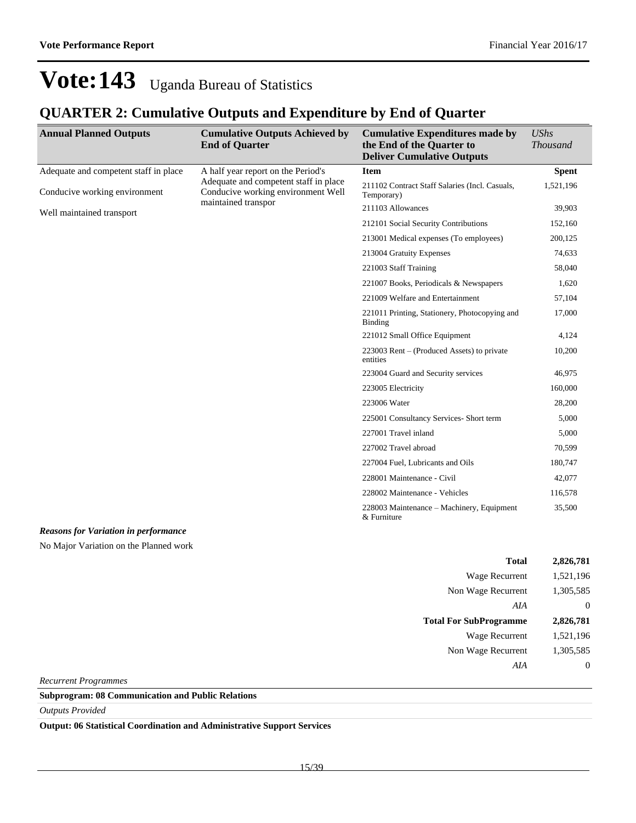## **QUARTER 2: Cumulative Outputs and Expenditure by End of Quarter**

| <b>Annual Planned Outputs</b>               | <b>Cumulative Outputs Achieved by</b><br><b>End of Quarter</b>                                                                           | <b>Cumulative Expenditures made by</b><br>the End of the Quarter to<br><b>Deliver Cumulative Outputs</b> | <b>UShs</b><br><b>Thousand</b> |
|---------------------------------------------|------------------------------------------------------------------------------------------------------------------------------------------|----------------------------------------------------------------------------------------------------------|--------------------------------|
| Adequate and competent staff in place       | A half year report on the Period's<br>Adequate and competent staff in place<br>Conducive working environment Well<br>maintained transpor | <b>Item</b>                                                                                              | <b>Spent</b>                   |
| Conducive working environment               |                                                                                                                                          | 211102 Contract Staff Salaries (Incl. Casuals,<br>Temporary)                                             | 1,521,196                      |
| Well maintained transport                   |                                                                                                                                          | 211103 Allowances                                                                                        | 39,903                         |
|                                             |                                                                                                                                          | 212101 Social Security Contributions                                                                     | 152,160                        |
|                                             |                                                                                                                                          | 213001 Medical expenses (To employees)                                                                   | 200,125                        |
|                                             |                                                                                                                                          | 213004 Gratuity Expenses                                                                                 | 74,633                         |
|                                             |                                                                                                                                          | 221003 Staff Training                                                                                    | 58,040                         |
|                                             |                                                                                                                                          | 221007 Books, Periodicals & Newspapers                                                                   | 1,620                          |
|                                             |                                                                                                                                          | 221009 Welfare and Entertainment                                                                         | 57,104                         |
|                                             |                                                                                                                                          | 221011 Printing, Stationery, Photocopying and<br><b>Binding</b>                                          | 17,000                         |
|                                             |                                                                                                                                          | 221012 Small Office Equipment                                                                            | 4,124                          |
|                                             |                                                                                                                                          | 223003 Rent $-$ (Produced Assets) to private<br>entities                                                 | 10,200                         |
|                                             |                                                                                                                                          | 223004 Guard and Security services                                                                       | 46,975                         |
|                                             |                                                                                                                                          | 223005 Electricity                                                                                       | 160,000                        |
|                                             |                                                                                                                                          | 223006 Water                                                                                             | 28,200                         |
|                                             |                                                                                                                                          | 225001 Consultancy Services- Short term                                                                  | 5,000                          |
|                                             |                                                                                                                                          | 227001 Travel inland                                                                                     | 5,000                          |
|                                             |                                                                                                                                          | 227002 Travel abroad                                                                                     | 70,599                         |
|                                             |                                                                                                                                          | 227004 Fuel, Lubricants and Oils                                                                         | 180,747                        |
|                                             |                                                                                                                                          | 228001 Maintenance - Civil                                                                               | 42,077                         |
|                                             |                                                                                                                                          | 228002 Maintenance - Vehicles                                                                            | 116,578                        |
|                                             |                                                                                                                                          | 228003 Maintenance - Machinery, Equipment<br>& Furniture                                                 | 35,500                         |
| <b>Reasons for Variation in performance</b> |                                                                                                                                          |                                                                                                          |                                |
| No Major Variation on the Planned work      |                                                                                                                                          |                                                                                                          |                                |
|                                             |                                                                                                                                          | <b>Total</b>                                                                                             | 2,826,781                      |
|                                             |                                                                                                                                          | Wage Recurrent                                                                                           | 1,521,196                      |
|                                             |                                                                                                                                          | $M_{\text{max}}$ $M_{\text{max}}$ $D_{\text{maxmax}}$                                                    | 1.205505                       |

| Wage Recurrent                | 1,521,196 |
|-------------------------------|-----------|
| Non Wage Recurrent            | 1,305,585 |
| AIA                           | 0         |
| <b>Total For SubProgramme</b> | 2,826,781 |
| Wage Recurrent                | 1,521,196 |
| Non Wage Recurrent            | 1,305,585 |
| AIA                           | 0         |
|                               |           |

*Recurrent Programmes*

**Subprogram: 08 Communication and Public Relations**

*Outputs Provided*

**Output: 06 Statistical Coordination and Administrative Support Services**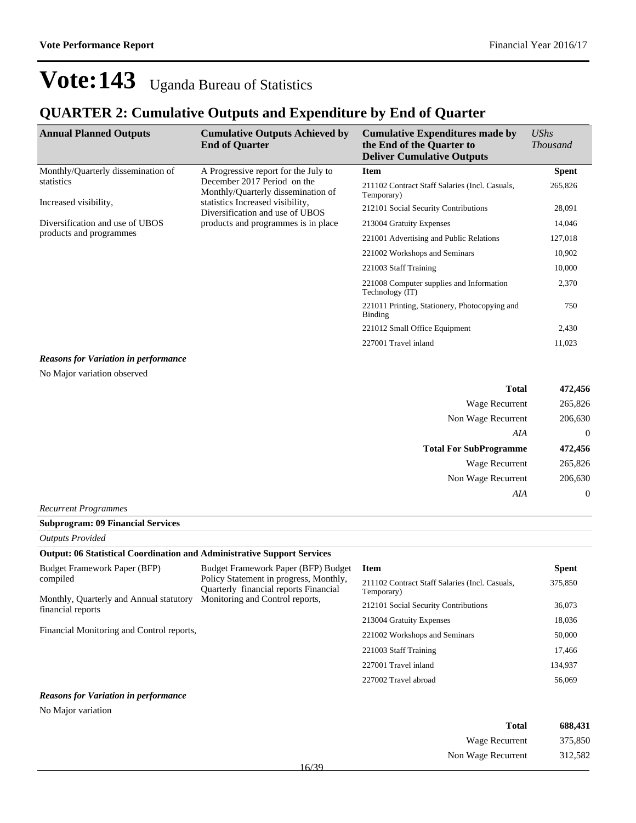## **QUARTER 2: Cumulative Outputs and Expenditure by End of Quarter**

| <b>Annual Planned Outputs</b>               | <b>Cumulative Outputs Achieved by</b><br><b>End of Quarter</b>      | <b>Cumulative Expenditures made by</b><br>the End of the Quarter to<br><b>Deliver Cumulative Outputs</b> | <b>UShs</b><br><i>Thousand</i> |
|---------------------------------------------|---------------------------------------------------------------------|----------------------------------------------------------------------------------------------------------|--------------------------------|
| Monthly/Quarterly dissemination of          | A Progressive report for the July to                                | <b>Item</b>                                                                                              | <b>Spent</b>                   |
| statistics                                  | December 2017 Period on the<br>Monthly/Quarterly dissemination of   | 211102 Contract Staff Salaries (Incl. Casuals,<br>Temporary)                                             | 265,826                        |
| Increased visibility,                       | statistics Increased visibility,<br>Diversification and use of UBOS | 212101 Social Security Contributions                                                                     | 28,091                         |
| Diversification and use of UBOS             | products and programmes is in place                                 | 213004 Gratuity Expenses                                                                                 | 14,046                         |
| products and programmes                     |                                                                     | 221001 Advertising and Public Relations                                                                  | 127,018                        |
|                                             |                                                                     | 221002 Workshops and Seminars                                                                            | 10,902                         |
|                                             |                                                                     | 221003 Staff Training                                                                                    | 10,000                         |
|                                             |                                                                     | 221008 Computer supplies and Information<br>Technology (IT)                                              | 2,370                          |
|                                             |                                                                     | 221011 Printing, Stationery, Photocopying and<br><b>Binding</b>                                          | 750                            |
|                                             |                                                                     | 221012 Small Office Equipment                                                                            | 2,430                          |
|                                             |                                                                     | 227001 Travel inland                                                                                     | 11,023                         |
| <b>Reasons for Variation in performance</b> |                                                                     |                                                                                                          |                                |

No Major variation observed

| <b>Total</b>                  | 472,456  |
|-------------------------------|----------|
| Wage Recurrent                | 265,826  |
| Non Wage Recurrent            | 206,630  |
| AIA                           | $\theta$ |
|                               |          |
| <b>Total For SubProgramme</b> | 472,456  |
| Wage Recurrent                | 265,826  |
| Non Wage Recurrent            | 206,630  |

### *Recurrent Programmes*

#### **Subprogram: 09 Financial Services**

*Outputs Provided*

### **Output: 06 Statistical Coordination and Administrative Support Services**

| <b>Budget Framework Paper (BFP)</b>                          | Budget Framework Paper (BFP) Budget                                             | Item                                                         | <b>Spent</b> |
|--------------------------------------------------------------|---------------------------------------------------------------------------------|--------------------------------------------------------------|--------------|
| compiled                                                     | Policy Statement in progress, Monthly,<br>Quarterly financial reports Financial | 211102 Contract Staff Salaries (Incl. Casuals,<br>Temporary) | 375,850      |
| Monthly, Quarterly and Annual statutory<br>financial reports | Monitoring and Control reports,                                                 | 212101 Social Security Contributions                         | 36,073       |
|                                                              |                                                                                 | 213004 Gratuity Expenses                                     | 18,036       |
| Financial Monitoring and Control reports,                    |                                                                                 | 221002 Workshops and Seminars                                | 50,000       |
|                                                              |                                                                                 | 221003 Staff Training                                        | 17,466       |
|                                                              |                                                                                 | 227001 Travel inland                                         | 134,937      |
|                                                              |                                                                                 | 227002 Travel abroad                                         | 56,069       |
|                                                              |                                                                                 |                                                              |              |

### *Reasons for Variation in performance*

No Major variation

| Total              | 688,431 |
|--------------------|---------|
| Wage Recurrent     | 375,850 |
| Non Wage Recurrent | 312,582 |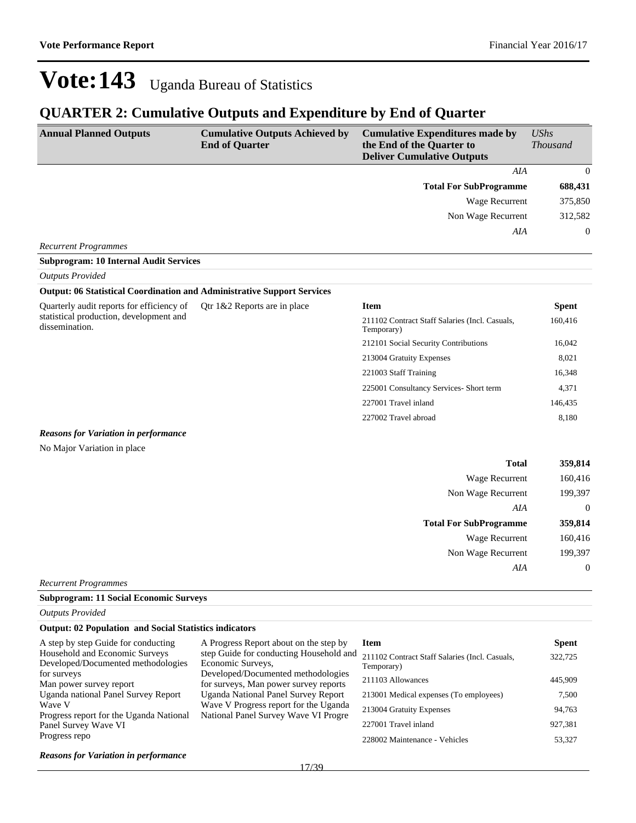Non Wage Recurrent 199,397

*AIA* 0

## Vote: 143 Uganda Bureau of Statistics

## **QUARTER 2: Cumulative Outputs and Expenditure by End of Quarter**

| <b>Annual Planned Outputs</b>                                                  | <b>Cumulative Outputs Achieved by</b><br><b>End of Quarter</b> | <b>Cumulative Expenditures made by</b><br>the End of the Quarter to<br><b>Deliver Cumulative Outputs</b> | <b>UShs</b><br><b>Thousand</b> |
|--------------------------------------------------------------------------------|----------------------------------------------------------------|----------------------------------------------------------------------------------------------------------|--------------------------------|
|                                                                                |                                                                | AIA                                                                                                      | $\overline{0}$                 |
|                                                                                |                                                                | <b>Total For SubProgramme</b>                                                                            | 688,431                        |
|                                                                                |                                                                | Wage Recurrent                                                                                           | 375,850                        |
|                                                                                |                                                                | Non Wage Recurrent                                                                                       | 312,582                        |
|                                                                                |                                                                | <b>AIA</b>                                                                                               | $\overline{0}$                 |
| <b>Recurrent Programmes</b>                                                    |                                                                |                                                                                                          |                                |
| <b>Subprogram: 10 Internal Audit Services</b>                                  |                                                                |                                                                                                          |                                |
| <b>Outputs Provided</b>                                                        |                                                                |                                                                                                          |                                |
| <b>Output: 06 Statistical Coordination and Administrative Support Services</b> |                                                                |                                                                                                          |                                |
| Quarterly audit reports for efficiency of                                      | Qtr 1&2 Reports are in place                                   | <b>Item</b>                                                                                              | <b>Spent</b>                   |
| statistical production, development and<br>dissemination.                      |                                                                | 211102 Contract Staff Salaries (Incl. Casuals,<br>Temporary)                                             | 160,416                        |
|                                                                                |                                                                | 212101 Social Security Contributions                                                                     | 16,042                         |
|                                                                                |                                                                | 213004 Gratuity Expenses                                                                                 | 8,021                          |
|                                                                                |                                                                | 221003 Staff Training                                                                                    | 16,348                         |
|                                                                                |                                                                | 225001 Consultancy Services- Short term                                                                  | 4,371                          |
|                                                                                |                                                                | 227001 Travel inland                                                                                     | 146,435                        |
|                                                                                |                                                                | 227002 Travel abroad                                                                                     | 8,180                          |
| <b>Reasons for Variation in performance</b>                                    |                                                                |                                                                                                          |                                |
| No Major Variation in place                                                    |                                                                |                                                                                                          |                                |
|                                                                                |                                                                | <b>Total</b>                                                                                             | 359,814                        |
|                                                                                |                                                                | <b>Wage Recurrent</b>                                                                                    | 160,416                        |
|                                                                                |                                                                | Non Wage Recurrent                                                                                       | 199,397                        |
|                                                                                |                                                                | AIA                                                                                                      | $\theta$                       |
|                                                                                |                                                                | <b>Total For SubProgramme</b>                                                                            | 359,814                        |
|                                                                                |                                                                | Wage Recurrent                                                                                           | 160,416                        |

*Recurrent Programmes*

**Subprogram: 11 Social Economic Surveys**

*Outputs Provided*

### **Output: 02 Population and Social Statistics indicators**

| A step by step Guide for conducting                                  | A Progress Report about on the step by                                        | Item                                                         | <b>Spent</b> |
|----------------------------------------------------------------------|-------------------------------------------------------------------------------|--------------------------------------------------------------|--------------|
| Household and Economic Surveys<br>Developed/Documented methodologies | step Guide for conducting Household and<br>Economic Surveys,                  | 211102 Contract Staff Salaries (Incl. Casuals,<br>Temporary) | 322,725      |
| for surveys<br>Man power survey report                               | Developed/Documented methodologies<br>for surveys, Man power survey reports   | 211103 Allowances                                            | 445,909      |
| Uganda national Panel Survey Report                                  | Uganda National Panel Survey Report                                           | 213001 Medical expenses (To employees)                       | 7,500        |
| Wave V<br>Progress report for the Uganda National                    | Wave V Progress report for the Uganda<br>National Panel Survey Wave VI Progre | 213004 Gratuity Expenses                                     | 94,763       |
| Panel Survey Wave VI                                                 |                                                                               | 227001 Travel inland                                         | 927,381      |
| Progress repo                                                        |                                                                               | 228002 Maintenance - Vehicles                                | 53,327       |
| <b>Reasons for Variation in performance</b>                          |                                                                               |                                                              |              |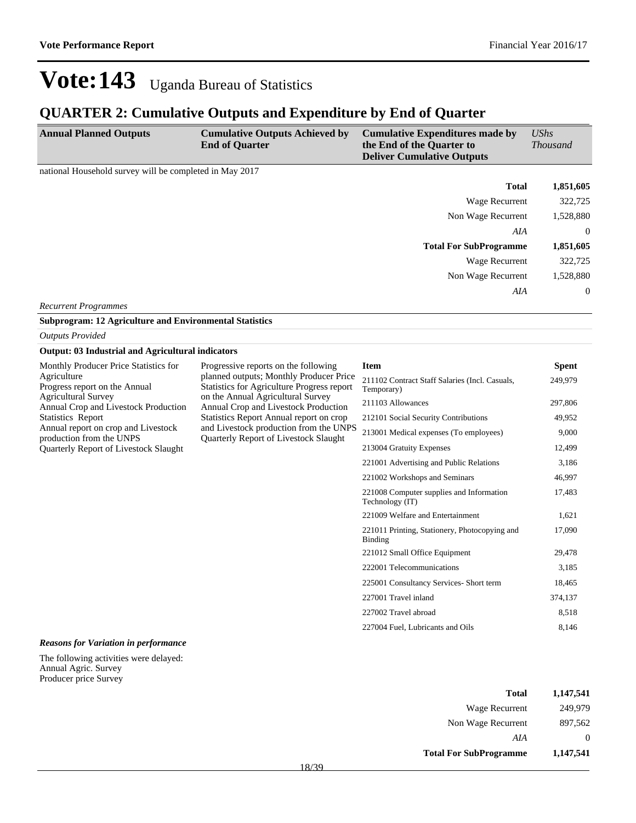## **QUARTER 2: Cumulative Outputs and Expenditure by End of Quarter**

| <b>Annual Planned Outputs</b>                           | <b>Cumulative Outputs Achieved by</b><br><b>End of Quarter</b> | <b>Cumulative Expenditures made by</b><br>the End of the Quarter to<br><b>Deliver Cumulative Outputs</b> | $\mathit{UShs}$<br><b>Thousand</b> |
|---------------------------------------------------------|----------------------------------------------------------------|----------------------------------------------------------------------------------------------------------|------------------------------------|
| national Household survey will be completed in May 2017 |                                                                |                                                                                                          |                                    |
|                                                         |                                                                | <b>Total</b>                                                                                             | 1,851,605                          |
|                                                         |                                                                | Wage Recurrent                                                                                           | 322,725                            |
|                                                         |                                                                | Non Wage Recurrent                                                                                       | 1,528,880                          |
|                                                         |                                                                | AIA                                                                                                      | $\Omega$                           |
|                                                         |                                                                | <b>Total For SubProgramme</b>                                                                            | 1,851,605                          |
|                                                         |                                                                | Wage Recurrent                                                                                           | 322,725                            |
|                                                         |                                                                | Non Wage Recurrent                                                                                       | 1,528,880                          |
|                                                         |                                                                | AIA                                                                                                      | $\Omega$                           |

*Recurrent Programmes*

**Subprogram: 12 Agriculture and Environmental Statistics**

*Outputs Provided*

#### **Output: 03 Industrial and Agricultural indicators**

| Monthly Producer Price Statistics for       |
|---------------------------------------------|
| Agriculture                                 |
| Progress report on the Annual               |
| Agricultural Survey                         |
| <b>Annual Crop and Livestock Production</b> |
| <b>Statistics Report</b>                    |
| Annual report on crop and Livestock         |
| production from the UNPS                    |
| Quarterly Report of Livestock Slaught       |

Progressive reports on the following planned outputs; Monthly Producer Price Statistics for Agriculture Progress report on the Annual Agricultural Survey Annual Crop and Livestock Production Statistics Report Annual report on crop and Livestock production from the UNPS Quarterly Report of Livestock Slaught

### **Item Spent** 211102 Contract Staff Salaries (Incl. Casuals, Temporary) 249,979 211103 Allowances 297,806 212101 Social Security Contributions 49,952 213001 Medical expenses (To employees) 9,000 213004 Gratuity Expenses 12,499 221001 Advertising and Public Relations 3,186 221002 Workshops and Seminars 46,997 221008 Computer supplies and Information Technology (IT) 17,483 221009 Welfare and Entertainment 1,621 221011 Printing, Stationery, Photocopying and Binding 17,090 221012 Small Office Equipment 29,478 222001 Telecommunications 3,185 225001 Consultancy Services- Short term 18,465 227001 Travel inland 374,137 227002 Travel abroad 8,518 227004 Fuel, Lubricants and Oils 8,146

#### *Reasons for Variation in performance*

The following activities were delayed: Annual Agric. Survey Producer price Survey

| <b>Total</b>                  | 1,147,541 |
|-------------------------------|-----------|
| Wage Recurrent                | 249,979   |
| Non Wage Recurrent            | 897,562   |
| AIA                           | $\theta$  |
| <b>Total For SubProgramme</b> | 1,147,541 |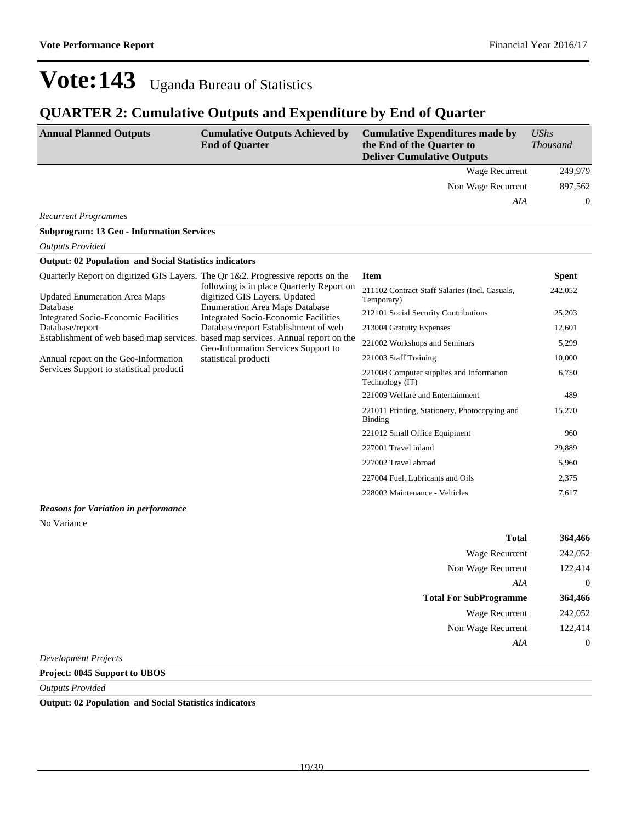## **QUARTER 2: Cumulative Outputs and Expenditure by End of Quarter**

| <b>Annual Planned Outputs</b>                                                        | <b>Cumulative Outputs Achieved by</b><br><b>End of Quarter</b>                                                                                                                                                                                                                                                                                          | <b>Cumulative Expenditures made by</b><br>the End of the Quarter to<br><b>Deliver Cumulative Outputs</b> | UShs<br><b>Thousand</b> |
|--------------------------------------------------------------------------------------|---------------------------------------------------------------------------------------------------------------------------------------------------------------------------------------------------------------------------------------------------------------------------------------------------------------------------------------------------------|----------------------------------------------------------------------------------------------------------|-------------------------|
|                                                                                      |                                                                                                                                                                                                                                                                                                                                                         | <b>Wage Recurrent</b>                                                                                    | 249,979                 |
|                                                                                      |                                                                                                                                                                                                                                                                                                                                                         | Non Wage Recurrent                                                                                       | 897,562                 |
|                                                                                      |                                                                                                                                                                                                                                                                                                                                                         | AIA                                                                                                      | 0                       |
| <b>Recurrent Programmes</b>                                                          |                                                                                                                                                                                                                                                                                                                                                         |                                                                                                          |                         |
| <b>Subprogram: 13 Geo - Information Services</b>                                     |                                                                                                                                                                                                                                                                                                                                                         |                                                                                                          |                         |
| <b>Outputs Provided</b>                                                              |                                                                                                                                                                                                                                                                                                                                                         |                                                                                                          |                         |
| <b>Output: 02 Population and Social Statistics indicators</b>                        |                                                                                                                                                                                                                                                                                                                                                         |                                                                                                          |                         |
| Quarterly Report on digitized GIS Layers. The Qr $1\&2$ . Progressive reports on the |                                                                                                                                                                                                                                                                                                                                                         | <b>Item</b>                                                                                              | <b>Spent</b>            |
| <b>Updated Enumeration Area Maps</b><br>Database                                     | following is in place Quarterly Report on<br>digitized GIS Layers. Updated<br><b>Enumeration Area Maps Database</b><br>Integrated Socio-Economic Facilities<br>Database/report Establishment of web<br>Establishment of web based map services. based map services. Annual report on the<br>Geo-Information Services Support to<br>statistical producti | 211102 Contract Staff Salaries (Incl. Casuals,<br>Temporary)                                             | 242,052                 |
| <b>Integrated Socio-Economic Facilities</b>                                          |                                                                                                                                                                                                                                                                                                                                                         | 212101 Social Security Contributions                                                                     | 25,203                  |
| Database/report                                                                      |                                                                                                                                                                                                                                                                                                                                                         | 213004 Gratuity Expenses                                                                                 | 12,601                  |
| Annual report on the Geo-Information<br>Services Support to statistical producti     |                                                                                                                                                                                                                                                                                                                                                         | 221002 Workshops and Seminars                                                                            | 5,299                   |
|                                                                                      |                                                                                                                                                                                                                                                                                                                                                         | 221003 Staff Training                                                                                    | 10,000                  |
|                                                                                      |                                                                                                                                                                                                                                                                                                                                                         | 221008 Computer supplies and Information<br>Technology (IT)                                              | 6,750                   |
|                                                                                      |                                                                                                                                                                                                                                                                                                                                                         | 221009 Welfare and Entertainment                                                                         | 489                     |
|                                                                                      |                                                                                                                                                                                                                                                                                                                                                         | 221011 Printing, Stationery, Photocopying and<br>Binding                                                 | 15,270                  |
|                                                                                      |                                                                                                                                                                                                                                                                                                                                                         | 221012 Small Office Equipment                                                                            | 960                     |
|                                                                                      |                                                                                                                                                                                                                                                                                                                                                         | 227001 Travel inland                                                                                     | 29,889                  |
|                                                                                      |                                                                                                                                                                                                                                                                                                                                                         | 227002 Travel abroad                                                                                     | 5,960                   |
|                                                                                      |                                                                                                                                                                                                                                                                                                                                                         | 227004 Fuel, Lubricants and Oils                                                                         | 2,375                   |
|                                                                                      |                                                                                                                                                                                                                                                                                                                                                         | 228002 Maintenance - Vehicles                                                                            | 7,617                   |
| <b>Reasons for Variation in performance</b><br>No Variance                           |                                                                                                                                                                                                                                                                                                                                                         |                                                                                                          |                         |

| 364,466        | <b>Total</b>                  |
|----------------|-------------------------------|
| 242,052        | <b>Wage Recurrent</b>         |
| 122,414        | Non Wage Recurrent            |
| $\overline{0}$ | AIA                           |
| 364,466        | <b>Total For SubProgramme</b> |
| 242,052        | <b>Wage Recurrent</b>         |
| 122,414        | Non Wage Recurrent            |
| $\overline{0}$ | AIA                           |
|                | $\sim$ $\sim$                 |

*Development Projects*

### **Project: 0045 Support to UBOS**

*Outputs Provided*

**Output: 02 Population and Social Statistics indicators**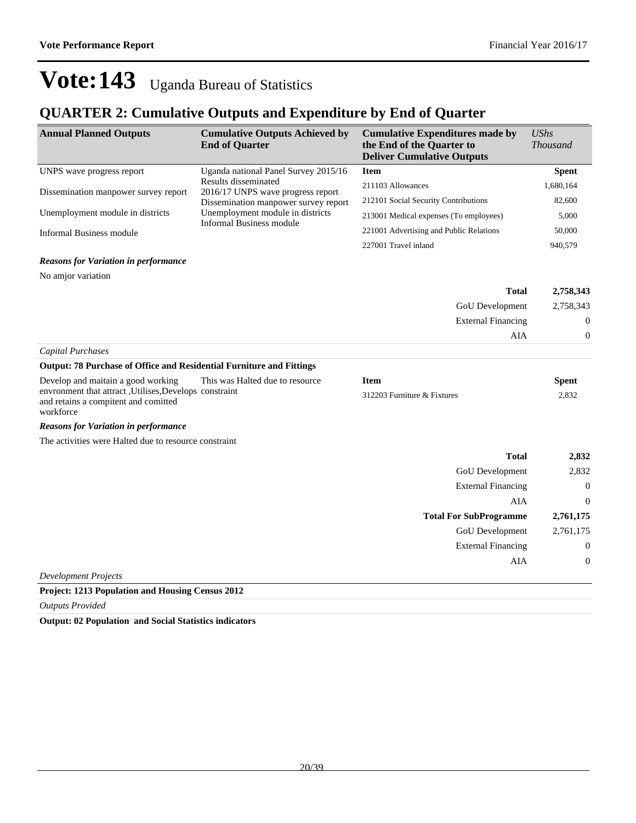## **QUARTER 2: Cumulative Outputs and Expenditure by End of Quarter**

| <b>Annual Planned Outputs</b>                                                                                | <b>Cumulative Outputs Achieved by</b><br><b>End of Quarter</b>      | <b>Cumulative Expenditures made by</b><br>the End of the Quarter to<br><b>Deliver Cumulative Outputs</b> | <b>UShs</b><br><b>Thousand</b> |
|--------------------------------------------------------------------------------------------------------------|---------------------------------------------------------------------|----------------------------------------------------------------------------------------------------------|--------------------------------|
| UNPS wave progress report                                                                                    | Uganda national Panel Survey 2015/16                                | <b>Item</b>                                                                                              | <b>Spent</b>                   |
| Dissemination manpower survey report                                                                         | Results disseminated<br>2016/17 UNPS wave progress report           | 211103 Allowances                                                                                        | 1,680,164                      |
|                                                                                                              | Dissemination manpower survey report                                | 212101 Social Security Contributions                                                                     | 82,600                         |
| Unemployment module in districts                                                                             | Unemployment module in districts<br><b>Informal Business module</b> | 213001 Medical expenses (To employees)                                                                   | 5,000                          |
| <b>Informal Business module</b>                                                                              |                                                                     | 221001 Advertising and Public Relations                                                                  | 50,000                         |
|                                                                                                              |                                                                     | 227001 Travel inland                                                                                     | 940,579                        |
| <b>Reasons for Variation in performance</b>                                                                  |                                                                     |                                                                                                          |                                |
| No amjor variation                                                                                           |                                                                     |                                                                                                          |                                |
|                                                                                                              |                                                                     | <b>Total</b>                                                                                             | 2,758,343                      |
|                                                                                                              |                                                                     | <b>GoU</b> Development                                                                                   | 2,758,343                      |
|                                                                                                              |                                                                     | <b>External Financing</b>                                                                                | $\Omega$                       |
|                                                                                                              |                                                                     | AIA                                                                                                      | $\mathbf{0}$                   |
| Capital Purchases                                                                                            |                                                                     |                                                                                                          |                                |
| <b>Output: 78 Purchase of Office and Residential Furniture and Fittings</b>                                  |                                                                     |                                                                                                          |                                |
| Develop and maitain a good working                                                                           | This was Halted due to resource                                     | <b>Item</b>                                                                                              | <b>Spent</b>                   |
| envronment that attract , Utilises, Develops constraint<br>and retains a compitent and comitted<br>workforce |                                                                     | 312203 Furniture & Fixtures                                                                              | 2.832                          |
| <b>Reasons for Variation in performance</b>                                                                  |                                                                     |                                                                                                          |                                |
| The activities were Halted due to resource constraint                                                        |                                                                     |                                                                                                          |                                |
|                                                                                                              |                                                                     | <b>Total</b>                                                                                             | 2,832                          |
|                                                                                                              |                                                                     | GoU Development                                                                                          | 2,832                          |
|                                                                                                              |                                                                     | <b>External Financing</b>                                                                                | $\mathbf{0}$                   |
|                                                                                                              |                                                                     | AIA                                                                                                      | $\Omega$                       |
|                                                                                                              |                                                                     | <b>Total For SubProgramme</b>                                                                            | 2,761,175                      |
|                                                                                                              |                                                                     | GoU Development                                                                                          | 2,761,175                      |
|                                                                                                              |                                                                     | <b>External Financing</b>                                                                                | $\Omega$                       |
|                                                                                                              |                                                                     | AIA                                                                                                      | $\boldsymbol{0}$               |
| <b>Development Projects</b>                                                                                  |                                                                     |                                                                                                          |                                |
| <b>Project: 1213 Population and Housing Census 2012</b>                                                      |                                                                     |                                                                                                          |                                |

*Outputs Provided*

**Output: 02 Population and Social Statistics indicators**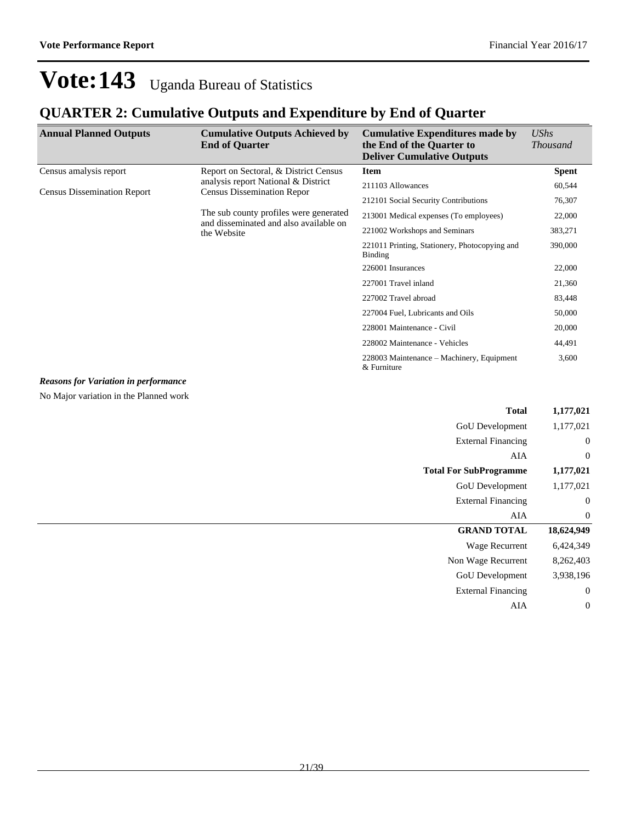## **QUARTER 2: Cumulative Outputs and Expenditure by End of Quarter**

| <b>Annual Planned Outputs</b>               | <b>Cumulative Outputs Achieved by</b><br><b>End of Quarter</b>                   | <b>Cumulative Expenditures made by</b><br>the End of the Quarter to<br><b>Deliver Cumulative Outputs</b> | <b>UShs</b><br><i>Thousand</i> |
|---------------------------------------------|----------------------------------------------------------------------------------|----------------------------------------------------------------------------------------------------------|--------------------------------|
| Census amalysis report                      | Report on Sectoral, & District Census                                            | <b>Item</b>                                                                                              | <b>Spent</b>                   |
| <b>Census Dissemination Report</b>          | analysis report National & District<br><b>Census Dissemination Repor</b>         | 211103 Allowances                                                                                        | 60,544                         |
|                                             |                                                                                  | 212101 Social Security Contributions                                                                     | 76,307                         |
|                                             | The sub county profiles were generated<br>and disseminated and also available on | 213001 Medical expenses (To employees)                                                                   | 22,000                         |
|                                             | the Website                                                                      | 221002 Workshops and Seminars                                                                            | 383,271                        |
|                                             |                                                                                  | 221011 Printing, Stationery, Photocopying and<br>Binding                                                 | 390,000                        |
|                                             |                                                                                  | 226001 Insurances                                                                                        | 22,000                         |
|                                             |                                                                                  | 227001 Travel inland                                                                                     | 21,360                         |
|                                             |                                                                                  | 227002 Travel abroad                                                                                     | 83,448                         |
|                                             |                                                                                  | 227004 Fuel, Lubricants and Oils                                                                         | 50,000                         |
|                                             |                                                                                  | 228001 Maintenance - Civil                                                                               | 20,000                         |
|                                             |                                                                                  | 228002 Maintenance - Vehicles                                                                            | 44,491                         |
|                                             |                                                                                  | 228003 Maintenance – Machinery, Equipment<br>$&$ Furniture                                               | 3,600                          |
| <b>Reasons for Variation in performance</b> |                                                                                  |                                                                                                          |                                |
| No Major variation in the Planned work      |                                                                                  |                                                                                                          |                                |
|                                             |                                                                                  | <b>Total</b>                                                                                             | 1,177,021                      |

| 1,177,021        | GoU Development               |
|------------------|-------------------------------|
| $\boldsymbol{0}$ | <b>External Financing</b>     |
| $\boldsymbol{0}$ | AIA                           |
| 1,177,021        | <b>Total For SubProgramme</b> |
| 1,177,021        | GoU Development               |
| $\boldsymbol{0}$ | <b>External Financing</b>     |
| $\mathbf{0}$     | AIA                           |
| 18,624,949       | <b>GRAND TOTAL</b>            |
| 6,424,349        | <b>Wage Recurrent</b>         |
| 8,262,403        | Non Wage Recurrent            |
| 3,938,196        | GoU Development               |
| $\mathbf{0}$     | <b>External Financing</b>     |
| $\mathbf{0}$     | AIA                           |
|                  |                               |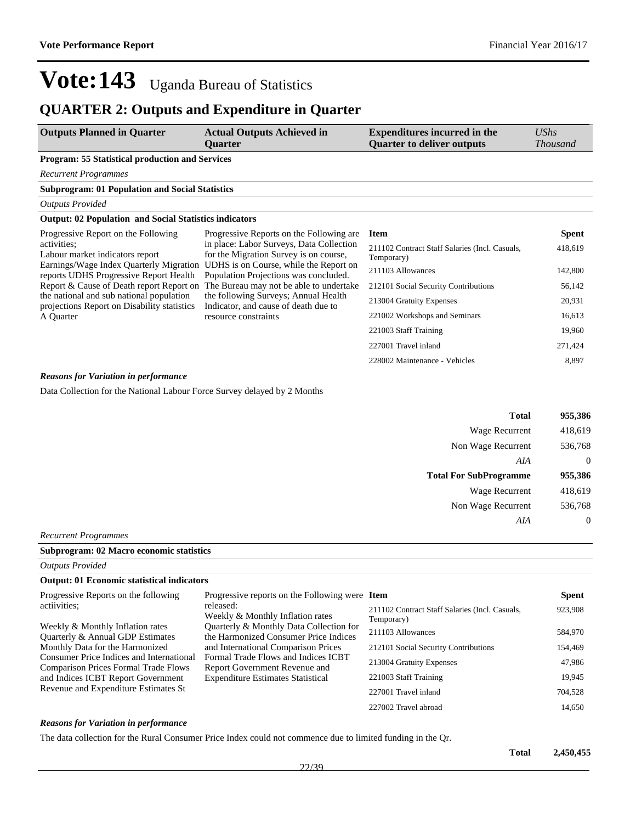## **QUARTER 2: Outputs and Expenditure in Quarter**

| <b>Outputs Planned in Quarter</b>                                                                                                                                                                                                                                                                                              | <b>Actual Outputs Achieved in</b><br>Quarter                                                                                                                                                                                                                                                                                                                          | <b>Expenditures incurred in the</b><br><b>Ouarter to deliver outputs</b> | UShs<br><i>Thousand</i> |
|--------------------------------------------------------------------------------------------------------------------------------------------------------------------------------------------------------------------------------------------------------------------------------------------------------------------------------|-----------------------------------------------------------------------------------------------------------------------------------------------------------------------------------------------------------------------------------------------------------------------------------------------------------------------------------------------------------------------|--------------------------------------------------------------------------|-------------------------|
| <b>Program: 55 Statistical production and Services</b>                                                                                                                                                                                                                                                                         |                                                                                                                                                                                                                                                                                                                                                                       |                                                                          |                         |
| <b>Recurrent Programmes</b>                                                                                                                                                                                                                                                                                                    |                                                                                                                                                                                                                                                                                                                                                                       |                                                                          |                         |
| <b>Subprogram: 01 Population and Social Statistics</b>                                                                                                                                                                                                                                                                         |                                                                                                                                                                                                                                                                                                                                                                       |                                                                          |                         |
| <b>Outputs Provided</b>                                                                                                                                                                                                                                                                                                        |                                                                                                                                                                                                                                                                                                                                                                       |                                                                          |                         |
| <b>Output: 02 Population and Social Statistics indicators</b>                                                                                                                                                                                                                                                                  |                                                                                                                                                                                                                                                                                                                                                                       |                                                                          |                         |
| Progressive Report on the Following<br>activities:<br>Labour market indicators report<br>Earnings/Wage Index Quarterly Migration<br>reports UDHS Progressive Report Health<br>Report & Cause of Death report Report on<br>the national and sub national population<br>projections Report on Disability statistics<br>A Quarter | Progressive Reports on the Following are.<br>in place: Labor Surveys, Data Collection<br>for the Migration Survey is on course,<br>UDHS is on Course, while the Report on<br>Population Projections was concluded.<br>The Bureau may not be able to undertake<br>the following Surveys; Annual Health<br>Indicator, and cause of death due to<br>resource constraints | <b>Item</b>                                                              | <b>Spent</b>            |
|                                                                                                                                                                                                                                                                                                                                |                                                                                                                                                                                                                                                                                                                                                                       | 211102 Contract Staff Salaries (Incl. Casuals,<br>Temporary)             | 418,619                 |
|                                                                                                                                                                                                                                                                                                                                |                                                                                                                                                                                                                                                                                                                                                                       | 211103 Allowances                                                        | 142,800                 |
|                                                                                                                                                                                                                                                                                                                                |                                                                                                                                                                                                                                                                                                                                                                       | 212101 Social Security Contributions                                     | 56,142                  |
|                                                                                                                                                                                                                                                                                                                                |                                                                                                                                                                                                                                                                                                                                                                       | 213004 Gratuity Expenses                                                 | 20,931                  |
|                                                                                                                                                                                                                                                                                                                                |                                                                                                                                                                                                                                                                                                                                                                       | 221002 Workshops and Seminars                                            | 16,613                  |
|                                                                                                                                                                                                                                                                                                                                |                                                                                                                                                                                                                                                                                                                                                                       | 221003 Staff Training                                                    | 19,960                  |
|                                                                                                                                                                                                                                                                                                                                |                                                                                                                                                                                                                                                                                                                                                                       | 227001 Travel inland                                                     | 271,424                 |
|                                                                                                                                                                                                                                                                                                                                |                                                                                                                                                                                                                                                                                                                                                                       | 228002 Maintenance - Vehicles                                            | 8,897                   |

### *Reasons for Variation in performance*

Data Collection for the National Labour Force Survey delayed by 2 Months

| 955,386     | <b>Total</b>                  |
|-------------|-------------------------------|
| 418,619     | Wage Recurrent                |
| 536,768     | Non Wage Recurrent            |
| $\mathbf 0$ | AIA                           |
| 955,386     | <b>Total For SubProgramme</b> |
| 418,619     | <b>Wage Recurrent</b>         |
| 536,768     | Non Wage Recurrent            |
| $\mathbf 0$ | AIA                           |
|             |                               |

*Recurrent Programmes*

#### **Subprogram: 02 Macro economic statistics**

*Outputs Provided*

#### **Output: 01 Economic statistical indicators**

| Progressive Reports on the following                                                                                       | Progressive reports on the Following were Item                                                                                                                                                                                              |                                                              | <b>Spent</b> |
|----------------------------------------------------------------------------------------------------------------------------|---------------------------------------------------------------------------------------------------------------------------------------------------------------------------------------------------------------------------------------------|--------------------------------------------------------------|--------------|
| actiivities:                                                                                                               | released:<br>Weekly & Monthly Inflation rates                                                                                                                                                                                               | 211102 Contract Staff Salaries (Incl. Casuals,<br>Temporary) | 923,908      |
| Weekly & Monthly Inflation rates<br>Quarterly & Annual GDP Estimates                                                       | Quarterly & Monthly Data Collection for<br>the Harmonized Consumer Price Indices<br>and International Comparison Prices<br>Formal Trade Flows and Indices ICBT<br>Report Government Revenue and<br><b>Expenditure Estimates Statistical</b> | 211103 Allowances                                            | 584,970      |
| Monthly Data for the Harmonized<br>Consumer Price Indices and International<br><b>Comparison Prices Formal Trade Flows</b> |                                                                                                                                                                                                                                             | 212101 Social Security Contributions                         | 154,469      |
|                                                                                                                            |                                                                                                                                                                                                                                             | 213004 Gratuity Expenses                                     | 47.986       |
| and Indices ICBT Report Government                                                                                         |                                                                                                                                                                                                                                             | 221003 Staff Training                                        | 19,945       |
| Revenue and Expenditure Estimates St                                                                                       | 227001 Travel inland                                                                                                                                                                                                                        | 704,528                                                      |              |
|                                                                                                                            |                                                                                                                                                                                                                                             | 227002 Travel abroad                                         | 14,650       |

#### *Reasons for Variation in performance*

The data collection for the Rural Consumer Price Index could not commence due to limited funding in the Qr.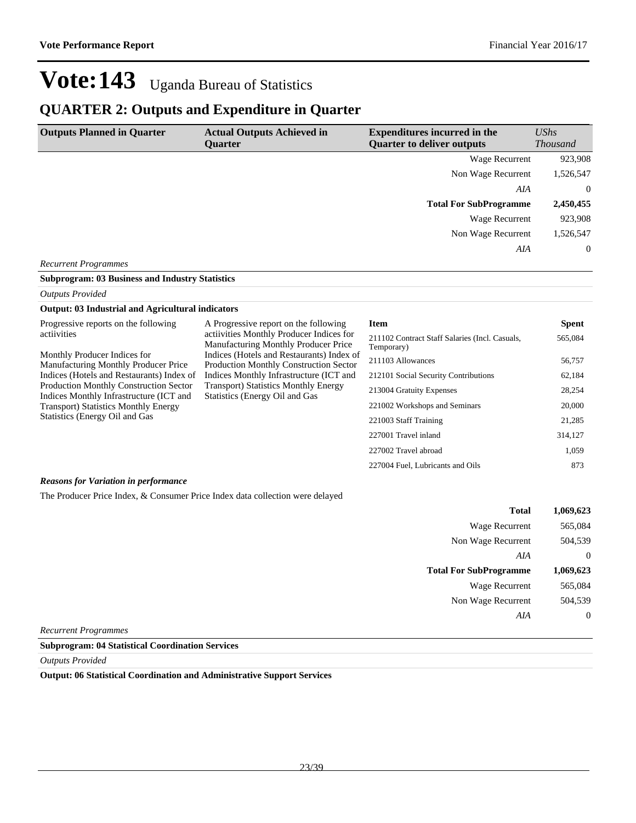## **QUARTER 2: Outputs and Expenditure in Quarter**

| <b>Outputs Planned in Quarter</b> | <b>Actual Outputs Achieved in</b><br><b>Ouarter</b> | <b>Expenditures incurred in the</b><br><b>Ouarter to deliver outputs</b> | UShs            |
|-----------------------------------|-----------------------------------------------------|--------------------------------------------------------------------------|-----------------|
|                                   |                                                     |                                                                          | <b>Thousand</b> |
|                                   |                                                     | Wage Recurrent                                                           | 923,908         |
|                                   |                                                     | Non Wage Recurrent                                                       | 1,526,547       |
|                                   |                                                     | AIA                                                                      | $\overline{0}$  |
|                                   |                                                     | <b>Total For SubProgramme</b>                                            | 2,450,455       |
|                                   |                                                     | Wage Recurrent                                                           | 923,908         |
|                                   |                                                     | Non Wage Recurrent                                                       | 1,526,547       |
|                                   |                                                     | AIA                                                                      | $\overline{0}$  |
| <b>Recurrent Programmes</b>       |                                                     |                                                                          |                 |

#### **Subprogram: 03 Business and Industry Statistics**

*Outputs Provided*

### **Output: 03 Industrial and Agricultural indicators**

| Progressive reports on the following<br>actiivities                                                                                      | A Progressive report on the following<br>activities Monthly Producer Indices for<br><b>Manufacturing Monthly Producer Price</b><br>Indices (Hotels and Restaurants) Index of<br><b>Production Monthly Construction Sector</b><br>Indices Monthly Infrastructure (ICT and | <b>Item</b><br>211102 Contract Staff Salaries (Incl. Casuals,<br>Temporary) | <b>Spent</b><br>565,084 |
|------------------------------------------------------------------------------------------------------------------------------------------|--------------------------------------------------------------------------------------------------------------------------------------------------------------------------------------------------------------------------------------------------------------------------|-----------------------------------------------------------------------------|-------------------------|
| Monthly Producer Indices for<br>Manufacturing Monthly Producer Price                                                                     |                                                                                                                                                                                                                                                                          | 211103 Allowances                                                           | 56,757                  |
| Indices (Hotels and Restaurants) Index of                                                                                                |                                                                                                                                                                                                                                                                          | 212101 Social Security Contributions                                        | 62,184                  |
| <b>Transport</b> ) Statistics Monthly Energy<br><b>Production Monthly Construction Sector</b><br>Indices Monthly Infrastructure (ICT and | 213004 Gratuity Expenses                                                                                                                                                                                                                                                 | 28,254                                                                      |                         |
| <b>Transport</b> ) Statistics Monthly Energy                                                                                             | Statistics (Energy Oil and Gas                                                                                                                                                                                                                                           | 221002 Workshops and Seminars                                               | 20,000                  |
| Statistics (Energy Oil and Gas                                                                                                           |                                                                                                                                                                                                                                                                          | 221003 Staff Training                                                       | 21,285                  |
|                                                                                                                                          |                                                                                                                                                                                                                                                                          | 227001 Travel inland                                                        | 314,127                 |
|                                                                                                                                          |                                                                                                                                                                                                                                                                          | 227002 Travel abroad                                                        | 1,059                   |
|                                                                                                                                          |                                                                                                                                                                                                                                                                          | 227004 Fuel, Lubricants and Oils                                            | 873                     |

### *Reasons for Variation in performance*

The Producer Price Index, & Consumer Price Index data collection were delayed

| 1,069,623 | <b>Total</b>                  |   |
|-----------|-------------------------------|---|
| 565,084   | <b>Wage Recurrent</b>         |   |
| 504,539   | Non Wage Recurrent            |   |
| $\theta$  | AIA                           |   |
| 1,069,623 | <b>Total For SubProgramme</b> |   |
| 565,084   | <b>Wage Recurrent</b>         |   |
| 504,539   | Non Wage Recurrent            |   |
| $\theta$  | AIA                           |   |
|           | $\overline{\phantom{a}}$      | _ |

*Recurrent Programmes*

**Subprogram: 04 Statistical Coordination Services**

*Outputs Provided*

**Output: 06 Statistical Coordination and Administrative Support Services**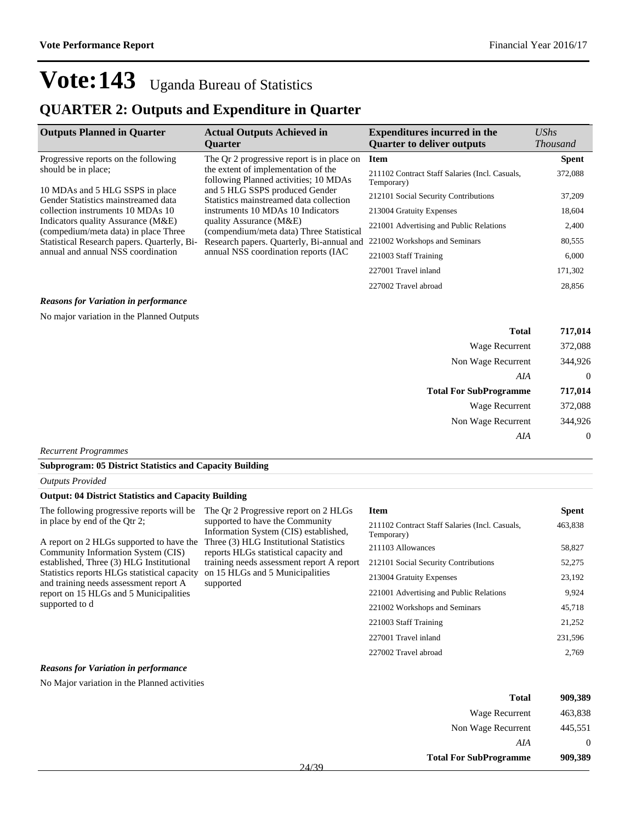## **QUARTER 2: Outputs and Expenditure in Quarter**

| <b>Outputs Planned in Quarter</b>                                           | <b>Actual Outputs Achieved in</b><br><b>Ouarter</b>                                                                                                                                   | <b>Expenditures incurred in the</b><br><b>Quarter to deliver outputs</b> | $\mathit{UShs}$<br><b>Thousand</b> |
|-----------------------------------------------------------------------------|---------------------------------------------------------------------------------------------------------------------------------------------------------------------------------------|--------------------------------------------------------------------------|------------------------------------|
| Progressive reports on the following                                        | The Qr 2 progressive report is in place on                                                                                                                                            | <b>Item</b>                                                              | <b>Spent</b>                       |
| should be in place;                                                         | the extent of implementation of the<br>following Planned activities; 10 MDAs                                                                                                          | 211102 Contract Staff Salaries (Incl. Casuals,<br>Temporary)             | 372,088                            |
| 10 MDAs and 5 HLG SSPS in place<br>Gender Statistics mainstreamed data      | and 5 HLG SSPS produced Gender<br>Statistics mainstreamed data collection<br>instruments 10 MDAs 10 Indicators<br>quality Assurance (M&E)<br>(compendium/meta data) Three Statistical | 212101 Social Security Contributions                                     | 37,209                             |
| collection instruments 10 MDAs 10                                           |                                                                                                                                                                                       | 213004 Gratuity Expenses                                                 | 18,604                             |
| Indicators quality Assurance (M&E)<br>(compedium/meta data) in place Three  |                                                                                                                                                                                       | 221001 Advertising and Public Relations                                  | 2,400                              |
| Statistical Research papers. Quarterly, Bi-                                 | Research papers. Quarterly, Bi-annual and                                                                                                                                             | 221002 Workshops and Seminars                                            | 80,555                             |
| annual and annual NSS coordination<br>annual NSS coordination reports (IAC) | 221003 Staff Training                                                                                                                                                                 | 6,000                                                                    |                                    |
|                                                                             |                                                                                                                                                                                       | 227001 Travel inland                                                     | 171,302                            |
|                                                                             |                                                                                                                                                                                       | 227002 Travel abroad                                                     | 28,856                             |

### *Reasons for Variation in performance*

No major variation in the Planned Outputs

| 717,014      | <b>Total</b>                  |
|--------------|-------------------------------|
| 372,088      | Wage Recurrent                |
| 344,926      | Non Wage Recurrent            |
| $\theta$     | AIA                           |
| 717,014      | <b>Total For SubProgramme</b> |
| 372,088      | Wage Recurrent                |
| 344,926      | Non Wage Recurrent            |
| $\mathbf{0}$ | AIA                           |
|              |                               |

supported to have the Community Information System (CIS) established,

*Recurrent Programmes*

#### **Subprogram: 05 District Statistics and Capacity Building**

*Outputs Provided*

#### **Output: 04 District Statistics and Capacity Building**

The following progressive reports will be The Qr 2 Progressive report on 2 HLGs in place by end of the Qtr 2;

A report on 2 HLGs supported to have the Three (3) HLG Institutional Statistics Community Information System (CIS) established, Three (3) HLG Institutional Statistics reports HLGs statistical capacity and training needs assessment report A report on 15 HLGs and 5 Municipalities supported to d reports HLGs statistical capacity and training needs assessment report A report on 15 HLGs and 5 Municipalities supported

| <b>Item</b>                                                  | Spent   |
|--------------------------------------------------------------|---------|
| 211102 Contract Staff Salaries (Incl. Casuals,<br>Temporary) | 463,838 |
| 211103 Allowances                                            | 58,827  |
| 212101 Social Security Contributions                         | 52,275  |
| 213004 Gratuity Expenses                                     | 23,192  |
| 221001 Advertising and Public Relations                      | 9,924   |
| 221002 Workshops and Seminars                                | 45.718  |
| 221003 Staff Training                                        | 21,252  |
| 227001 Travel inland                                         | 231,596 |
| 227002 Travel abroad                                         | 2.769   |

#### *Reasons for Variation in performance*

No Major variation in the Planned activities

| 1 otal                        | ソリソ・コロソ |
|-------------------------------|---------|
| Wage Recurrent                | 463,838 |
| Non Wage Recurrent            | 445,551 |
| AIA                           |         |
| <b>Total For SubProgramme</b> | 909,389 |

**Total 909,389**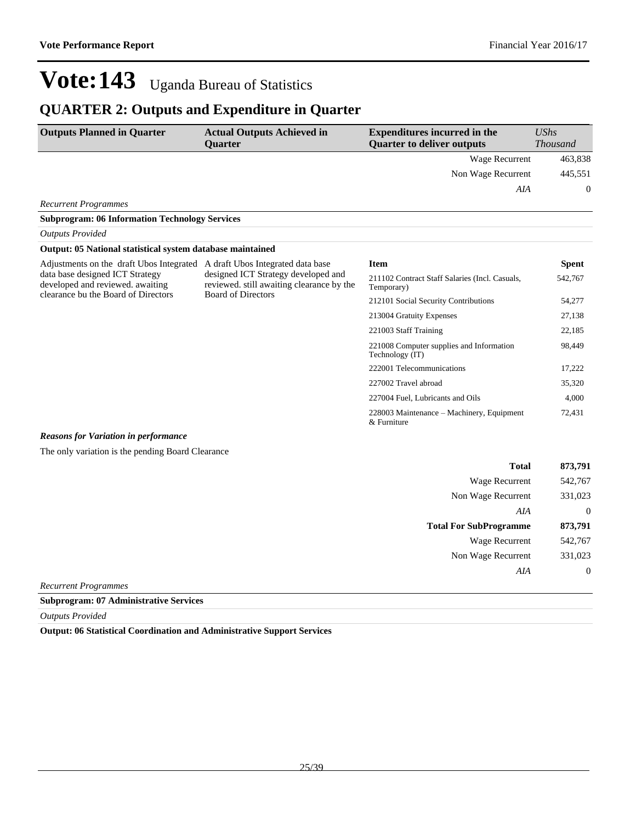## **QUARTER 2: Outputs and Expenditure in Quarter**

| <b>Outputs Planned in Quarter</b> | <b>Actual Outputs Achieved in</b><br>Ouarter | <b>Expenditures incurred in the</b><br><b>Quarter to deliver outputs</b> | <b>UShs</b><br><b>Thousand</b> |
|-----------------------------------|----------------------------------------------|--------------------------------------------------------------------------|--------------------------------|
|                                   |                                              | Wage Recurrent                                                           | 463,838                        |
|                                   |                                              | Non Wage Recurrent                                                       | 445,551                        |
|                                   |                                              | AIA                                                                      | $\Omega$                       |
| <b>Recurrent Programmes</b>       |                                              |                                                                          |                                |

### **Subprogram: 06 Information Technology Services** *Outputs Provided*

### **Output: 05 National statistical system database maintained**

| Adjustments on the draft Ubos Integrated<br>data base designed ICT Strategy<br>developed and reviewed, awaiting | A draft Ubos Integrated data base<br>designed ICT Strategy developed and<br>reviewed, still awaiting clearance by the<br><b>Board of Directors</b> | Item                                                         | <b>Spent</b> |
|-----------------------------------------------------------------------------------------------------------------|----------------------------------------------------------------------------------------------------------------------------------------------------|--------------------------------------------------------------|--------------|
|                                                                                                                 |                                                                                                                                                    | 211102 Contract Staff Salaries (Incl. Casuals,<br>Temporary) | 542,767      |
| clearance bu the Board of Directors                                                                             |                                                                                                                                                    | 212101 Social Security Contributions                         | 54,277       |
|                                                                                                                 |                                                                                                                                                    | 213004 Gratuity Expenses                                     | 27,138       |
|                                                                                                                 |                                                                                                                                                    | 221003 Staff Training                                        | 22,185       |
|                                                                                                                 |                                                                                                                                                    | 221008 Computer supplies and Information<br>Technology (IT)  | 98,449       |
|                                                                                                                 |                                                                                                                                                    | 222001 Telecommunications                                    | 17,222       |
|                                                                                                                 |                                                                                                                                                    | 227002 Travel abroad                                         | 35,320       |
|                                                                                                                 |                                                                                                                                                    | 227004 Fuel, Lubricants and Oils                             | 4,000        |
|                                                                                                                 |                                                                                                                                                    | 228003 Maintenance – Machinery, Equipment<br>& Furniture     | 72,431       |
|                                                                                                                 |                                                                                                                                                    |                                                              |              |

### *Reasons for Variation in performance*

The only variation is the pending Board Clearance

| <b>Total</b>                  | 873,791        |
|-------------------------------|----------------|
| Wage Recurrent                | 542,767        |
| Non Wage Recurrent            | 331,023        |
| AIA                           | $\overline{0}$ |
| <b>Total For SubProgramme</b> | 873,791        |
| Wage Recurrent                | 542,767        |
| Non Wage Recurrent            | 331,023        |
| AIA                           | $\overline{0}$ |

*Recurrent Programmes*

### **Subprogram: 07 Administrative Services**

*Outputs Provided*

**Output: 06 Statistical Coordination and Administrative Support Services**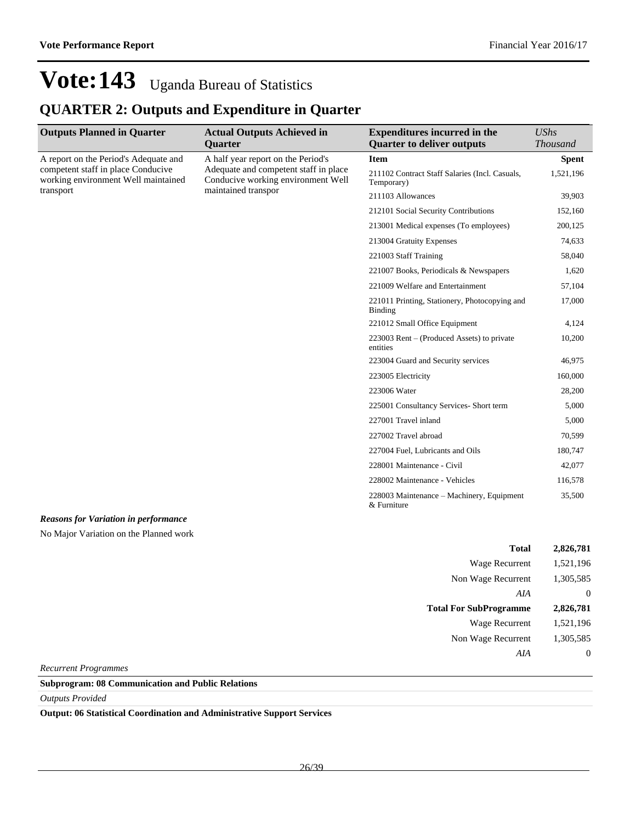## **QUARTER 2: Outputs and Expenditure in Quarter**

| <b>Outputs Planned in Quarter</b>                                                                                  | <b>Actual Outputs Achieved in</b>                                                                                                        | <b>Expenditures incurred in the</b>                             | <b>UShs</b>     |
|--------------------------------------------------------------------------------------------------------------------|------------------------------------------------------------------------------------------------------------------------------------------|-----------------------------------------------------------------|-----------------|
|                                                                                                                    | Quarter                                                                                                                                  | <b>Quarter to deliver outputs</b>                               | <b>Thousand</b> |
| A report on the Period's Adequate and<br>competent staff in place Conducive<br>working environment Well maintained | A half year report on the Period's<br>Adequate and competent staff in place<br>Conducive working environment Well<br>maintained transpor | <b>Item</b>                                                     | <b>Spent</b>    |
|                                                                                                                    |                                                                                                                                          | 211102 Contract Staff Salaries (Incl. Casuals,<br>Temporary)    | 1,521,196       |
| transport                                                                                                          |                                                                                                                                          | 211103 Allowances                                               | 39,903          |
|                                                                                                                    |                                                                                                                                          | 212101 Social Security Contributions                            | 152,160         |
|                                                                                                                    |                                                                                                                                          | 213001 Medical expenses (To employees)                          | 200,125         |
|                                                                                                                    |                                                                                                                                          | 213004 Gratuity Expenses                                        | 74,633          |
|                                                                                                                    |                                                                                                                                          | 221003 Staff Training                                           | 58,040          |
|                                                                                                                    |                                                                                                                                          | 221007 Books, Periodicals & Newspapers                          | 1,620           |
|                                                                                                                    |                                                                                                                                          | 221009 Welfare and Entertainment                                | 57,104          |
|                                                                                                                    |                                                                                                                                          | 221011 Printing, Stationery, Photocopying and<br><b>Binding</b> | 17,000          |
|                                                                                                                    |                                                                                                                                          | 221012 Small Office Equipment                                   | 4,124           |
|                                                                                                                    |                                                                                                                                          | $223003$ Rent – (Produced Assets) to private<br>entities        | 10,200          |
|                                                                                                                    |                                                                                                                                          | 223004 Guard and Security services                              | 46,975          |
|                                                                                                                    |                                                                                                                                          | 223005 Electricity                                              | 160,000         |
|                                                                                                                    |                                                                                                                                          | 223006 Water                                                    | 28,200          |
|                                                                                                                    |                                                                                                                                          | 225001 Consultancy Services- Short term                         | 5,000           |
|                                                                                                                    |                                                                                                                                          | 227001 Travel inland                                            | 5,000           |
|                                                                                                                    |                                                                                                                                          | 227002 Travel abroad                                            | 70,599          |
|                                                                                                                    |                                                                                                                                          | 227004 Fuel, Lubricants and Oils                                | 180,747         |
|                                                                                                                    |                                                                                                                                          | 228001 Maintenance - Civil                                      | 42,077          |
|                                                                                                                    |                                                                                                                                          | 228002 Maintenance - Vehicles                                   | 116,578         |
|                                                                                                                    |                                                                                                                                          | 228003 Maintenance – Machinery, Equipment<br>& Furniture        | 35,500          |
| <b>Reasons for Variation in performance</b>                                                                        |                                                                                                                                          |                                                                 |                 |

*Reasons for Variation in performance*

No Major Variation on the Planned work

| Total                         | 2,826,781 |
|-------------------------------|-----------|
| Wage Recurrent                | 1,521,196 |
| Non Wage Recurrent            | 1,305,585 |
| AIA                           | $\theta$  |
|                               |           |
| <b>Total For SubProgramme</b> | 2,826,781 |
| <b>Wage Recurrent</b>         | 1,521,196 |
| Non Wage Recurrent            | 1,305,585 |

*Recurrent Programmes*

**Subprogram: 08 Communication and Public Relations**

*Outputs Provided*

**Output: 06 Statistical Coordination and Administrative Support Services**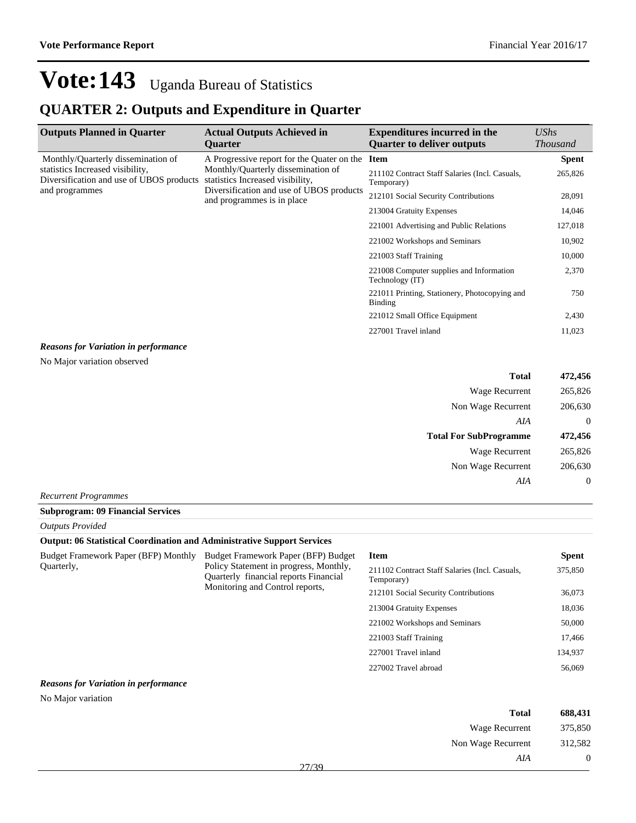## **QUARTER 2: Outputs and Expenditure in Quarter**

| <b>Outputs Planned in Quarter</b>                                            | <b>Actual Outputs Achieved in</b><br><b>Ouarter</b>                                                                                               | <b>Expenditures incurred in the</b><br><b>Quarter to deliver outputs</b> | UShs<br><b>Thousand</b> |
|------------------------------------------------------------------------------|---------------------------------------------------------------------------------------------------------------------------------------------------|--------------------------------------------------------------------------|-------------------------|
| Monthly/Quarterly dissemination of                                           | A Progressive report for the Quater on the                                                                                                        | <b>Item</b>                                                              | <b>Spent</b>            |
| statistics Increased visibility,<br>Diversification and use of UBOS products | Monthly/Quarterly dissemination of<br>statistics Increased visibility,<br>Diversification and use of UBOS products<br>and programmes is in place. | 211102 Contract Staff Salaries (Incl. Casuals,<br>Temporary)             | 265,826                 |
| and programmes                                                               |                                                                                                                                                   | 212101 Social Security Contributions                                     | 28,091                  |
|                                                                              |                                                                                                                                                   | 213004 Gratuity Expenses                                                 | 14,046                  |
|                                                                              |                                                                                                                                                   | 221001 Advertising and Public Relations                                  | 127,018                 |
|                                                                              |                                                                                                                                                   | 221002 Workshops and Seminars                                            | 10,902                  |
|                                                                              |                                                                                                                                                   | 221003 Staff Training                                                    | 10,000                  |
|                                                                              |                                                                                                                                                   | 221008 Computer supplies and Information<br>Technology (IT)              | 2,370                   |
|                                                                              |                                                                                                                                                   | 221011 Printing, Stationery, Photocopying and<br><b>Binding</b>          | 750                     |
|                                                                              |                                                                                                                                                   | 221012 Small Office Equipment                                            | 2,430                   |
|                                                                              |                                                                                                                                                   | 227001 Travel inland                                                     | 11,023                  |
| <b>Reasons for Variation in performance</b>                                  |                                                                                                                                                   |                                                                          |                         |
| No Major variation observed                                                  |                                                                                                                                                   |                                                                          |                         |
|                                                                              |                                                                                                                                                   | <b>Total</b>                                                             | 472,456                 |
|                                                                              |                                                                                                                                                   | <b>Wage Recurrent</b>                                                    | 265,826                 |
|                                                                              |                                                                                                                                                   | Non Wage Recurrent                                                       | 206,630                 |
|                                                                              |                                                                                                                                                   | AIA                                                                      | $\theta$                |
|                                                                              |                                                                                                                                                   | <b>Total For SubProgramme</b>                                            | 472,456                 |
|                                                                              |                                                                                                                                                   | <b>Wage Recurrent</b>                                                    | 265,826                 |
|                                                                              |                                                                                                                                                   | Non Wage Recurrent                                                       | 206,630                 |
|                                                                              |                                                                                                                                                   | AIA                                                                      | $\boldsymbol{0}$        |
| <b>Recurrent Programmes</b>                                                  |                                                                                                                                                   |                                                                          |                         |
| <b>Subprogram: 09 Financial Services</b>                                     |                                                                                                                                                   |                                                                          |                         |

| <b>Outputs Provided</b>                                                        |  |
|--------------------------------------------------------------------------------|--|
| <b>Output: 06 Statistical Coordination and Administrative Support Services</b> |  |

| $\sim$ web also to the contract of the contraction of the continuous and the complexe contraction |                                                                                                                                                           |                                                              |              |
|---------------------------------------------------------------------------------------------------|-----------------------------------------------------------------------------------------------------------------------------------------------------------|--------------------------------------------------------------|--------------|
| Budget Framework Paper (BFP) Monthly<br>Quarterly,                                                | Budget Framework Paper (BFP) Budget<br>Policy Statement in progress, Monthly,<br>Quarterly financial reports Financial<br>Monitoring and Control reports. | <b>Item</b>                                                  | <b>Spent</b> |
|                                                                                                   |                                                                                                                                                           | 211102 Contract Staff Salaries (Incl. Casuals,<br>Temporary) | 375,850      |
|                                                                                                   |                                                                                                                                                           | 212101 Social Security Contributions                         | 36,073       |
|                                                                                                   |                                                                                                                                                           | 213004 Gratuity Expenses                                     | 18,036       |
|                                                                                                   |                                                                                                                                                           | 221002 Workshops and Seminars                                | 50,000       |
|                                                                                                   |                                                                                                                                                           | 221003 Staff Training                                        | 17,466       |
|                                                                                                   |                                                                                                                                                           | 227001 Travel inland                                         | 134,937      |
|                                                                                                   |                                                                                                                                                           | 227002 Travel abroad                                         | 56,069       |
| <b>Reasons for Variation in performance</b>                                                       |                                                                                                                                                           |                                                              |              |

No Major variation

| 688,431        | <b>Total</b>       |       |
|----------------|--------------------|-------|
| 375,850        | Wage Recurrent     |       |
| 312,582        | Non Wage Recurrent |       |
| $\overline{0}$ | AIA                |       |
|                |                    | 27/30 |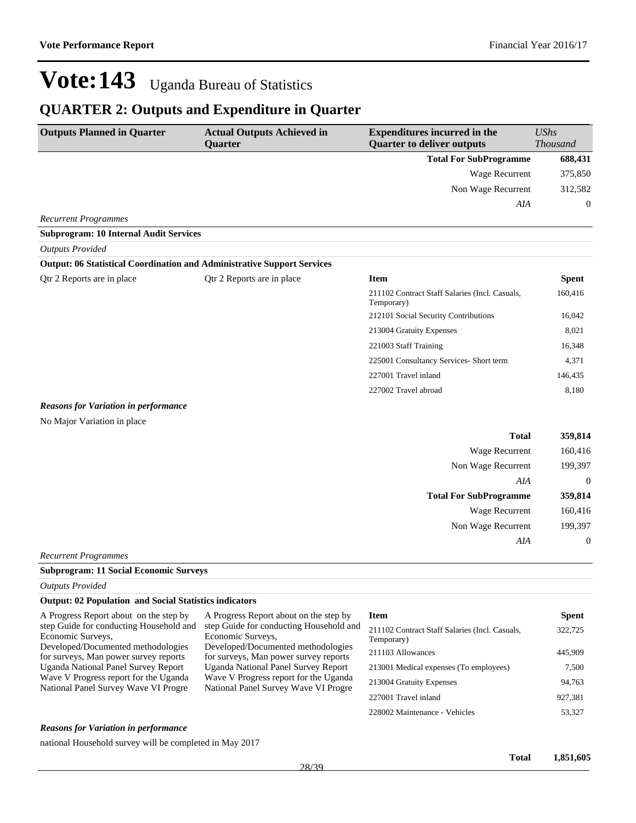## **QUARTER 2: Outputs and Expenditure in Quarter**

| <b>Outputs Planned in Quarter</b>                                              | <b>Actual Outputs Achieved in</b><br>Quarter | <b>Expenditures incurred in the</b><br><b>Quarter to deliver outputs</b> | <b>UShs</b><br><b>Thousand</b> |
|--------------------------------------------------------------------------------|----------------------------------------------|--------------------------------------------------------------------------|--------------------------------|
|                                                                                |                                              | <b>Total For SubProgramme</b>                                            | 688,431                        |
|                                                                                |                                              | Wage Recurrent                                                           | 375,850                        |
|                                                                                |                                              | Non Wage Recurrent                                                       | 312,582                        |
|                                                                                |                                              | AIA                                                                      | $\theta$                       |
| <b>Recurrent Programmes</b>                                                    |                                              |                                                                          |                                |
| <b>Subprogram: 10 Internal Audit Services</b>                                  |                                              |                                                                          |                                |
| <b>Outputs Provided</b>                                                        |                                              |                                                                          |                                |
| <b>Output: 06 Statistical Coordination and Administrative Support Services</b> |                                              |                                                                          |                                |
| Qtr 2 Reports are in place                                                     | Qtr 2 Reports are in place                   | <b>Item</b>                                                              | <b>Spent</b>                   |
|                                                                                |                                              | 211102 Contract Staff Salaries (Incl. Casuals,<br>Temporary)             | 160,416                        |
|                                                                                |                                              | 212101 Social Security Contributions                                     | 16,042                         |
|                                                                                |                                              | 213004 Gratuity Expenses                                                 | 8,021                          |
|                                                                                |                                              | 221003 Staff Training                                                    | 16,348                         |
|                                                                                |                                              | 225001 Consultancy Services- Short term                                  | 4,371                          |
|                                                                                |                                              | 227001 Travel inland                                                     | 146,435                        |
|                                                                                |                                              | 227002 Travel abroad                                                     | 8,180                          |
| <b>Reasons for Variation in performance</b>                                    |                                              |                                                                          |                                |
| No Major Variation in place                                                    |                                              |                                                                          |                                |
|                                                                                |                                              | <b>Total</b>                                                             | 359,814                        |

|                               | <b>Wage Recurrent</b> | 160,416     |
|-------------------------------|-----------------------|-------------|
|                               | Non Wage Recurrent    | 199,397     |
|                               | AIA                   | $\mathbf 0$ |
| <b>Total For SubProgramme</b> |                       | 359,814     |
|                               | <b>Wage Recurrent</b> | 160,416     |
|                               | Non Wage Recurrent    | 199,397     |
|                               | AIA                   | $\theta$    |
| Recurrent Programmes          |                       |             |

#### **Subprogram: 11 Social Economic Surveys**

*Outputs Provided*

### **Output: 02 Population and Social Statistics indicators**

| A Progress Report about on the step by     | A Pro  |
|--------------------------------------------|--------|
| step Guide for conducting Household and    | step C |
| Economic Surveys,                          | Econo  |
| Developed/Documented methodologies         | Devel  |
| for surveys, Man power survey reports      | for su |
| <b>Uganda National Panel Survey Report</b> | Ugano  |
| Wave V Progress report for the Uganda      | Wave   |
| National Panel Survey Wave VI Progre       | Natio: |
|                                            |        |

gress Report about on the step by Suide for conducting Household and omic Surveys, loped/Documented methodologies irveys, Man power survey reports da National Panel Survey Report V Progress report for the Uganda nal Panel Survey Wave VI Progre

| <b>Spent</b> |
|--------------|
| 322,725      |
| 445,909      |
| 7,500        |
| 94.763       |
| 927,381      |
| 53,327       |
|              |

### *Reasons for Variation in performance*

national Household survey will be completed in May 2017

**Total 1,851,605**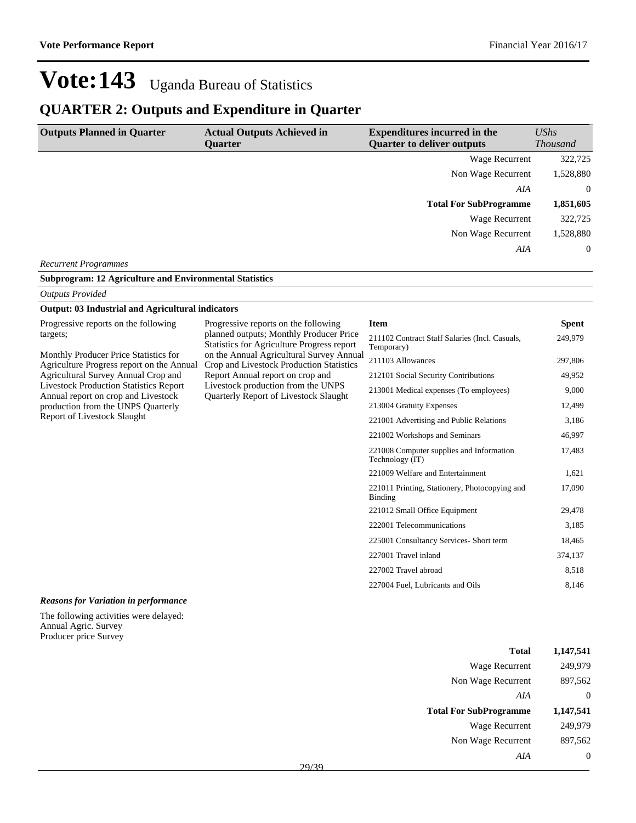## **QUARTER 2: Outputs and Expenditure in Quarter**

| <b>Outputs Planned in Quarter</b> | <b>Actual Outputs Achieved in</b><br><b>Ouarter</b> | <b>Expenditures incurred in the</b><br><b>Quarter to deliver outputs</b> | UShs<br><b>Thousand</b> |
|-----------------------------------|-----------------------------------------------------|--------------------------------------------------------------------------|-------------------------|
|                                   |                                                     | Wage Recurrent                                                           | 322,725                 |
|                                   |                                                     | Non Wage Recurrent                                                       | 1,528,880               |
|                                   |                                                     | AIA                                                                      | $\overline{0}$          |
|                                   |                                                     | <b>Total For SubProgramme</b>                                            | 1,851,605               |
|                                   |                                                     | Wage Recurrent                                                           | 322,725                 |
|                                   |                                                     | Non Wage Recurrent                                                       | 1,528,880               |
|                                   |                                                     | AIA                                                                      | $\overline{0}$          |
| <b>Recurrent Programmes</b>       |                                                     |                                                                          |                         |

|  | <b>Subprogram: 12 Agriculture and Environmental Statistics</b> |
|--|----------------------------------------------------------------|
|--|----------------------------------------------------------------|

#### *Outputs Provided*

#### **Output: 03 Industrial and Agricultural indicators**

| Progressive reports on the following |  |
|--------------------------------------|--|
| targets;                             |  |

Monthly Producer Price Statistics for Agriculture Progress report on the Annual Agricultural Survey Annual Crop and Livestock Production Statistics Report Annual report on crop and Livestock production from the UNPS Quarterly Report of Livestock Slaught

Progressive reports on the following planned outputs; Monthly Producer Price Statistics for Agriculture Progress report on the Annual Agricultural Survey Annual Crop and Livestock Production Statistics Report Annual report on crop and Livestock production from the UNPS Quarterly Report of Livestock Slaught

### **Item Spent** 211102 Contract Staff Salaries (Incl. Casuals, Temporary) 249,979 211103 Allowances 297,806 212101 Social Security Contributions 49,952 213001 Medical expenses (To employees) 9,000 213004 Gratuity Expenses 12,499 221001 Advertising and Public Relations 3,186 221002 Workshops and Seminars 46,997 221008 Computer supplies and Information Technology (IT) 17,483 221009 Welfare and Entertainment 1,621 221011 Printing, Stationery, Photocopying and Binding 17,090 221012 Small Office Equipment 29,478 222001 Telecommunications 3,185 225001 Consultancy Services- Short term 18,465 227001 Travel inland 374,137 227002 Travel abroad 8,518

227004 Fuel, Lubricants and Oils 8,146

#### *Reasons for Variation in performance*

The following activities were delayed: Annual Agric. Survey Producer price Survey

| Total                         | 1,147,541 |
|-------------------------------|-----------|
| Wage Recurrent                | 249,979   |
| Non Wage Recurrent            | 897,562   |
| AIA                           | 0         |
|                               |           |
| <b>Total For SubProgramme</b> | 1,147,541 |
| Wage Recurrent                | 249,979   |
| Non Wage Recurrent            | 897,562   |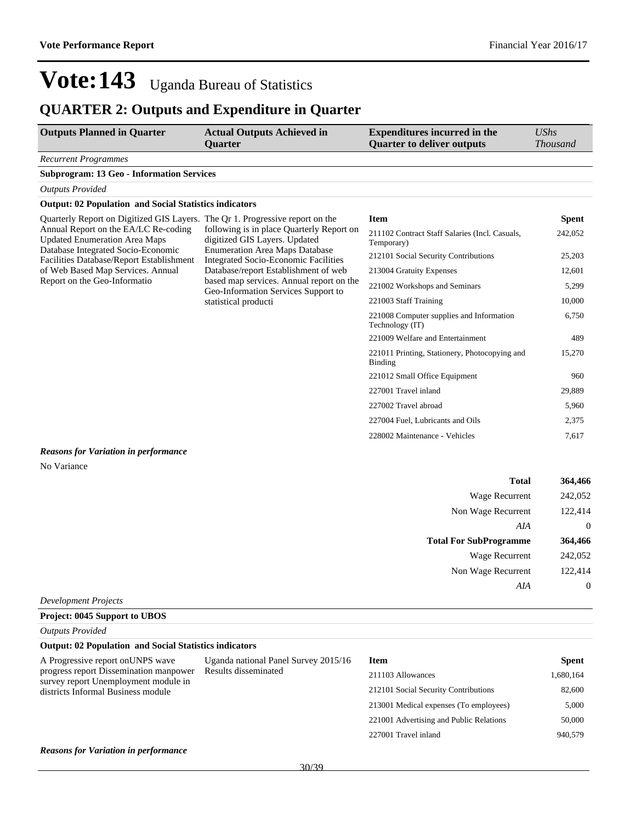## **QUARTER 2: Outputs and Expenditure in Quarter**

| <b>Outputs Planned in Quarter</b>                                                                                  | <b>Actual Outputs Achieved in</b><br><b>Ouarter</b>                                  | <b>Expenditures incurred in the</b><br><b>Quarter to deliver outputs</b> | <b>UShs</b><br><b>Thousand</b> |
|--------------------------------------------------------------------------------------------------------------------|--------------------------------------------------------------------------------------|--------------------------------------------------------------------------|--------------------------------|
| <b>Recurrent Programmes</b>                                                                                        |                                                                                      |                                                                          |                                |
| <b>Subprogram: 13 Geo - Information Services</b>                                                                   |                                                                                      |                                                                          |                                |
| <b>Outputs Provided</b>                                                                                            |                                                                                      |                                                                          |                                |
| <b>Output: 02 Population and Social Statistics indicators</b>                                                      |                                                                                      |                                                                          |                                |
| Quarterly Report on Digitized GIS Layers. The Qr 1. Progressive report on the                                      | following is in place Quarterly Report on<br>digitized GIS Layers. Updated           | <b>Item</b>                                                              | <b>Spent</b>                   |
| Annual Report on the EA/LC Re-coding<br><b>Updated Enumeration Area Maps</b><br>Database Integrated Socio-Economic |                                                                                      | 211102 Contract Staff Salaries (Incl. Casuals,<br>Temporary)             | 242,052                        |
| Facilities Database/Report Establishment                                                                           | <b>Enumeration Area Maps Database</b><br><b>Integrated Socio-Economic Facilities</b> | 212101 Social Security Contributions                                     | 25,203                         |
| of Web Based Map Services. Annual                                                                                  | Database/report Establishment of web                                                 | 213004 Gratuity Expenses                                                 | 12,601                         |
| Report on the Geo-Informatio                                                                                       | based map services. Annual report on the<br>Geo-Information Services Support to      | 221002 Workshops and Seminars                                            | 5,299                          |
|                                                                                                                    | statistical producti                                                                 | 221003 Staff Training                                                    | 10,000                         |
|                                                                                                                    |                                                                                      | 221008 Computer supplies and Information<br>Technology (IT)              | 6,750                          |
|                                                                                                                    |                                                                                      | 221009 Welfare and Entertainment                                         | 489                            |
|                                                                                                                    |                                                                                      | 221011 Printing, Stationery, Photocopying and<br><b>Binding</b>          | 15,270                         |
|                                                                                                                    |                                                                                      | 221012 Small Office Equipment                                            | 960                            |
|                                                                                                                    |                                                                                      | 227001 Travel inland                                                     | 29,889                         |
|                                                                                                                    |                                                                                      | 227002 Travel abroad                                                     | 5,960                          |
|                                                                                                                    |                                                                                      | 227004 Fuel, Lubricants and Oils                                         | 2,375                          |
|                                                                                                                    |                                                                                      | 228002 Maintenance - Vehicles                                            | 7,617                          |
| <b>Reasons for Variation in performance</b>                                                                        |                                                                                      |                                                                          |                                |
| No Variance                                                                                                        |                                                                                      |                                                                          |                                |
|                                                                                                                    |                                                                                      | Total                                                                    | 364,466                        |
|                                                                                                                    |                                                                                      | <b>Wage Recurrent</b>                                                    | 242,052                        |
|                                                                                                                    |                                                                                      | Non Wage Recurrent                                                       | 122,414                        |
|                                                                                                                    |                                                                                      | AIA                                                                      | $\theta$                       |
|                                                                                                                    |                                                                                      | <b>Total For SubProgramme</b>                                            | 364,466                        |
|                                                                                                                    |                                                                                      | <b>Wage Recurrent</b>                                                    | 242,052                        |
|                                                                                                                    |                                                                                      | Non Wage Recurrent                                                       | 122,414                        |
|                                                                                                                    |                                                                                      | AIA                                                                      | $\boldsymbol{0}$               |
| <b>Development Projects</b>                                                                                        |                                                                                      |                                                                          |                                |

**Project: 0045 Support to UBOS**

*Outputs Provided*

| <b>Output: 02 Population and Social Statistics indicators</b> |
|---------------------------------------------------------------|
|                                                               |

| A Progressive report on UNPS wave<br>progress report Dissemination manpower<br>survey report Unemployment module in | Uganda national Panel Survey 2015/16<br>Results disseminated | <b>Item</b>                             | <b>Spent</b> |
|---------------------------------------------------------------------------------------------------------------------|--------------------------------------------------------------|-----------------------------------------|--------------|
|                                                                                                                     |                                                              | 211103 Allowances                       | 1,680,164    |
| districts Informal Business module                                                                                  |                                                              | 212101 Social Security Contributions    | 82,600       |
|                                                                                                                     |                                                              | 213001 Medical expenses (To employees)  | 5,000        |
|                                                                                                                     |                                                              | 221001 Advertising and Public Relations | 50,000       |
|                                                                                                                     |                                                              | 227001 Travel inland                    | 940,579      |
| <b>Reasons for Variation in performance</b>                                                                         |                                                              |                                         |              |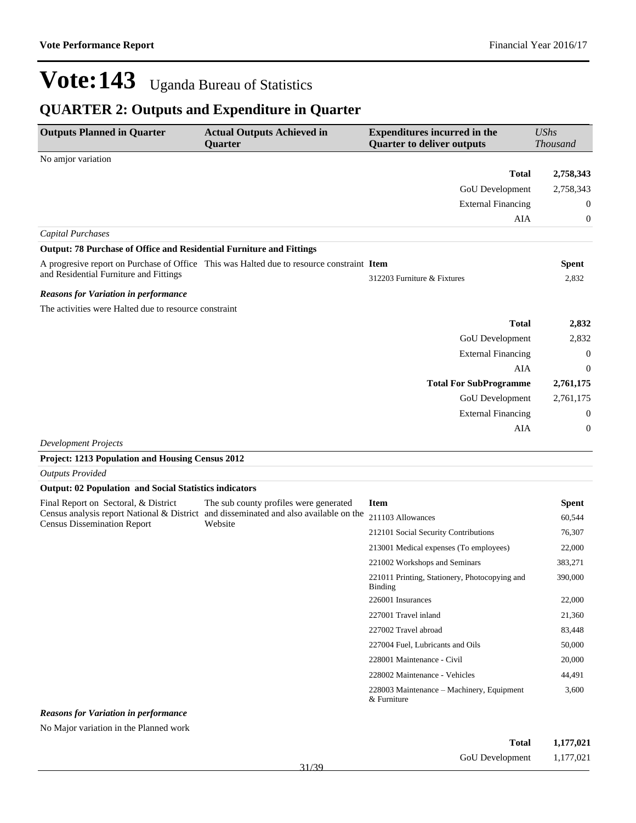## **QUARTER 2: Outputs and Expenditure in Quarter**

| <b>Outputs Planned in Quarter</b>                                    | <b>Actual Outputs Achieved in</b><br>Quarter                                              | <b>Expenditures incurred in the</b><br><b>Quarter to deliver outputs</b> | <b>UShs</b><br><b>Thousand</b> |
|----------------------------------------------------------------------|-------------------------------------------------------------------------------------------|--------------------------------------------------------------------------|--------------------------------|
| No amjor variation                                                   |                                                                                           |                                                                          |                                |
|                                                                      |                                                                                           | <b>Total</b>                                                             | 2,758,343                      |
|                                                                      |                                                                                           | GoU Development                                                          | 2,758,343                      |
|                                                                      |                                                                                           | <b>External Financing</b>                                                | 0                              |
|                                                                      |                                                                                           | AIA                                                                      | 0                              |
| <b>Capital Purchases</b>                                             |                                                                                           |                                                                          |                                |
| Output: 78 Purchase of Office and Residential Furniture and Fittings |                                                                                           |                                                                          |                                |
|                                                                      | A progresive report on Purchase of Office This was Halted due to resource constraint Item |                                                                          | <b>Spent</b>                   |
| and Residential Furniture and Fittings                               |                                                                                           | 312203 Furniture & Fixtures                                              | 2,832                          |
| <b>Reasons for Variation in performance</b>                          |                                                                                           |                                                                          |                                |
| The activities were Halted due to resource constraint                |                                                                                           |                                                                          |                                |
|                                                                      |                                                                                           | <b>Total</b>                                                             | 2,832                          |
|                                                                      |                                                                                           | GoU Development                                                          | 2,832                          |
|                                                                      |                                                                                           | <b>External Financing</b>                                                | $\theta$                       |
|                                                                      |                                                                                           | AIA                                                                      | $\theta$                       |
|                                                                      |                                                                                           | <b>Total For SubProgramme</b>                                            | 2,761,175                      |
|                                                                      |                                                                                           | GoU Development                                                          | 2,761,175                      |
|                                                                      |                                                                                           | <b>External Financing</b>                                                | $\overline{0}$                 |
|                                                                      |                                                                                           | AIA                                                                      | $\overline{0}$                 |
|                                                                      |                                                                                           |                                                                          |                                |

*Development Projects*

**Project: 1213 Population and Housing Census 2012**

*Outputs Provided*

### **Output: 02 Population and Social Statistics indicators**

| Final Report on Sectoral, & District                                             | The sub county profiles were generated                | Item                                                            | <b>Spent</b> |
|----------------------------------------------------------------------------------|-------------------------------------------------------|-----------------------------------------------------------------|--------------|
| Census analysis report National & District<br><b>Census Dissemination Report</b> | and disseminated and also available on the<br>Website | 211103 Allowances                                               | 60,544       |
|                                                                                  |                                                       | 212101 Social Security Contributions                            | 76,307       |
|                                                                                  |                                                       | 213001 Medical expenses (To employees)                          | 22,000       |
|                                                                                  |                                                       | 221002 Workshops and Seminars                                   | 383,271      |
|                                                                                  |                                                       | 221011 Printing, Stationery, Photocopying and<br><b>Binding</b> | 390,000      |
|                                                                                  |                                                       | 226001 Insurances                                               | 22,000       |
|                                                                                  |                                                       | 227001 Travel inland                                            | 21,360       |
|                                                                                  |                                                       | 227002 Travel abroad                                            | 83,448       |
|                                                                                  |                                                       | 227004 Fuel, Lubricants and Oils                                | 50,000       |
|                                                                                  |                                                       | 228001 Maintenance - Civil                                      | 20,000       |
|                                                                                  |                                                       | 228002 Maintenance - Vehicles                                   | 44,491       |
|                                                                                  |                                                       | 228003 Maintenance – Machinery, Equipment<br>& Furniture        | 3,600        |

#### *Reasons for Variation in performance*

No Major variation in the Planned work

| Total                  | 1,177,021 |
|------------------------|-----------|
| <b>GoU</b> Development | 1,177,021 |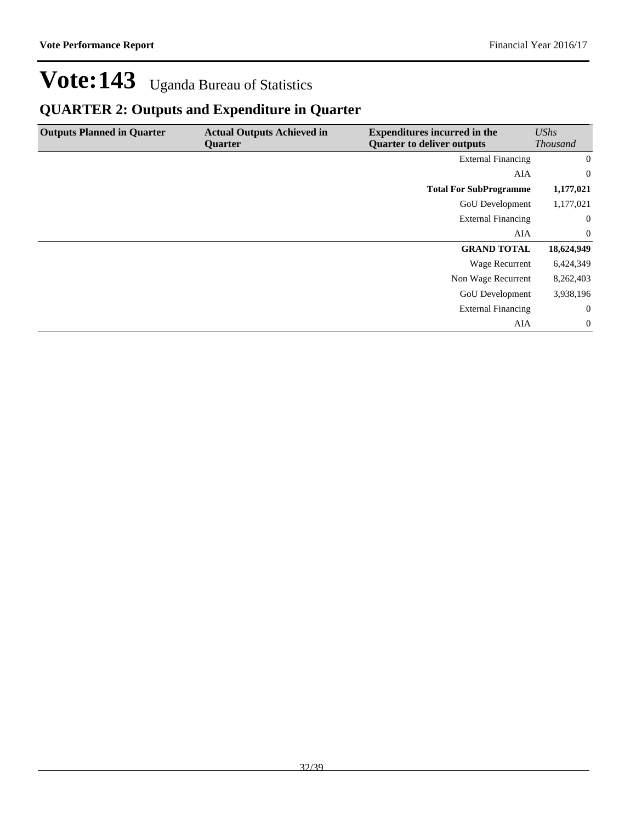## **QUARTER 2: Outputs and Expenditure in Quarter**

| <b>Outputs Planned in Quarter</b> | <b>Actual Outputs Achieved in</b><br><b>Ouarter</b> | <b>Expenditures incurred in the</b><br><b>Quarter to deliver outputs</b> | UShs<br><b>Thousand</b> |
|-----------------------------------|-----------------------------------------------------|--------------------------------------------------------------------------|-------------------------|
|                                   |                                                     | <b>External Financing</b>                                                | $\overline{0}$          |
|                                   |                                                     | AIA                                                                      | $\overline{0}$          |
|                                   |                                                     | <b>Total For SubProgramme</b>                                            | 1,177,021               |
|                                   |                                                     | <b>GoU</b> Development                                                   | 1,177,021               |
|                                   |                                                     | <b>External Financing</b>                                                | $\overline{0}$          |
|                                   |                                                     | AIA                                                                      | $\overline{0}$          |
|                                   |                                                     | <b>GRAND TOTAL</b>                                                       | 18,624,949              |
|                                   |                                                     | <b>Wage Recurrent</b>                                                    | 6,424,349               |
|                                   |                                                     | Non Wage Recurrent                                                       | 8,262,403               |
|                                   |                                                     | <b>GoU</b> Development                                                   | 3,938,196               |
|                                   |                                                     | <b>External Financing</b>                                                | $\overline{0}$          |
|                                   |                                                     | AIA                                                                      | $\overline{0}$          |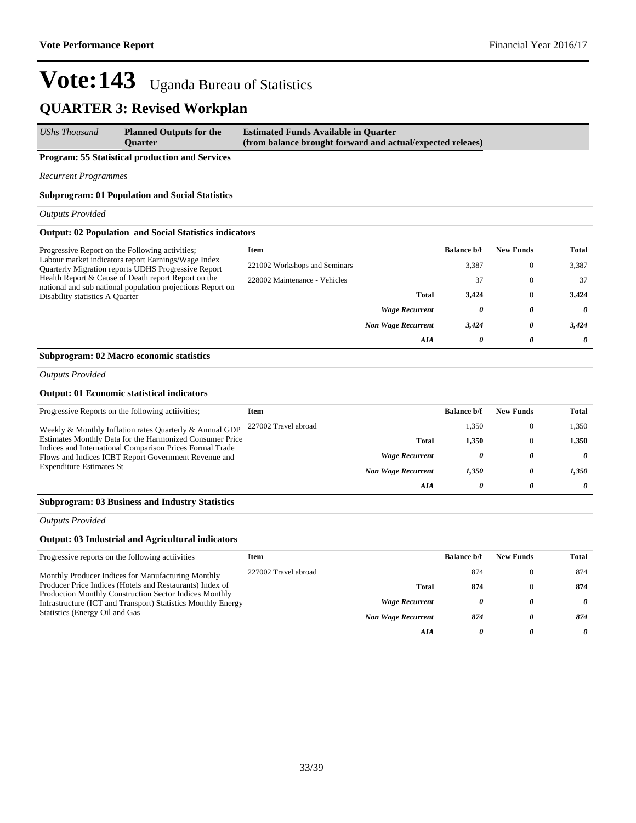## **QUARTER 3: Revised Workplan**

| <b>UShs Thousand</b> | <b>Planned Outputs for the</b> | <b>Estimated Funds Available in Quarter</b>                |
|----------------------|--------------------------------|------------------------------------------------------------|
|                      | <b>Ouarter</b>                 | (from balance brought forward and actual/expected releaes) |

### **Program: 55 Statistical production and Services**

*Recurrent Programmes*

### **Subprogram: 01 Population and Social Statistics**

*Outputs Provided*

#### **Output: 02 Population and Social Statistics indicators**

| Progressive Report on the Following activities;<br>Labour market indicators report Earnings/Wage Index<br><b>Quarterly Migration reports UDHS Progressive Report</b> | Item                          |                           | <b>Balance b/f</b> | <b>New Funds</b> | Total |
|----------------------------------------------------------------------------------------------------------------------------------------------------------------------|-------------------------------|---------------------------|--------------------|------------------|-------|
|                                                                                                                                                                      | 221002 Workshops and Seminars |                           | 3,387              | $\Omega$         | 3,387 |
| Health Report & Cause of Death report Report on the                                                                                                                  | 228002 Maintenance - Vehicles |                           | 37                 | $\Omega$         | 37    |
| national and sub national population projections Report on<br>Disability statistics A Quarter                                                                        |                               | <b>Total</b>              | 3.424              | $\Omega$         | 3.424 |
|                                                                                                                                                                      |                               | <b>Wage Recurrent</b>     | 0                  | 0                | 0     |
|                                                                                                                                                                      |                               | <b>Non Wage Recurrent</b> | 3,424              | 0                | 3.424 |
|                                                                                                                                                                      |                               | AIA                       | 0                  | 0                | 0     |

### **Subprogram: 02 Macro economic statistics**

*Outputs Provided*

### **Output: 01 Economic statistical indicators**

| Progressive Reports on the following activities;                                                                 | Item                 |                           | <b>Balance b/f</b> | <b>New Funds</b> | Total    |
|------------------------------------------------------------------------------------------------------------------|----------------------|---------------------------|--------------------|------------------|----------|
| Weekly & Monthly Inflation rates Quarterly & Annual GDP                                                          | 227002 Travel abroad |                           | 1.350              | $\Omega$         | 1,350    |
| Estimates Monthly Data for the Harmonized Consumer Price                                                         |                      | <b>Total</b>              | 1.350              | 0                | 1.350    |
| Indices and International Comparison Prices Formal Trade<br>Flows and Indices ICBT Report Government Revenue and |                      | <b>Wage Recurrent</b>     | 0                  | 0                | $\theta$ |
| <b>Expenditure Estimates St</b>                                                                                  |                      | <b>Non Wage Recurrent</b> | 1.350              | $\theta$         | 1.350    |
|                                                                                                                  |                      | AIA                       | 0                  | 0                | $\theta$ |
|                                                                                                                  |                      |                           |                    |                  |          |

#### **Subprogram: 03 Business and Industry Statistics**

*Outputs Provided*

### **Output: 03 Industrial and Agricultural indicators**

| Progressive reports on the following activities                                                                                                                 | Item                 |                           | <b>Balance b/f</b> | <b>New Funds</b> | Total    |
|-----------------------------------------------------------------------------------------------------------------------------------------------------------------|----------------------|---------------------------|--------------------|------------------|----------|
| Monthly Producer Indices for Manufacturing Monthly                                                                                                              | 227002 Travel abroad |                           | 874                |                  | 874      |
| Producer Price Indices (Hotels and Restaurants) Index of                                                                                                        |                      | <b>Total</b>              | 874                |                  | 874      |
| <b>Production Monthly Construction Sector Indices Monthly</b><br>Infrastructure (ICT and Transport) Statistics Monthly Energy<br>Statistics (Energy Oil and Gas |                      | <b>Wage Recurrent</b>     | 0                  |                  | $\theta$ |
|                                                                                                                                                                 |                      | <b>Non Wage Recurrent</b> | 874                |                  | 874      |
|                                                                                                                                                                 |                      | AIA                       | 0                  | 0                | 0        |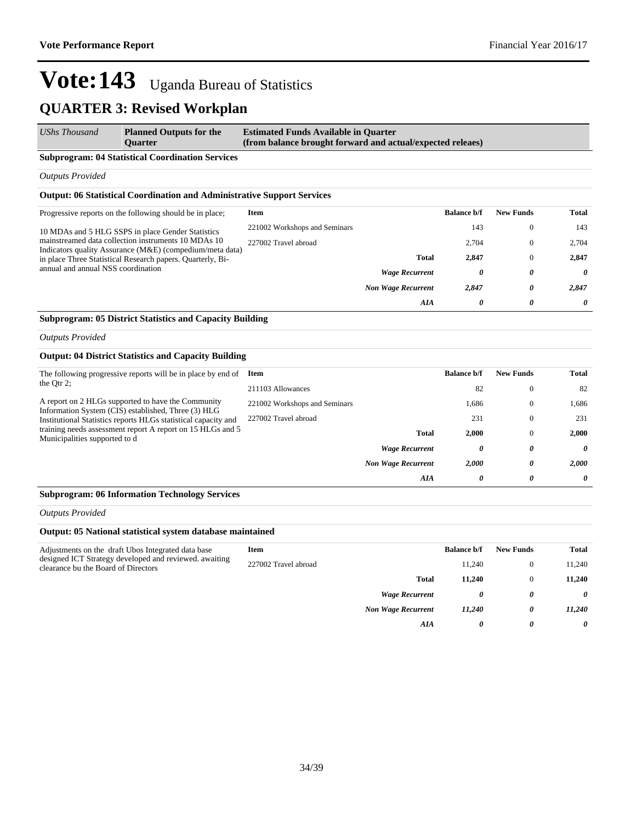#### *UShs Thousand* **Planned Outputs for the Quarter Estimated Funds Available in Quarter (from balance brought forward and actual/expected releaes)**

#### **Subprogram: 04 Statistical Coordination Services**

*Outputs Provided*

#### **Output: 06 Statistical Coordination and Administrative Support Services**

| Progressive reports on the following should be in place;                                                                                                                                                                                                                 | Item                          |                           | <b>Balance b/f</b> | <b>New Funds</b> | Total |
|--------------------------------------------------------------------------------------------------------------------------------------------------------------------------------------------------------------------------------------------------------------------------|-------------------------------|---------------------------|--------------------|------------------|-------|
| 10 MDAs and 5 HLG SSPS in place Gender Statistics<br>mainstreamed data collection instruments 10 MDAs 10<br>Indicators quality Assurance (M&E) (compedium/meta data)<br>in place Three Statistical Research papers. Quarterly, Bi-<br>annual and annual NSS coordination | 221002 Workshops and Seminars |                           | 143                | $\Omega$         | 143   |
|                                                                                                                                                                                                                                                                          | 227002 Travel abroad          |                           | 2.704              | $\theta$         | 2.704 |
|                                                                                                                                                                                                                                                                          |                               | <b>Total</b>              | 2,847              | $\theta$         | 2,847 |
|                                                                                                                                                                                                                                                                          |                               | <b>Wage Recurrent</b>     | 0                  | 0                | 0     |
|                                                                                                                                                                                                                                                                          |                               | <b>Non Wage Recurrent</b> | 2,847              | 0                | 2.847 |
|                                                                                                                                                                                                                                                                          |                               | AIA                       | 0                  | 0                | 0     |

### **Subprogram: 05 District Statistics and Capacity Building**

*Outputs Provided*

#### **Output: 04 District Statistics and Capacity Building**

| The following progressive reports will be in place by end of<br>the Qtr $2$ ;                                                                                                                                                                                              | Item                          |                           | <b>Balance b/f</b> | <b>New Funds</b> | <b>Total</b> |
|----------------------------------------------------------------------------------------------------------------------------------------------------------------------------------------------------------------------------------------------------------------------------|-------------------------------|---------------------------|--------------------|------------------|--------------|
|                                                                                                                                                                                                                                                                            | 211103 Allowances             |                           | 82                 | $\mathbf{0}$     | 82           |
| A report on 2 HLGs supported to have the Community<br>Information System (CIS) established, Three (3) HLG<br>Institutional Statistics reports HLGs statistical capacity and<br>training needs assessment report A report on 15 HLGs and 5<br>Municipalities supported to d | 221002 Workshops and Seminars |                           | 1.686              | $\mathbf{0}$     | 1,686        |
|                                                                                                                                                                                                                                                                            | 227002 Travel abroad          |                           | 231                | $\mathbf{0}$     | 231          |
|                                                                                                                                                                                                                                                                            |                               | Total                     | 2.000              | $\mathbf{0}$     | 2.000        |
|                                                                                                                                                                                                                                                                            |                               | <b>Wage Recurrent</b>     | 0                  | 0                | 0            |
|                                                                                                                                                                                                                                                                            |                               | <b>Non Wage Recurrent</b> | 2,000              | 0                | 2.000        |
|                                                                                                                                                                                                                                                                            |                               | AIA                       | 0                  | 0                | 0            |

#### **Subprogram: 06 Information Technology Services**

*Outputs Provided*

#### **Output: 05 National statistical system database maintained**

| Adjustments on the draft Ubos Integrated data base<br>designed ICT Strategy developed and reviewed. awaiting<br>clearance bu the Board of Directors | Item                 |                           | <b>Balance b/f</b> | <b>New Funds</b> | <b>Total</b> |
|-----------------------------------------------------------------------------------------------------------------------------------------------------|----------------------|---------------------------|--------------------|------------------|--------------|
|                                                                                                                                                     | 227002 Travel abroad |                           | 11.240             |                  | 11,240       |
|                                                                                                                                                     |                      | <b>Total</b>              | 11.240             |                  | 11,240       |
|                                                                                                                                                     |                      | <b>Wage Recurrent</b>     | 0                  | 0                | 0            |
|                                                                                                                                                     |                      | <b>Non Wage Recurrent</b> | 11.240             | 0                | 11,240       |
|                                                                                                                                                     |                      | AIA                       | 0                  | 0                | 0            |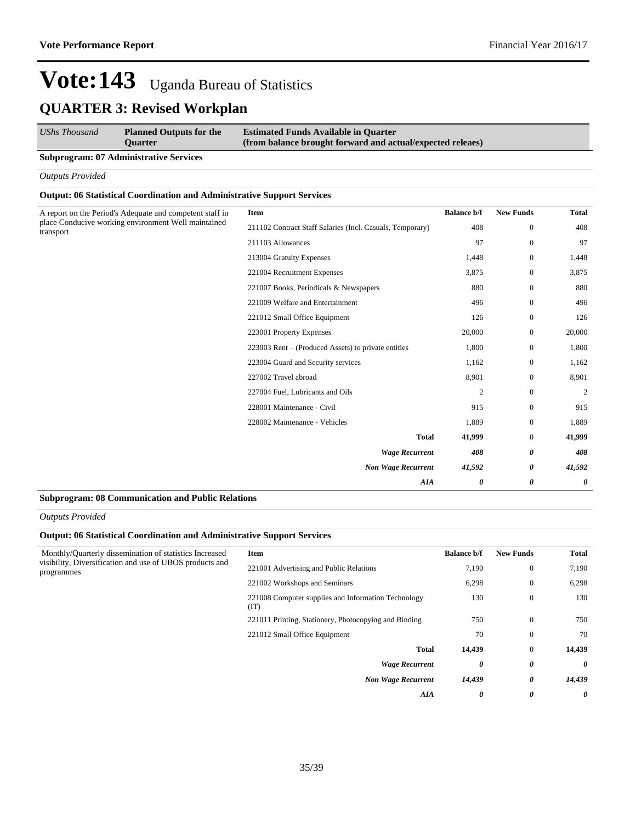| <b>UShs Thousand</b> | <b>Planned Outputs for the</b><br><b>Ouarter</b> | <b>Estimated Funds Available in Quarter</b><br>(from balance brought forward and actual/expected releaes) |
|----------------------|--------------------------------------------------|-----------------------------------------------------------------------------------------------------------|
| _____                |                                                  |                                                                                                           |

## **Subprogram: 07 Administrative Services**

*Outputs Provided*

### **Output: 06 Statistical Coordination and Administrative Support Services**

| A report on the Period's Adequate and competent staff in         | Item                                                      | <b>Balance b/f</b> | <b>New Funds</b> | <b>Total</b>   |
|------------------------------------------------------------------|-----------------------------------------------------------|--------------------|------------------|----------------|
| place Conducive working environment Well maintained<br>transport | 211102 Contract Staff Salaries (Incl. Casuals, Temporary) | 408                | $\mathbf{0}$     | 408            |
|                                                                  | 211103 Allowances                                         | 97                 | $\mathbf{0}$     | 97             |
|                                                                  | 213004 Gratuity Expenses                                  | 1,448              | $\mathbf{0}$     | 1,448          |
|                                                                  | 221004 Recruitment Expenses                               | 3,875              | $\mathbf{0}$     | 3,875          |
|                                                                  | 221007 Books, Periodicals & Newspapers                    | 880                | $\mathbf{0}$     | 880            |
|                                                                  | 221009 Welfare and Entertainment                          | 496                | $\mathbf{0}$     | 496            |
|                                                                  | 221012 Small Office Equipment                             | 126                | $\mathbf{0}$     | 126            |
|                                                                  | 223001 Property Expenses                                  | 20,000             | $\mathbf{0}$     | 20,000         |
|                                                                  | 223003 Rent – (Produced Assets) to private entities       | 1,800              | $\mathbf{0}$     | 1,800          |
|                                                                  | 223004 Guard and Security services                        | 1,162              | $\mathbf{0}$     | 1,162          |
|                                                                  | 227002 Travel abroad                                      | 8,901              | $\mathbf{0}$     | 8,901          |
|                                                                  | 227004 Fuel, Lubricants and Oils                          | $\mathfrak{2}$     | $\mathbf{0}$     | $\overline{2}$ |
|                                                                  | 228001 Maintenance - Civil                                | 915                | $\mathbf{0}$     | 915            |
|                                                                  | 228002 Maintenance - Vehicles                             | 1,889              | $\mathbf{0}$     | 1,889          |
|                                                                  | <b>Total</b>                                              | 41,999             | $\mathbf{0}$     | 41,999         |
| <b>Wage Recurrent</b>                                            |                                                           | 408                | 0                | 408            |
|                                                                  | <b>Non Wage Recurrent</b>                                 | 41,592             | 0                | 41,592         |
|                                                                  | AIA                                                       | 0                  | 0                | 0              |

#### **Subprogram: 08 Communication and Public Relations**

#### *Outputs Provided*

### **Output: 06 Statistical Coordination and Administrative Support Services**

| Monthly/Quarterly dissemination of statistics Increased<br>visibility, Diversification and use of UBOS products and<br>programmes | Item                                                        | <b>Balance b/f</b> | <b>New Funds</b> | <b>Total</b>          |
|-----------------------------------------------------------------------------------------------------------------------------------|-------------------------------------------------------------|--------------------|------------------|-----------------------|
|                                                                                                                                   | 221001 Advertising and Public Relations                     | 7,190              | $\overline{0}$   | 7,190                 |
|                                                                                                                                   | 221002 Workshops and Seminars                               | 6,298              | $\overline{0}$   | 6,298                 |
|                                                                                                                                   | 221008 Computer supplies and Information Technology<br>(TT) | 130                | $\mathbf{0}$     | 130                   |
|                                                                                                                                   | 221011 Printing, Stationery, Photocopying and Binding       | 750                | $\theta$         | 750                   |
|                                                                                                                                   | 221012 Small Office Equipment                               | 70                 | $\mathbf{0}$     | 70                    |
|                                                                                                                                   | <b>Total</b>                                                | 14,439             | $\overline{0}$   | 14,439                |
|                                                                                                                                   | <b>Wage Recurrent</b>                                       | 0                  | 0                | $\theta$              |
|                                                                                                                                   | <b>Non Wage Recurrent</b>                                   | 14,439             | 0                | 14,439                |
|                                                                                                                                   | AIA                                                         | 0                  | 0                | $\boldsymbol{\theta}$ |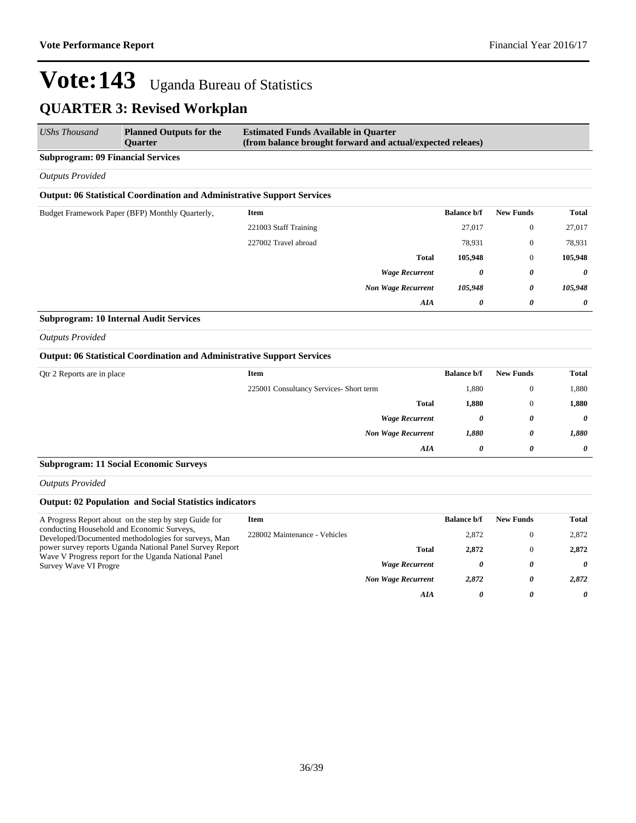| <b>UShs Thousand</b>                     | <b>Planned Outputs for the</b><br><b>Ouarter</b>                               | <b>Estimated Funds Available in Quarter</b><br>(from balance brought forward and actual/expected releaes) |                           |                    |                  |              |
|------------------------------------------|--------------------------------------------------------------------------------|-----------------------------------------------------------------------------------------------------------|---------------------------|--------------------|------------------|--------------|
| <b>Subprogram: 09 Financial Services</b> |                                                                                |                                                                                                           |                           |                    |                  |              |
| <b>Outputs Provided</b>                  |                                                                                |                                                                                                           |                           |                    |                  |              |
|                                          | <b>Output: 06 Statistical Coordination and Administrative Support Services</b> |                                                                                                           |                           |                    |                  |              |
|                                          | Budget Framework Paper (BFP) Monthly Quarterly,                                | <b>Item</b>                                                                                               |                           | <b>Balance b/f</b> | <b>New Funds</b> | <b>Total</b> |
|                                          |                                                                                | 221003 Staff Training                                                                                     |                           | 27,017             | $\mathbf{0}$     | 27,017       |
|                                          |                                                                                | 227002 Travel abroad                                                                                      |                           | 78,931             | $\mathbf{0}$     | 78,931       |
|                                          |                                                                                |                                                                                                           | <b>Total</b>              | 105,948            | $\mathbf{0}$     | 105,948      |
|                                          |                                                                                |                                                                                                           | <b>Wage Recurrent</b>     | 0                  | 0                | $\theta$     |
|                                          |                                                                                |                                                                                                           | <b>Non Wage Recurrent</b> | 105,948            | 0                | 105,948      |
|                                          |                                                                                |                                                                                                           | AIA                       | 0                  | 0                | 0            |

### **Subprogram: 10 Internal Audit Services**

*Outputs Provided*

#### **Output: 06 Statistical Coordination and Administrative Support Services**

| Qtr 2 Reports are in place | Item                                    | <b>Balance b/f</b> | <b>New Funds</b> | Total                 |
|----------------------------|-----------------------------------------|--------------------|------------------|-----------------------|
|                            | 225001 Consultancy Services- Short term | 1,880              | $\mathbf{0}$     | 1,880                 |
|                            | <b>Total</b>                            | 1,880              | $\mathbf{0}$     | 1,880                 |
|                            | <b>Wage Recurrent</b>                   | 0                  | 0                | $\boldsymbol{\theta}$ |
|                            | <b>Non Wage Recurrent</b>               | 1,880              | 0                | 1,880                 |
|                            | AIA                                     | 0                  | $\theta$         | $\boldsymbol{\theta}$ |

### **Subprogram: 11 Social Economic Surveys**

*Outputs Provided*

### **Output: 02 Population and Social Statistics indicators**

| A Progress Report about on the step by step Guide for                                             | Item                          |                           | <b>Balance b/f</b> | <b>New Funds</b> | Total |
|---------------------------------------------------------------------------------------------------|-------------------------------|---------------------------|--------------------|------------------|-------|
| conducting Household and Economic Surveys,<br>Developed/Documented methodologies for surveys, Man | 228002 Maintenance - Vehicles |                           | 2,872              |                  | 2,872 |
| power survey reports Uganda National Panel Survey Report                                          |                               | <b>Total</b>              | 2.872              |                  | 2.872 |
| Wave V Progress report for the Uganda National Panel<br>Survey Wave VI Progre                     |                               | <b>Wage Recurrent</b>     | 0                  | 0                | 0     |
|                                                                                                   |                               | <b>Non Wage Recurrent</b> | 2,872              | 0                | 2.872 |
|                                                                                                   |                               | AIA                       | 0                  | 0                | 0     |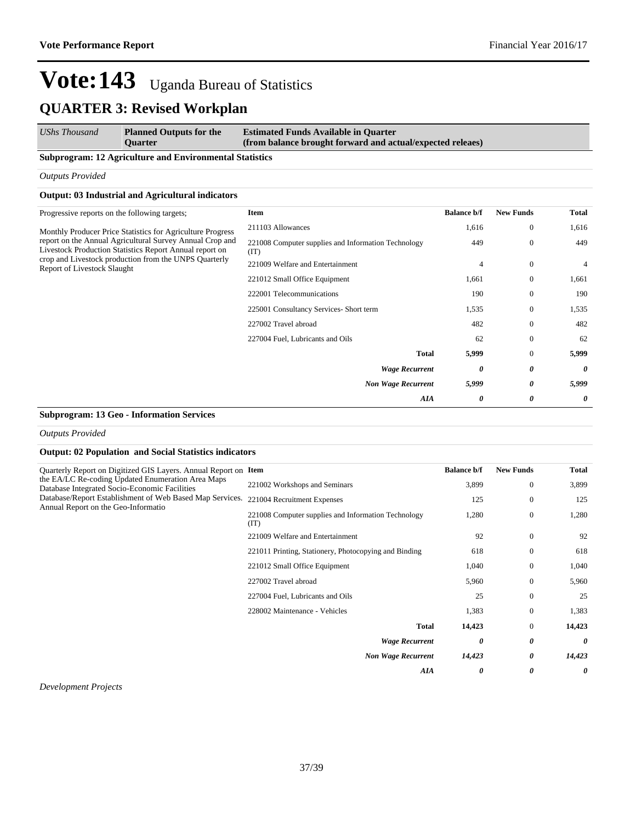#### *UShs Thousand* **Planned Outputs for the Quarter Estimated Funds Available in Quarter (from balance brought forward and actual/expected releaes)**

#### **Subprogram: 12 Agriculture and Environmental Statistics**

*Outputs Provided*

### **Output: 03 Industrial and Agricultural indicators**

| <b>New Funds</b><br><b>Total</b><br><b>Balance b/f</b><br>Item<br>211103 Allowances<br>1,616<br>$\theta$<br>1,616<br>Monthly Producer Price Statistics for Agriculture Progress<br>449<br>$\theta$<br>221008 Computer supplies and Information Technology<br>449<br>(TT)<br>$\overline{0}$<br>221009 Welfare and Entertainment<br>4<br>4<br>221012 Small Office Equipment<br>1,661<br>$\theta$<br>1,661<br>222001 Telecommunications<br>$\Omega$<br>190<br>190<br>225001 Consultancy Services- Short term<br>1,535<br>$\theta$<br>1,535<br>227002 Travel abroad<br>482<br>482<br>$\theta$<br>$\theta$<br>227004 Fuel, Lubricants and Oils<br>62<br>62<br><b>Total</b><br>5,999<br>5,999<br>$\theta$<br>$\theta$<br>0<br><b>Wage Recurrent</b><br>0<br>5,999<br><b>Non Wage Recurrent</b><br>0<br>5,999<br>AIA<br>0<br>0<br>0 |                                                                                                                                                                                                             |  |  |
|------------------------------------------------------------------------------------------------------------------------------------------------------------------------------------------------------------------------------------------------------------------------------------------------------------------------------------------------------------------------------------------------------------------------------------------------------------------------------------------------------------------------------------------------------------------------------------------------------------------------------------------------------------------------------------------------------------------------------------------------------------------------------------------------------------------------------|-------------------------------------------------------------------------------------------------------------------------------------------------------------------------------------------------------------|--|--|
|                                                                                                                                                                                                                                                                                                                                                                                                                                                                                                                                                                                                                                                                                                                                                                                                                              | Progressive reports on the following targets;                                                                                                                                                               |  |  |
|                                                                                                                                                                                                                                                                                                                                                                                                                                                                                                                                                                                                                                                                                                                                                                                                                              |                                                                                                                                                                                                             |  |  |
|                                                                                                                                                                                                                                                                                                                                                                                                                                                                                                                                                                                                                                                                                                                                                                                                                              | report on the Annual Agricultural Survey Annual Crop and<br>Livestock Production Statistics Report Annual report on<br>crop and Livestock production from the UNPS Quarterly<br>Report of Livestock Slaught |  |  |
|                                                                                                                                                                                                                                                                                                                                                                                                                                                                                                                                                                                                                                                                                                                                                                                                                              |                                                                                                                                                                                                             |  |  |
|                                                                                                                                                                                                                                                                                                                                                                                                                                                                                                                                                                                                                                                                                                                                                                                                                              |                                                                                                                                                                                                             |  |  |
|                                                                                                                                                                                                                                                                                                                                                                                                                                                                                                                                                                                                                                                                                                                                                                                                                              |                                                                                                                                                                                                             |  |  |
|                                                                                                                                                                                                                                                                                                                                                                                                                                                                                                                                                                                                                                                                                                                                                                                                                              |                                                                                                                                                                                                             |  |  |
|                                                                                                                                                                                                                                                                                                                                                                                                                                                                                                                                                                                                                                                                                                                                                                                                                              |                                                                                                                                                                                                             |  |  |
|                                                                                                                                                                                                                                                                                                                                                                                                                                                                                                                                                                                                                                                                                                                                                                                                                              |                                                                                                                                                                                                             |  |  |
|                                                                                                                                                                                                                                                                                                                                                                                                                                                                                                                                                                                                                                                                                                                                                                                                                              |                                                                                                                                                                                                             |  |  |
|                                                                                                                                                                                                                                                                                                                                                                                                                                                                                                                                                                                                                                                                                                                                                                                                                              |                                                                                                                                                                                                             |  |  |
|                                                                                                                                                                                                                                                                                                                                                                                                                                                                                                                                                                                                                                                                                                                                                                                                                              |                                                                                                                                                                                                             |  |  |
|                                                                                                                                                                                                                                                                                                                                                                                                                                                                                                                                                                                                                                                                                                                                                                                                                              |                                                                                                                                                                                                             |  |  |

#### **Subprogram: 13 Geo - Information Services**

*Outputs Provided*

### **Output: 02 Population and Social Statistics indicators**

| Quarterly Report on Digitized GIS Layers. Annual Report on Item<br>the EA/LC Re-coding Updated Enumeration Area Maps<br>Database Integrated Socio-Economic Facilities<br>Database/Report Establishment of Web Based Map Services.<br>Annual Report on the Geo-Informatio |                                                             | <b>Balance b/f</b> | <b>New Funds</b> | <b>Total</b> |
|--------------------------------------------------------------------------------------------------------------------------------------------------------------------------------------------------------------------------------------------------------------------------|-------------------------------------------------------------|--------------------|------------------|--------------|
|                                                                                                                                                                                                                                                                          | 221002 Workshops and Seminars                               | 3,899              | $\mathbf{0}$     | 3,899        |
|                                                                                                                                                                                                                                                                          | 221004 Recruitment Expenses                                 | 125                | $\mathbf{0}$     | 125          |
|                                                                                                                                                                                                                                                                          | 221008 Computer supplies and Information Technology<br>(TT) | 1,280              | $\mathbf{0}$     | 1,280        |
|                                                                                                                                                                                                                                                                          | 221009 Welfare and Entertainment                            | 92                 | $\mathbf{0}$     | 92           |
|                                                                                                                                                                                                                                                                          | 221011 Printing, Stationery, Photocopying and Binding       | 618                | $\mathbf{0}$     | 618          |
|                                                                                                                                                                                                                                                                          | 221012 Small Office Equipment                               | 1,040              | $\mathbf{0}$     | 1,040        |
|                                                                                                                                                                                                                                                                          | 227002 Travel abroad                                        | 5,960              | $\mathbf{0}$     | 5,960        |
|                                                                                                                                                                                                                                                                          | 227004 Fuel, Lubricants and Oils                            | 25                 | $\mathbf{0}$     | 25           |
|                                                                                                                                                                                                                                                                          | 228002 Maintenance - Vehicles                               | 1,383              | $\mathbf{0}$     | 1,383        |
|                                                                                                                                                                                                                                                                          | <b>Total</b>                                                | 14,423             | $\mathbf{0}$     | 14,423       |
|                                                                                                                                                                                                                                                                          | <b>Wage Recurrent</b>                                       | 0                  | 0                | 0            |
|                                                                                                                                                                                                                                                                          | <b>Non Wage Recurrent</b>                                   | 14,423             | 0                | 14,423       |
|                                                                                                                                                                                                                                                                          | AIA                                                         | 0                  | 0                | 0            |

*Development Projects*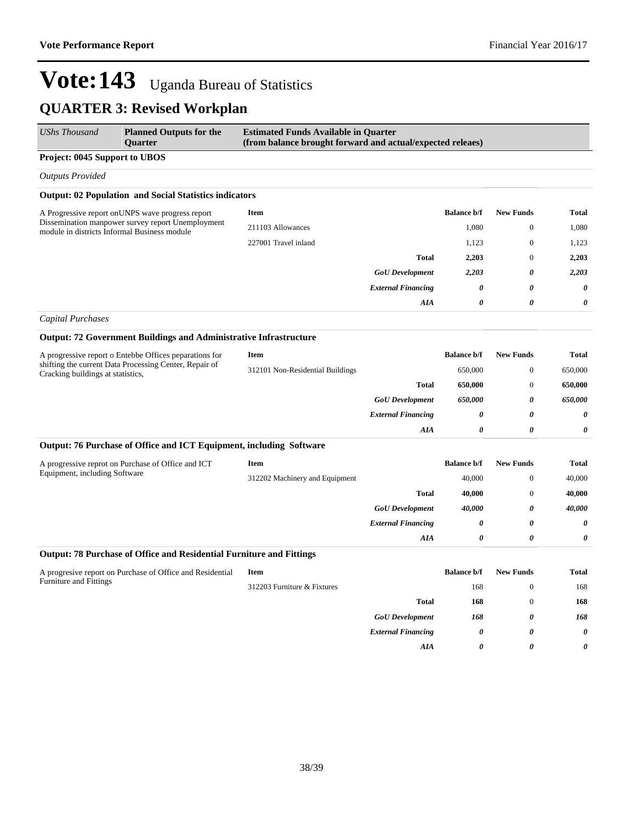| <b>UShs Thousand</b>                                                                              | <b>Planned Outputs for the</b><br><b>Ouarter</b>                         | <b>Estimated Funds Available in Quarter</b><br>(from balance brought forward and actual/expected releaes) |                           |                    |                  |              |
|---------------------------------------------------------------------------------------------------|--------------------------------------------------------------------------|-----------------------------------------------------------------------------------------------------------|---------------------------|--------------------|------------------|--------------|
| Project: 0045 Support to UBOS                                                                     |                                                                          |                                                                                                           |                           |                    |                  |              |
| <b>Outputs Provided</b>                                                                           |                                                                          |                                                                                                           |                           |                    |                  |              |
|                                                                                                   | <b>Output: 02 Population and Social Statistics indicators</b>            |                                                                                                           |                           |                    |                  |              |
| A Progressive report on UNPS wave progress report                                                 |                                                                          | Item                                                                                                      |                           | <b>Balance b/f</b> | <b>New Funds</b> | <b>Total</b> |
| Dissemination manpower survey report Unemployment<br>module in districts Informal Business module | 211103 Allowances                                                        |                                                                                                           | 1,080                     | $\mathbf{0}$       | 1,080            |              |
|                                                                                                   | 227001 Travel inland                                                     |                                                                                                           | 1,123                     | $\mathbf{0}$       | 1,123            |              |
|                                                                                                   |                                                                          |                                                                                                           | <b>Total</b>              | 2,203              | $\mathbf{0}$     | 2,203        |
|                                                                                                   |                                                                          |                                                                                                           | <b>GoU</b> Development    | 2,203              | 0                | 2,203        |
|                                                                                                   |                                                                          |                                                                                                           | <b>External Financing</b> | 0                  | 0                | 0            |
|                                                                                                   |                                                                          |                                                                                                           | <b>AIA</b>                | 0                  | 0                | 0            |
| Capital Purchases                                                                                 |                                                                          |                                                                                                           |                           |                    |                  |              |
|                                                                                                   | <b>Output: 72 Government Buildings and Administrative Infrastructure</b> |                                                                                                           |                           |                    |                  |              |
|                                                                                                   | A progressive report o Entebbe Offices peparations for                   | Item                                                                                                      |                           | <b>Balance b/f</b> | <b>New Funds</b> | <b>Total</b> |
| shifting the current Data Processing Center, Repair of<br>Cracking buildings at statistics,       | 312101 Non-Residential Buildings                                         |                                                                                                           | 650,000                   | $\mathbf{0}$       | 650,000          |              |
|                                                                                                   |                                                                          |                                                                                                           | <b>Total</b>              | 650,000            | $\mathbf{0}$     | 650,000      |
|                                                                                                   |                                                                          |                                                                                                           | <b>GoU</b> Development    | 650,000            | 0                | 650.000      |

| 0.09<br>$\mathbf{1}$ $\mathbf{2}$ $\mathbf{2}$ $\mathbf{3}$ $\mathbf{3}$ $\mathbf{4}$ $\mathbf{5}$<br>$\mathbf{a}$ , $\mathbf{a}$ , $\mathbf{a}$ , $\mathbf{a}$ , $\mathbf{a}$ , $\mathbf{a}$<br>$\sim$ $\sim$<br>$\sim$ $\sim$ $\sim$ |          |             |  |
|----------------------------------------------------------------------------------------------------------------------------------------------------------------------------------------------------------------------------------------|----------|-------------|--|
| AIA                                                                                                                                                                                                                                    |          |             |  |
| <b>External Financing</b>                                                                                                                                                                                                              |          |             |  |
| <i>soc perciopment</i>                                                                                                                                                                                                                 | $\ldots$ | $\mathbf v$ |  |

## **Output: 76 Purchase of Office and ICT Equipment, including Software**

| A progressive reprot on Purchase of Office and ICT<br>Equipment, including Software | Item                           |                           | <b>Balance b/f</b> | <b>New Funds</b> | <b>Total</b> |
|-------------------------------------------------------------------------------------|--------------------------------|---------------------------|--------------------|------------------|--------------|
|                                                                                     | 312202 Machinery and Equipment |                           | 40,000             |                  | 40,000       |
|                                                                                     |                                | <b>Total</b>              | 40,000             |                  | 40,000       |
|                                                                                     |                                | <b>GoU</b> Development    | 40.000             | 0                | 40,000       |
|                                                                                     |                                | <b>External Financing</b> | 0                  | 0                | 0            |
|                                                                                     |                                | AIA                       | 0                  | 0                | 0            |

### **Output: 78 Purchase of Office and Residential Furniture and Fittings**

| A progresive report on Purchase of Office and Residential<br><b>Furniture and Fittings</b> | Item                        |                           | <b>Balance b/f</b> | <b>New Funds</b> | <b>Total</b>          |
|--------------------------------------------------------------------------------------------|-----------------------------|---------------------------|--------------------|------------------|-----------------------|
|                                                                                            | 312203 Furniture & Fixtures |                           | 168                | $\theta$         | 168                   |
|                                                                                            |                             | <b>Total</b>              | 168                | $\theta$         | 168                   |
|                                                                                            |                             | <b>GoU</b> Development    | 168                | 0                | 168                   |
|                                                                                            |                             | <b>External Financing</b> | 0                  | 0                | $\boldsymbol{\theta}$ |
|                                                                                            |                             | AIA                       | 0                  | 0                | $\boldsymbol{\theta}$ |